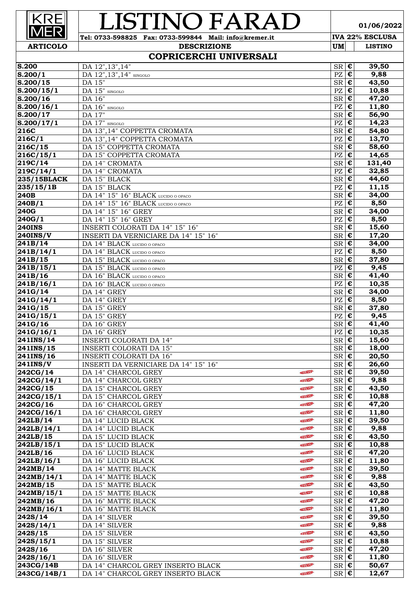#### $\overline{\mathsf{R}}$ 'INO FA  $\overline{\mathsf{A}}$ יר **Tel: 0733-598825 Fax: 0733-599844 Mail: info@kremer.it IVA 22% ESCLUSA**

**01/06/2022**

# **COPRICERCHI UNIVERSALI**

**DESCRIZIONE UM** LISTINO

| S.200                 | DA 12", 13", 14"                       |               | $SR \, \vert \, \boldsymbol{\epsilon}$ |                          | 39,50  |
|-----------------------|----------------------------------------|---------------|----------------------------------------|--------------------------|--------|
| S.200/1               | DA 12", 13", 14" SINGOLO               |               | PZ                                     | $\pmb{\epsilon}$         | 9,88   |
| S.200/15              | DA 15"                                 |               | $SR \, \, \boldsymbol{\epsilon}$       |                          | 43,50  |
| S.200/15/1            | $\overline{DA}$ 15" SINGOLO            |               | PZ                                     | $\overline{\epsilon}$    | 10,88  |
| S.200/16              | DA 16"                                 |               | <b>SR</b>                              | $\bullet$                | 47,20  |
|                       |                                        |               |                                        | $\overline{\epsilon}$    |        |
| S.200/16/1            | DA 16" SINGOLO                         |               | $\mathbf{P}\mathbf{Z}$                 |                          | 11,80  |
| $S.200/\overline{17}$ | DA 17"                                 |               | $SR \, \vert \, \boldsymbol{\epsilon}$ |                          | 56,90  |
| S.200/17/1            | DA 17" SINGOLO                         |               | PZ                                     | $\epsilon$               | 14,23  |
| $\overline{216C}$     | DA 13", 14" COPPETTA CROMATA           |               | $SR$ $E$                               |                          | 54,80  |
| $\overline{216C}/1$   | DA 13", 14" COPPETTA CROMATA           |               | PZ                                     | $\pmb{\epsilon}$         | 13,70  |
| 216C/15               | DA 15" COPPETTA CROMATA                |               | SR                                     | $\bullet$                | 58,60  |
| $\sqrt{216C/15/1}$    | DA 15" COPPETTA CROMATA                |               | PZ                                     | $\epsilon$               | 14,65  |
| 219C/14               | DA 14" CROMATA                         |               | $SR \in$                               |                          | 131,40 |
|                       |                                        |               |                                        |                          |        |
| 219C/14/1             | DA 14" CROMATA                         |               | PZ                                     | $\overline{\epsilon}$    | 32,85  |
| 235/15BLACK           | DA 15" BLACK                           |               | SR                                     | €                        | 44,60  |
| 235/15/1B             | DA 15" BLACK                           |               | PZ                                     | $\overline{\epsilon}$    | 11,15  |
| 240B                  | DA 14" 15" 16" BLACK LUCIDO O OPACO    |               | $SR$ $C$                               |                          | 34,00  |
| $\sqrt{240B/1}$       | DA 14" 15" 16" BLACK LUCIDO O OPACO    |               | PZ                                     | $\epsilon$               | 8,50   |
| $\overline{240}$ G    | DA 14" 15" 16" GREY                    |               | $SR \nvert \n\boldsymbol{\epsilon}$    |                          | 34,00  |
| $\sqrt{240G/1}$       | DA 14" 15" 16" GREY                    |               | PZ                                     | $\overline{\varepsilon}$ | 8,50   |
| $240$ INS             | <b>INSERTI COLORATI DA 14" 15" 16"</b> |               | $S_{\mathsf{R}}$ $\epsilon$            |                          | 15,60  |
| <b>240INS/V</b>       | INSERTI DA VERNICIARE DA 14" 15" 16"   |               | $SR$ $\overline{E}$                    |                          |        |
|                       |                                        |               |                                        |                          | 17,20  |
| 241B/14               | DA 14" BLACK LUCIDO O OPACO            |               | $S_{\mathsf{R}}$ $\epsilon$            |                          | 34,00  |
| 241B/14/1             | DA 14" BLACK LUCIDO O OPACO            |               | PZ                                     | $\overline{\epsilon}$    | 8,50   |
| 241B/15               | DA 15" BLACK LUCIDO O OPACO            |               | SR                                     | €                        | 37,80  |
| 241B/15/1             | DA 15" BLACK LUCIDO O OPACO            |               | PZ                                     | $\overline{\epsilon}$    | 9,45   |
| 241B/16               | DA 16" BLACK LUCIDO O OPACO            |               | $S_{\rm R}$ $\sqrt{\epsilon}$          |                          | 41,40  |
| $\sqrt{241B}/16/1$    | DA 16" BLACK LUCIDO O OPACO            |               | PZ                                     | $\bullet$                | 10,35  |
| $\sqrt{241G/14}$      | DA 14" GREY                            |               | $SR \nvert \n\boldsymbol{\epsilon}$    |                          | 34,00  |
| $\sqrt{241G/14/1}$    | DA 14" GREY                            |               | PZ                                     | $\epsilon$               | 8,50   |
|                       |                                        |               |                                        |                          |        |
| $\sqrt{241G/15}$      | DA 15" GREY                            |               | $S_{\mathsf{R}}$ $\epsilon$            |                          | 37,80  |
| 241G/15/1             | DA 15" GREY                            |               | PZ                                     | €                        | 9,45   |
| $\sqrt{241G/16}$      | DA 16" GREY                            |               | $SR \, \vert \, \boldsymbol{\epsilon}$ |                          | 41,40  |
| 241G/16/1             | DA 16" GREY                            |               | PZ                                     | $\overline{\epsilon}$    | 10,35  |
| 241INS/14             | <b>INSERTI COLORATI DA 14"</b>         |               | SR                                     | €                        | 15,60  |
| 241INS/15             | <b>INSERTI COLORATI DA 15"</b>         |               | $S_{\mathsf{R}}$ $\mathsf{E}$          |                          | 18,00  |
| 241INS/16             | <b>INSERTI COLORATI DA 16"</b>         |               | $SR \, \epsilon$                       |                          | 20,50  |
| $\sqrt{241}$ INS/V    | INSERTI DA VERNICIARE DA 14" 15" 16"   |               | $SR \, \vert \, \boldsymbol{\epsilon}$ |                          | 26,60  |
|                       |                                        | NIEW-         |                                        |                          |        |
| $\sqrt{242CG/14}$     | DA 14" CHARCOL GREY                    |               | $S_{\mathsf{R}}$ $\overline{\epsilon}$ |                          | 39,50  |
| 242CG/14/1            | DA 14" CHARCOL GREY                    | <b>NIEW-</b>  | $SR \in$                               |                          | 9,88   |
| 242CG/15              | DA 15" CHARCOL GREY                    | <b>NIEW-</b>  | $SR \, \, \boldsymbol{\epsilon}$       |                          | 43,50  |
| 242CG/15/1            | DA 15" CHARCOL GREY                    | NEW           | $SR \, \epsilon$                       |                          | 10,88  |
| 242CG/16              | DA 16" CHARCOL GREY                    | NEW           | $SR \, \, \boldsymbol{\epsilon}$       |                          | 47,20  |
| 242CG/16/1            | DA 16" CHARCOL GREY                    | <b>INEW-</b>  | $SR \in$                               |                          | 11,80  |
| 242LB/14              | DA 14" LUCID BLACK                     | <b>NEW-</b>   | $SR \in$                               |                          | 39,50  |
|                       | DA 14" LUCID BLACK                     | <b>NEW-</b>   |                                        |                          | 9,88   |
| 242LB/14/1            |                                        |               | $SR \in$                               |                          |        |
| 242LB/15              | DA 15" LUCID BLACK                     | <b>NEW-</b>   | $SR \, \, \boldsymbol{\epsilon}$       |                          | 43,50  |
| 242LB/15/1            | DA 15" LUCID BLACK                     | NEW           | $SR \, \, \boldsymbol{\epsilon}$       |                          | 10,88  |
| 242LB/16              | DA 16" LUCID BLACK                     | NEW           | $SR \mid \overline{\epsilon}$          |                          | 47,20  |
| $\sqrt{242LB/16/1}$   | DA 16" LUCID BLACK                     | NEW           | $SR \, \, \boldsymbol{\epsilon}$       |                          | 11,80  |
| 242MB/14              | DA 14" MATTE BLACK                     | <b>NIEW-</b>  | $SR \, \vert \, \overline{\epsilon}$   |                          | 39,50  |
| 242MB/14/1            | DA 14" MATTE BLACK                     | <b>NEW-</b>   | $SR \, \, \boldsymbol{\epsilon}$       |                          | 9,88   |
| 242MB/15              | DA 15" MATTE BLACK                     | <b>NEW-</b>   | $SR \in$                               |                          | 43,50  |
| 242MB/15/1            | DA 15" MATTE BLACK                     | NEW-          | $SR \in$                               |                          | 10,88  |
|                       | DA 16" MATTE BLACK                     | <b>INIEW-</b> | $SR \in$                               |                          | 47,20  |
| 242MB/16              |                                        |               |                                        |                          |        |
| 242MB/16/1            | DA 16" MATTE BLACK                     | <b>NIEW-</b>  | $SR \nvert \boldsymbol{\epsilon}$      |                          | 11,80  |
| 242S/14               | DA 14" SILVER                          | <b>NIEW-</b>  | $SR \, \, \boldsymbol{\epsilon}$       |                          | 39,50  |
| 242S/14/1             | DA 14" SILVER                          | NEW           | $SR \, \epsilon$                       |                          | 9,88   |
| $\sqrt{242S/15}$      | DA 15" SILVER                          | <b>INEW-</b>  | $SR \, \, \boldsymbol{\epsilon}$       |                          | 43,50  |
| $\sqrt{242S/15/1}$    | DA 15" SILVER                          | <b>NIEW-</b>  | $SR \, \, \boldsymbol{\epsilon}$       |                          | 10,88  |
| $\sqrt{242S/16}$      | DA 16" SILVER                          | <b>AVEW!</b>  | $SR \, \vert \, \overline{\epsilon}$   |                          | 47,20  |
| $\sqrt{242S/16/1}$    | DA 16" SILVER                          | NEW           | $SR \, \epsilon$                       |                          | 11,80  |
|                       |                                        |               |                                        |                          |        |
| 243CG/14B             | DA 14" CHARCOL GREY INSERTO BLACK      | <b>INEW-</b>  | $SR \in$                               |                          | 50,67  |
| 243CG/14B/1           | DA 14" CHARCOL GREY INSERTO BLACK      | <b>INEW-</b>  | $SR \in$                               |                          | 12,67  |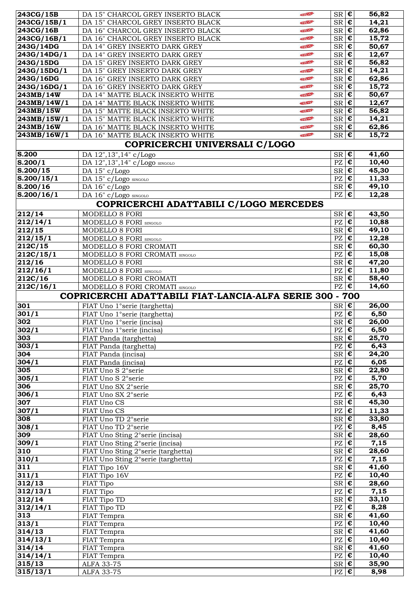| $\sqrt{243CG/15B}$                                                                                                                                                                                                                   | DA 15" CHARCOL GREY INSERTO BLACK                       | NEW           | $SR \, \in \,$                                   |                           | 56,82              |
|--------------------------------------------------------------------------------------------------------------------------------------------------------------------------------------------------------------------------------------|---------------------------------------------------------|---------------|--------------------------------------------------|---------------------------|--------------------|
| 243CG/15B/1                                                                                                                                                                                                                          | DA 15" CHARCOL GREY INSERTO BLACK                       | NEW.          | $SR$ $\epsilon$                                  |                           | 14,21              |
| $\sqrt{243CG/16B}$                                                                                                                                                                                                                   | DA 16" CHARCOL GREY INSERTO BLACK                       | <b>NIEW</b>   | $SR \, \vert \, \boldsymbol{\epsilon}$           |                           | 62,86              |
| 243CG/16B/1                                                                                                                                                                                                                          | DA 16" CHARCOL GREY INSERTO BLACK                       | NEW           | $SR \in$                                         |                           | 15,72              |
| 243G/14DG                                                                                                                                                                                                                            | DA 14" GREY INSERTO DARK GREY                           | <b>NIEW-</b>  | $SR$ $C$                                         |                           | 50,67              |
| 243G/14DG/1                                                                                                                                                                                                                          | DA 14" GREY INSERTO DARK GREY                           | <b>NIEW-</b>  | $SR \in$                                         |                           | 12,67              |
| 243G/15DG                                                                                                                                                                                                                            | DA 15" GREY INSERTO DARK GREY                           | NEW           | $SR \in$                                         |                           | 56,82              |
| 243G/15DG/1                                                                                                                                                                                                                          | DA 15" GREY INSERTO DARK GREY                           | <b>NIEW</b>   | $SR \in$                                         |                           | 14,21              |
| 243G/16DG                                                                                                                                                                                                                            | DA 16" GREY INSERTO DARK GREY                           | <b>INTENS</b> | $SR \in$                                         |                           | 62,86              |
| 243G/16DG/1                                                                                                                                                                                                                          | DA 16" GREY INSERTO DARK GREY                           | NIEW-         | $SR \in$                                         |                           | 15,72              |
| 243MB/14W                                                                                                                                                                                                                            | DA 14" MATTE BLACK INSERTO WHITE                        | NEW-          | $SR \overline{\epsilon}$                         |                           | 50,67              |
| 243MB/14W/1                                                                                                                                                                                                                          | DA 14" MATTE BLACK INSERTO WHITE                        | NEW           | $S_{\overline{\mathbf{R}}}\overline{\mathbf{E}}$ |                           | 12,67              |
| 243MB/15W                                                                                                                                                                                                                            | DA 15" MATTE BLACK INSERTO WHITE                        | NIEW-         | $SR \in$                                         |                           | 56,82              |
| 243MB/15W/1                                                                                                                                                                                                                          | DA 15" MATTE BLACK INSERTO WHITE                        | NEW           | $SR$ $C$                                         |                           | 14,21              |
| 243MB/16W                                                                                                                                                                                                                            | DA 16" MATTE BLACK INSERTO WHITE                        | <b>NIEW-</b>  | $SR \in$                                         |                           | 62,86              |
| 243MB/16W/1                                                                                                                                                                                                                          | DA 16" MATTE BLACK INSERTO WHITE                        | NEW           | $SR \, \epsilon$                                 |                           | 15,72              |
|                                                                                                                                                                                                                                      | COPRICERCHI UNIVERSALI C/LOGO                           |               |                                                  |                           |                    |
| S.200                                                                                                                                                                                                                                | DA 12", 13", 14" c/Logo                                 |               | $SR \, \epsilon$                                 |                           | 41,60              |
| S.200/1                                                                                                                                                                                                                              | DA 12", 13", 14" c/Logo SINGOLO                         |               | $PZ$ $E$                                         |                           | 10,40              |
| $\overline{S.200/15}$                                                                                                                                                                                                                | DA 15" c/Logo                                           |               | $S_{\overline{\mathbf{R}}}\overline{\mathbf{E}}$ |                           | 45,30              |
| S.200/15/1                                                                                                                                                                                                                           | DA 15" c/Logo SINGOLO                                   |               | $PZ \in$                                         |                           | 11,33              |
| S.200/16                                                                                                                                                                                                                             | DA 16" c/Logo                                           |               | $SR \nvert \n\boldsymbol{\epsilon}$              |                           | 49,10              |
| $\sqrt{8.200}/16/1$                                                                                                                                                                                                                  | DA 16" c/Logo SINGOLO                                   |               | $\overline{PZ}$                                  | $ \boldsymbol{\epsilon} $ | 12,28              |
|                                                                                                                                                                                                                                      | COPRICERCHI ADATTABILI C/LOGO MERCEDES                  |               |                                                  |                           |                    |
|                                                                                                                                                                                                                                      |                                                         |               |                                                  |                           |                    |
| 212/14                                                                                                                                                                                                                               | MODELLO 8 FORI                                          |               | $SR \, \, \boldsymbol{\epsilon}$                 |                           | 43,50              |
| 212/14/1                                                                                                                                                                                                                             | MODELLO 8 FORI SINGOLO                                  |               | PZ                                               | $\epsilon$                | 10,88              |
| $\sqrt{212/15}$                                                                                                                                                                                                                      | MODELLO 8 FORI                                          |               | $SR \, \vert \, \boldsymbol{\epsilon}$           |                           | 49,10              |
| $\sqrt{212/15/1}$                                                                                                                                                                                                                    | MODELLO 8 FORI SINGOLO                                  |               | $PZ \in$                                         |                           | 12,28              |
| $\sqrt{212C/15}$                                                                                                                                                                                                                     | MODELLO 8 FORI CROMATI                                  |               | $SR$ $C$                                         |                           | 60,30              |
| $\sqrt{212C/15/1}$                                                                                                                                                                                                                   | MODELLO 8 FORI CROMATI SINGOLO                          |               | PZ                                               | $\epsilon$                | 15,08              |
| $\sqrt{212/16}$                                                                                                                                                                                                                      | MODELLO 8 FORI                                          |               | $SR$ $C$                                         |                           | 47,20              |
| $\sqrt{212/16/1}$                                                                                                                                                                                                                    | MODELLO 8 FORI SINGOLO                                  |               | PZ                                               | $\epsilon$                | 11,80              |
| $\sqrt{212C/16}$                                                                                                                                                                                                                     | MODELLO 8 FORI CROMATI                                  |               | $SR \in$                                         |                           | 58,40              |
|                                                                                                                                                                                                                                      |                                                         |               | $PZ \in$                                         |                           | 14,60              |
|                                                                                                                                                                                                                                      | MODELLO 8 FORI CROMATI SINGOLO                          |               |                                                  |                           |                    |
|                                                                                                                                                                                                                                      | COPRICERCHI ADATTABILI FIAT-LANCIA-ALFA SERIE 300 - 700 |               |                                                  |                           |                    |
|                                                                                                                                                                                                                                      | FIAT Uno 1°serie (targhetta)                            |               | $SR \nvert \overline{\epsilon}$                  |                           | 26,00              |
|                                                                                                                                                                                                                                      | FIAT Uno 1°serie (targhetta)                            |               | $PZ \in$                                         |                           | 6,50               |
|                                                                                                                                                                                                                                      | FIAT Uno 1°serie (incisa)                               |               | $SR$ $C$                                         |                           | $\overline{2}6,00$ |
|                                                                                                                                                                                                                                      | FIAT Uno 1°serie (incisa)                               |               | $PZ \mid \mathbf{E}$                             |                           | 6,50               |
| 212C/16/1<br>301<br>301/1<br>302<br> 302/1<br>303                                                                                                                                                                                    | FIAT Panda (targhetta)                                  |               | $SR \, \vert \, \boldsymbol{\epsilon}$           |                           | 25,70              |
|                                                                                                                                                                                                                                      | FIAT Panda (targhetta)                                  |               | $PZ \in \mathbf{C}$                              |                           | 6,43               |
|                                                                                                                                                                                                                                      | FIAT Panda (incisa)                                     |               | $SR \in$                                         |                           | 24,20              |
|                                                                                                                                                                                                                                      | FIAT Panda (incisa)                                     |               | $PZ \in$                                         |                           | 6,05               |
|                                                                                                                                                                                                                                      | FIAT Uno S 2°serie                                      |               | $SR \in$                                         |                           | 22,80              |
|                                                                                                                                                                                                                                      | FIAT Uno S 2° serie                                     |               | $PZ$ $E$                                         |                           | 5,70               |
|                                                                                                                                                                                                                                      | FIAT Uno SX 2° serie                                    |               | $SR \, \vert \, \boldsymbol{\epsilon}$           |                           | 25,70              |
|                                                                                                                                                                                                                                      | FIAT Uno SX 2° serie                                    |               | $PZ \in$                                         |                           | 6,43               |
|                                                                                                                                                                                                                                      | FIAT Uno CS                                             |               | $SR \, \vert \, \boldsymbol{\epsilon}$           |                           | 45,30              |
|                                                                                                                                                                                                                                      | FIAT Uno CS                                             |               | $PZ \in$                                         |                           | 11,33              |
|                                                                                                                                                                                                                                      | FIAT Uno TD 2°serie                                     |               | $SR \nvert \n\boldsymbol{\epsilon}$              |                           | 33,80              |
|                                                                                                                                                                                                                                      | FIAT Uno TD 2°serie                                     |               | $PZ \in$                                         |                           | 8,45               |
|                                                                                                                                                                                                                                      | FIAT Uno Sting 2° serie (incisa)                        |               | $SR \, \in \,$                                   |                           | 28,60              |
|                                                                                                                                                                                                                                      | FIAT Uno Sting 2° serie (incisa)                        |               | $PZ \in \mathbf{C}$                              |                           | 7,15               |
|                                                                                                                                                                                                                                      | FIAT Uno Sting 2° serie (targhetta)                     |               | $SR \, \vert \, \boldsymbol{\epsilon}$           |                           | 28,60              |
|                                                                                                                                                                                                                                      | FIAT Uno Sting 2° serie (targhetta)                     |               | $PZ \in$                                         |                           | 7,15               |
|                                                                                                                                                                                                                                      | FIAT Tipo 16V                                           |               | $S_{\overline{\mathbf{R}}}\overline{\mathbf{E}}$ |                           | 41,60              |
|                                                                                                                                                                                                                                      | FIAT Tipo 16V                                           |               | $PZ \in$                                         |                           | 10,40              |
|                                                                                                                                                                                                                                      | FIAT Tipo                                               |               | $SR \nvert \boldsymbol{\epsilon}$                |                           | 28,60              |
|                                                                                                                                                                                                                                      | FIAT Tipo                                               |               | $PZ \mid \overline{\mathbf{\epsilon}}$           |                           | 7,15               |
|                                                                                                                                                                                                                                      | FIAT Tipo TD                                            |               | $SR \nvert \n\boldsymbol{\epsilon}$              |                           | 33,10              |
|                                                                                                                                                                                                                                      | FIAT Tipo TD                                            |               | PZ                                               | $\epsilon$                | 8,28               |
|                                                                                                                                                                                                                                      | FIAT Tempra                                             |               | $SR \, \epsilon$                                 |                           | 41,60              |
|                                                                                                                                                                                                                                      | FIAT Tempra                                             |               | $PZ \in \mathbf{C}$                              |                           | 10,40              |
|                                                                                                                                                                                                                                      | FIAT Tempra                                             |               | $SR \, \vert \, \boldsymbol{\epsilon}$           |                           | 41,60              |
| 303/1<br>304<br>304/1<br>305<br>305/1<br>306<br>306/1<br>307<br>307/1<br>308<br>308/1<br>309<br>309/1<br>310<br>310/1<br>311<br>$\overline{311}/1$<br>312/13<br>312/13/1<br>312/14<br>312/14/1<br>313<br>313/1<br>314/13<br>314/13/1 | FIAT Tempra                                             |               | $PZ \in$                                         |                           | 10,40              |
| 314/14                                                                                                                                                                                                                               | FIAT Tempra                                             |               | $S_{\rm R}$ $\epsilon$                           |                           | 41,60              |
| 314/14/1                                                                                                                                                                                                                             | FIAT Tempra                                             |               | $PZ \in$                                         |                           | 10,40              |
| 315/13<br>315/13/1                                                                                                                                                                                                                   | <b>ALFA 33-75</b><br>ALFA 33-75                         |               | $SR \nvert \n\boldsymbol{\epsilon}$<br>$PZ \in$  |                           | 35,90<br>8,98      |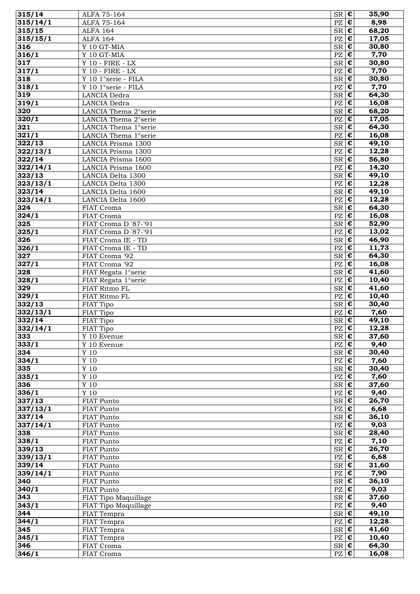| 315/14           | ALFA 75-164                     | $SR \, \vert \, \boldsymbol{\epsilon}$                 |                           | 35,90 |
|------------------|---------------------------------|--------------------------------------------------------|---------------------------|-------|
| 315/14/1         | ALFA 75-164                     | $\overline{PZ}$ $\epsilon$                             |                           | 8,98  |
| 315/15           | <b>ALFA 164</b>                 | $SR \, \epsilon$                                       |                           | 68,20 |
| 315/15/1         | <b>ALFA 164</b>                 | $\mathbf{P}\mathbf{Z}$                                 | $\epsilon$                | 17,05 |
| 316              | Y 10 GT-MIA                     | $S_{\overline{\mathbf{R}}}\overline{\mathbf{E}}$       |                           | 30,80 |
| 316/1            | Y 10 GT-MIA                     | PZ                                                     | $\epsilon$                | 7,70  |
| 317              | $Y$ 10 - FIRE - LX              | $SR \, \epsilon$                                       |                           | 30,80 |
| 317/1            | $Y$ 10 - FIRE - $\overline{LX}$ | $PZ \in$                                               |                           | 7,70  |
| 318              | Y 10 1°serie - FILA             | $SR \mid \overline{\epsilon}$                          |                           | 30,80 |
| 318/1            | Y 10 1°serie - FILA             | $PZ$ $E$                                               |                           | 7,70  |
| $\overline{3}19$ | LANCIA Dedra                    | $SR \, \epsilon$                                       |                           | 64,30 |
| 319/1            | LANCIA Dedra                    | $PZ \in \mathbf{E}$                                    |                           | 16,08 |
| 320              | LANCIA Thema 2° serie           | $SR \, \epsilon$                                       |                           | 68,20 |
| 320/1            | LANCIA Thema 2° serie           | PZ                                                     | ¢                         | 17,05 |
| 321              | LANCIA Thema 1°serie            | $S_{\mathsf{R}}$ $\epsilon$                            |                           | 64,30 |
| 321/1            | LANCIA Thema 1°serie            | PZ                                                     | $\pmb{\epsilon}$          | 16,08 |
| 322/13           | LANCIA Prisma 1300              | $SR \, \epsilon$                                       |                           | 49,10 |
| 322/13/1         | LANCIA Prisma 1300              |                                                        | $ \boldsymbol{\epsilon} $ | 12,28 |
| 322/14           | LANCIA Prisma 1600              | PZ<br>$S_{\overline{\mathbf{R}}}\overline{\mathbf{E}}$ |                           | 56,80 |
|                  |                                 | $PZ$ $E$                                               |                           |       |
| 322/14/1         | LANCIA Prisma 1600              |                                                        |                           | 14,20 |
| 323/13           | LANCIA Delta 1300               | $SR \, \epsilon$                                       |                           | 49,10 |
| 323/13/1         | <b>LANCIA Delta 1300</b>        | $PZ \in$                                               |                           | 12,28 |
| 323/14           | LANCIA Delta 1600               | $SR \, \epsilon$                                       |                           | 49,10 |
| 323/14/1         | LANCIA Delta 1600               | $PZ$ $E$                                               |                           | 12,28 |
| 324              | FIAT Croma                      | $SR \, \vert \, \overline{\epsilon}$                   |                           | 64,30 |
| 324/1            | FIAT Croma                      | PZ                                                     | $\pmb{\epsilon}$          | 16,08 |
| 325              | FIAT Croma D '87-'91            | $SR \, \epsilon$                                       |                           | 52,90 |
| 325/1            | FIAT Croma D '87-'91            | $PZ \in$                                               |                           | 13,02 |
| 326              | FIAT Croma IE - TD              | $SR \, \epsilon$                                       |                           | 46,90 |
| 326/1            | FIAT Croma IE - TD              | $PZ \mid \overline{\mathbf{\epsilon}}$                 |                           | 11,73 |
| 327              | FIAT Croma '92                  | $SR$ $\epsilon$                                        |                           | 64,30 |
| 327/1            | FIAT Croma '92                  | $PZ \in$                                               |                           | 16,08 |
| 328              | FIAT Regata 1°serie             | $SR \, \epsilon$                                       |                           | 41,60 |
| 328/1            | FIAT Regata 1°serie             | $PZ \in$                                               |                           | 10,40 |
| 329              | FIAT Ritmo FL                   | $SR$ $\overline{E}$                                    |                           | 41,60 |
| 329/1            | FIAT Ritmo FL                   | PZ                                                     | $\pmb{\epsilon}$          | 10,40 |
| 332/13           | FIAT Tipo                       | $SR \, \epsilon$                                       |                           | 30,40 |
| 332/13/1         | FIAT Tipo                       | $PZ \in$                                               |                           | 7,60  |
| 332/14           | FIAT Tipo                       | $SR$ $\epsilon$                                        |                           | 49,10 |
| 332/14/1         | FIAT Tipo                       | $PZ$ $ \epsilon $                                      |                           | 12,28 |
| 333              | Y 10 Evenue                     | $SR \, \epsilon$                                       |                           | 37,60 |
| 333/1            | Y 10 Evenue                     | $PZ \in$                                               |                           | 9,40  |
| 334              | Y 10                            | $SR \in$                                               |                           | 30,40 |
| 334/1            | $\Upsilon$ 10                   | $PZ \in$                                               |                           | 7,60  |
| 335              | $\Upsilon$ 10                   | $SR \mid \mathbf{\overline{E}}$                        |                           | 30,40 |
| 335/1            | Y 10                            | $PZ \in \mathbf{C}$                                    |                           | 7,60  |
| 336              | $\Upsilon$ 10                   | $SR \, \epsilon$                                       |                           | 37,60 |
| 336/1            | Y 10                            | $PZ \in$                                               |                           | 9,40  |
| 337/13           | FIAT Punto                      | $SR \nvert \overline{\epsilon}$                        |                           | 26,70 |
| 337/13/1         | FIAT Punto                      | $PZ$ $\overline{\epsilon}$                             |                           | 6,68  |
| 337/14           | FIAT Punto                      | $SR \, \epsilon$                                       |                           | 36,10 |
| 337/14/1         | FIAT Punto                      | $PZ \in$                                               |                           | 9,03  |
| 338              | FIAT Punto                      | $SR \, \vert \, \boldsymbol{\epsilon}$                 |                           | 28,40 |
| 338/1            | FIAT Punto                      | $PZ \in$                                               |                           | 7,10  |
| 339/13           | FIAT Punto                      | $SR \mid \mathbf{\overline{E}}$                        |                           | 26,70 |
| 339/13/1         | FIAT Punto                      | $PZ \in$                                               |                           | 6,68  |
| 339/14           | FIAT Punto                      | $SR \, \epsilon$                                       |                           | 31,60 |
| 339/14/1         | FIAT Punto                      | $PZ \in$                                               |                           | 7,90  |
| 340              | FIAT Punto                      | $SR \, \sqrt{\epsilon}$                                |                           | 36,10 |
| 340/1            | FIAT Punto                      | $PZ \in$                                               |                           | 9,03  |
| 343              | FIAT Tipo Maquillage            | $SR$ $\epsilon$                                        |                           | 37,60 |
| 343/1            | FIAT Tipo Maquillage            | $PZ \in$                                               |                           | 9,40  |
| 344              | FIAT Tempra                     | $SR \nvert \boldsymbol{\epsilon}$                      |                           | 49,10 |
| 344/1            | FIAT Tempra                     | $PZ \mid \overline{\mathbf{\epsilon}}$                 |                           | 12,28 |
| 345              | FIAT Tempra                     | $SR \, \epsilon$                                       |                           | 41,60 |
| 345/1            | FIAT Tempra                     | $PZ \in \mathbf{C}$                                    |                           | 10,40 |
| 346              | FIAT Croma                      | $SR \in$                                               |                           | 64,30 |
| 346/1            | FIAT Croma                      | $PZ \in$                                               |                           | 16,08 |
|                  |                                 |                                                        |                           |       |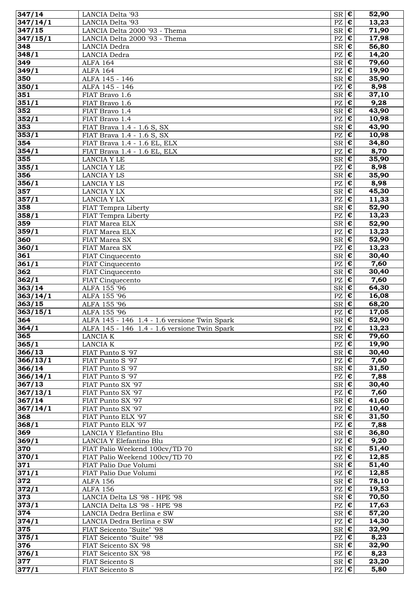| 347/14               | LANCIA Delta '93                             | $SR \overline{\epsilon}$               |                  | 52,90               |
|----------------------|----------------------------------------------|----------------------------------------|------------------|---------------------|
| $\frac{1}{347}/14/1$ | LANCIA Delta '93                             | $PZ$ $E$                               |                  | 13,23               |
| 347/15               | LANCIA Delta 2000 '93 - Thema                | $SR \, \epsilon$                       |                  | 71,90               |
| 347/15/1             | LANCIA Delta 2000 '93 - Thema                | $PZ \in$                               |                  | 17,98               |
| 348                  | LANCIA Dedra                                 | $SR$ $\epsilon$                        |                  | 56,80               |
| 348/1                | LANCIA Dedra                                 | $\mathbf{P}\mathbf{Z}$                 | $\pmb{\epsilon}$ | $\overline{1}$ 4,20 |
| 349                  | <b>ALFA 164</b>                              | $SR \, \epsilon$                       |                  | 79,60               |
| 349/1                | <b>ALFA 164</b>                              | $\mathbf{P}\mathbf{Z}$                 | €                | 19,90               |
| 350                  | ALFA 145 - 146                               | $SR \, \epsilon$                       |                  | 35,90               |
| 350/1                | ALFA 145 - 146                               | $\mathbf{P}\mathbf{Z}$                 | $\epsilon$       | 8,98                |
| 351                  | FIAT Bravo 1.6                               | $SR \mid \mathbf{\overline{E}}$        |                  | 37,10               |
| 351/1                | FIAT Bravo 1.6                               | $PZ \in$                               |                  | 9,28                |
| 352                  | FIAT Bravo 1.4                               | $SR \, \epsilon$                       |                  | 43,90               |
| 352/1                | FIAT Bravo 1.4                               | $PZ$ $E$                               |                  | 10,98               |
| 353                  | FIAT Brava 1.4 - 1.6 S, SX                   | $SR$ $C$                               |                  | 43,90               |
| 353/1                | FIAT Brava 1.4 - 1.6 S, SX                   | $\mathbf{P}\mathbf{Z}$                 | $\epsilon$       | 10,98               |
| 354                  | FIAT Brava 1.4 - 1.6 EL, ELX                 | $SR \, \epsilon$                       |                  | 34,80               |
| 354/1                | FIAT Brava 1.4 - 1.6 EL, ELX                 | PZ                                     | €                | 8,70                |
| 355                  | <b>LANCIA Y LE</b>                           | $SR \, \epsilon$                       |                  | 35,90               |
| 355/1                | LANCIA Y LE                                  | PZ                                     | $\epsilon$       | 8,98                |
| 356                  | LANCIA Y LS                                  | $S_{\mathsf{R}}$ $\epsilon$            |                  | 35,90               |
| 356/1                | LANCIA Y LS                                  | $PZ$ $\epsilon$                        |                  | 8,98                |
| 357                  | LANCIA Y LX                                  | $SR$ $E$                               |                  | 45,30               |
| 357/1                | <b>LANCIA Y LX</b>                           | $PZ \in$                               |                  | 11,33               |
| 358                  | FIAT Tempra Liberty                          | $SR$ $\epsilon$                        |                  | $\frac{1}{52,90}$   |
| 358/1                | FIAT Tempra Liberty                          | $\mathbf{P}\mathbf{Z}$                 | $\pmb{\epsilon}$ | 13,23               |
| 359                  | FIAT Marea ELX                               | $SR \, \epsilon$                       |                  | 52,90               |
| 359/1                | FIAT Marea ELX                               | $\mathbf{P}\mathbf{Z}$                 | $\epsilon$       | 13,23               |
| 360                  | FIAT Marea SX                                | $SR \, \epsilon$                       |                  | 52,90               |
| 360/1                | FIAT Marea SX                                | $\mathbf{P}\mathbf{Z}$                 | $\pmb{\epsilon}$ | 13,23               |
| 361                  | FIAT Cinquecento                             | $S_{\mathsf{R}}$ $\epsilon$            |                  | 30,40               |
| 361/1                | FIAT Cinquecento                             | $PZ$ $\epsilon$                        |                  | 7,60                |
| 362                  | FIAT Cinquecento                             | $SR \, \epsilon$                       |                  | 30,40               |
| 362/1                | FIAT Cinquecento                             | $PZ \in$                               |                  | 7,60                |
| 363/14               | ALFA 155 '96                                 | $SR$ $C$                               |                  | 64,30               |
| 363/14/1             | ALFA 155 '96                                 | $\mathbf{P}\mathbf{Z}$                 | $\pmb{\epsilon}$ | 16,08               |
| 363/15               | ALFA 155 '96                                 | $SR \, \vert \, \overline{\epsilon}$   |                  | 68,20               |
| 363/15/1             | ALFA 155 '96                                 | $\mathbf{P}\mathbf{Z}$                 | $\epsilon$       | 17,05               |
| 364                  | ALFA 145 - 146 1.4 - 1.6 versione Twin Spark | $SR \,   \, \boldsymbol{\epsilon}$     |                  | 52,90               |
| 364/1                | ALFA 145 - 146 1.4 - 1.6 versione Twin Spark | $PZ \in$                               |                  | 13,23               |
| 365                  | LANCIA K                                     | $SR \, \epsilon$                       |                  | 79,60               |
| 365/1                | LANCIA K                                     | $PZ \in$                               |                  | 19,90               |
| 366/13               | FIAT Punto S '97                             | $SR \, \epsilon$                       |                  | 30,40               |
| 366/13/1             | FIAT Punto S '97                             | $PZ \in$                               |                  | 7,60                |
| 366/14               | FIAT Punto S '97                             | $SR \, \epsilon$                       |                  | 31,50               |
| 366/14/1             | FIAT Punto S '97                             | $PZ \mid \overline{\mathbf{\epsilon}}$ |                  | 7,88                |
| 367/13               | FIAT Punto SX '97                            | $SR \, \vert \, \boldsymbol{\epsilon}$ |                  | 30,40               |
| 367/13/1             | FIAT Punto SX '97                            | $PZ \in \mathbf{E}$                    |                  | 7,60                |
| 367/14               | FIAT Punto SX '97                            | $SR \nvert \overline{\epsilon}$        |                  | 41,60               |
| 367/14/1             | FIAT Punto SX '97                            | PZ                                     | $\pmb{\epsilon}$ | 10,40               |
| 368                  | FIAT Punto ELX '97                           | $SR \nvert \overline{\epsilon}$        |                  | 31,50               |
| 368/1                | FIAT Punto ELX '97                           | $PZ \in$                               |                  | 7,88                |
| 369                  | LANCIA Y Elefantino Blu                      | $SR \, \epsilon$                       |                  | 36,80               |
| 369/1                | LANCIA Y Elefantino Blu                      | $PZ \mid \overline{\mathbf{\epsilon}}$ |                  | 9,20                |
| 370                  | FIAT Palio Weekend 100cv/TD 70               | $SR \, \epsilon$                       |                  | 51,40               |
| 370/1                | FIAT Palio Weekend 100cv/TD 70               | $PZ \in$                               |                  | 12,85               |
| 371                  | FIAT Palio Due Volumi                        | $SR \, \epsilon$                       |                  | 51,40               |
| 371/1                | FIAT Palio Due Volumi                        | $PZ \in \mathbf{E}$                    |                  | 12,85               |
| 372                  | <b>ALFA 156</b>                              | $SR \, \, \boldsymbol{\epsilon}$       |                  | 78,10               |
| 372/1                | <b>ALFA 156</b>                              | $PZ \in \mathbf{E}$                    |                  | 19,53               |
| 373                  | LANCIA Delta LS '98 - HPE '98                | $SR \nvert \overline{\epsilon}$        |                  | 70,50               |
| 373/1                | LANCIA Delta LS '98 - HPE '98                | $PZ \in$                               |                  | 17,63               |
| 374                  |                                              |                                        |                  |                     |
|                      | LANCIA Dedra Berlina e SW                    | $SR \, \epsilon$                       |                  | 57,20               |
|                      | LANCIA Dedra Berlina e SW                    | $PZ \in$                               |                  | 14,30               |
| 374/1<br>375         | FIAT Seicento "Suite" '98                    | $SR \, \epsilon$                       |                  | 32,90               |
| 375/1                | FIAT Seicento "Suite" '98                    | $PZ \in \mathbf{C}$                    |                  | 8,23                |
| 376                  | FIAT Seicento SX '98                         | $SR \, \epsilon$                       |                  | 32,90               |
| 376/1                | FIAT Seicento SX '98                         | $PZ \in \mathbf{E}$                    |                  | 8,23                |
| 377<br>377/1         | FIAT Seicento S<br>FIAT Seicento S           | $SR \, \epsilon$<br>$PZ \in$           |                  | 23,20<br>5,80       |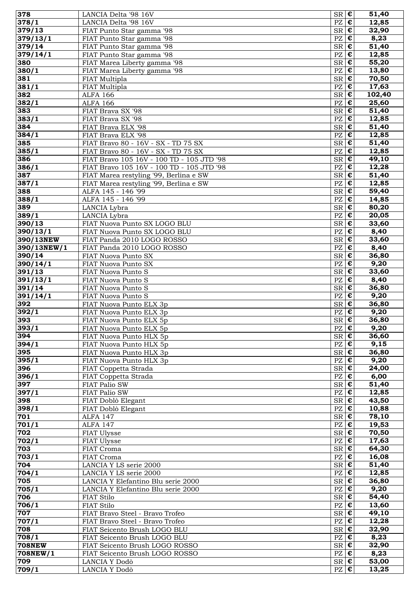| 378           | LANCIA Delta '98 16V                                            | $SR \, \vert \, \overline{\epsilon}$   |                       | 51,40  |
|---------------|-----------------------------------------------------------------|----------------------------------------|-----------------------|--------|
| 378/1         | LANCIA Delta '98 16V                                            | $PZ$ $E$                               |                       | 12,85  |
| 379/13        | FIAT Punto Star gamma '98                                       | $S_{\rm R}$ $\epsilon$                 |                       | 32,90  |
| 379/13/1      | FIAT Punto Star gamma '98                                       | $PZ \in$                               |                       | 8,23   |
| 379/14        | FIAT Punto Star gamma '98                                       | $SR$ $C$                               |                       | 51,40  |
| 379/14/1      | FIAT Punto Star gamma '98                                       | PZ                                     | $\epsilon$            | 12,85  |
| 380           | FIAT Marea Liberty gamma '98                                    | $SR \, \vert \, \boldsymbol{\epsilon}$ |                       | 55,20  |
| 380/1         | FIAT Marea Liberty gamma '98                                    | PZ                                     | $\epsilon$            | 13,80  |
| 381           | FIAT Multipla                                                   | $SR \, \vert \, \boldsymbol{\epsilon}$ |                       | 70,50  |
| 381/1         | FIAT Multipla                                                   | $\mathbf{P}\mathbf{Z}$                 | $\overline{\epsilon}$ | 17,63  |
| 382           | <b>ALFA 166</b>                                                 | $S_{\mathsf{R}}$ $\epsilon$            |                       | 102,40 |
| 382/1         | <b>ALFA 166</b>                                                 | $PZ \nvert \mathbf{\varepsilon}$       |                       | 25,60  |
| 383           | FIAT Brava SX '98                                               | $S_{\mathsf{R}}$ $\epsilon$            |                       | 51,40  |
| 383/1         | FIAT Brava SX '98                                               | $PZ \in$                               |                       | 12,85  |
| 384           | FIAT Brava ELX '98                                              | $SR$ $C$                               |                       | 51,40  |
| 384/1         | FIAT Brava ELX '98                                              | $\mathbf{P}\mathbf{Z}$                 | $\epsilon$            | 12,85  |
| 385           | FIAT Bravo 80 - 16V - SX - TD 75 SX                             | $SR \, \vert \, \boldsymbol{\epsilon}$ |                       | 51,40  |
| 385/1         | FIAT Bravo 80 - 16V - SX - TD 75 SX                             | PZ                                     | $\pmb{\epsilon}$      | 12,85  |
| 386           | FIAT Bravo 105 16V - 100 TD - 105 JTD '98                       | $SR \, \vert \, \boldsymbol{\epsilon}$ |                       | 49,10  |
| 386/1         | FIAT Bravo 105 16V - 100 TD - 105 JTD '98                       | $PZ$ $\varepsilon$                     |                       | 12,28  |
| 387           | FIAT Marea restyling '99, Berlina e SW                          | $S_{\mathsf{R}}$ $\epsilon$            |                       | 51,40  |
| 387/1         | FIAT Marea restyling '99, Berlina e SW                          | $PZ$ $E$                               |                       | 12,85  |
| 388           | ALFA 145 - 146 '99                                              | $SR \, \vert \, \boldsymbol{\epsilon}$ |                       | 59,40  |
| 388/1         | ALFA 145 - 146 '99                                              | $PZ \in$                               |                       | 14,85  |
| 389           | LANCIA Lybra                                                    | $S_{\rm R}$ $\epsilon$                 |                       | 80,20  |
| 389/1         | LANCIA Lybra                                                    | PZ                                     | ¢                     | 20,05  |
| 390/13        | FIAT Nuova Punto SX LOGO BLU                                    | $SR \, \vert \, \boldsymbol{\epsilon}$ |                       | 33,60  |
| 390/13/1      | FIAT Nuova Punto SX LOGO BLU                                    | PZ                                     | $\epsilon$            | 8,40   |
| 390/13NEW     | FIAT Panda 2010 LOGO ROSSO                                      | $SR \, \vert \, \boldsymbol{\epsilon}$ |                       | 33,60  |
| 390/13NEW/1   | FIAT Panda 2010 LOGO ROSSO                                      | $\mathbf{P}\mathbf{Z}$                 | $\overline{\epsilon}$ | 8,40   |
| 390/14        | FIAT Nuova Punto SX                                             | $S_{\mathsf{R}}$ $\epsilon$            |                       | 36,80  |
| 390/14/1      | FIAT Nuova Punto SX                                             | $PZ \in$                               |                       | 9,20   |
| 391/13        | FIAT Nuova Punto S                                              | $SR \, \vert \, \boldsymbol{\epsilon}$ |                       | 33,60  |
| 391/13/1      | FIAT Nuova Punto S                                              | $PZ \in$                               |                       | 8,40   |
| 391/14        | FIAT Nuova Punto S                                              | $S_{\rm R}$ $\epsilon$                 |                       | 36,80  |
| 391/14/1      | FIAT Nuova Punto S                                              | $PZ$ $E$                               |                       | 9,20   |
| 392           | FIAT Nuova Punto ELX 3p                                         | $SR \, \, \boldsymbol{\epsilon}$       |                       | 36,80  |
| 392/1         | FIAT Nuova Punto ELX 3p                                         | PZ                                     | I€                    | 9,20   |
| 393           | FIAT Nuova Punto ELX 5p                                         | $SR$ $E$                               |                       | 36,80  |
| 393/1         | FIAT Nuova Punto ELX 5p                                         | $PZ$ $C$                               |                       | 9,20   |
| 394           | FIAT Nuova Punto HLX 5p                                         | $S_{\mathsf{R}}$ $\epsilon$            |                       | 36,60  |
| 394/1         | FIAT Nuova Punto HLX 5p                                         | $PZ$ $E$                               |                       | 9,15   |
| 395           | FIAT Nuova Punto HLX 3p                                         | $SR \, \epsilon$                       |                       | 36,80  |
| 395/1         | FIAT Nuova Punto HLX 3p                                         | $PZ \in$                               |                       | 9,20   |
| 396           | FIAT Coppetta Strada                                            | $SR \, \epsilon$                       |                       | 24,00  |
| 396/1         | FIAT Coppetta Strada                                            | $PZ$ $E$                               |                       | 6,00   |
| 397           | FIAT Palio SW                                                   | $SR \, \, \boldsymbol{\epsilon}$       |                       | 51,40  |
| 397/1         | FIAT Palio SW                                                   | $PZ \in$                               |                       | 12,85  |
|               | FIAT Doblò Elegant                                              | $SR \, \vert \, \boldsymbol{\epsilon}$ |                       | 43,50  |
| 398<br>398/1  | FIAT Doblò Elegant                                              | $PZ \in$                               |                       | 10,88  |
| 701           | ALFA 147                                                        | $S_{\mathsf{R}}$ $\epsilon$            |                       | 78,10  |
| 701/1         | ALFA 147                                                        | $PZ \in$                               |                       | 19,53  |
| 702           | FIAT Ulysse                                                     | $SR \, \vert \, \boldsymbol{\epsilon}$ |                       | 70,50  |
| 702/1         | FIAT Ulysse                                                     | $PZ \mid \overline{\mathbf{\epsilon}}$ |                       | 17,63  |
| 703           | FIAT Croma                                                      | $SR \, \epsilon$                       |                       | 64,30  |
| 703/1         | FIAT Croma                                                      | $PZ \in$                               |                       | 16,08  |
| 704           | LANCIA Y LS serie 2000                                          | $SR \, \, \boldsymbol{\epsilon}$       |                       | 51,40  |
| 704/1         | LANCIA Y LS serie 2000                                          | $PZ \mid \mathbf{E}$                   |                       | 12,85  |
| 705           | LANCIA Y Elefantino Blu serie 2000                              | $SR \, \vert \, \boldsymbol{\epsilon}$ |                       | 36,80  |
| 705/1         | LANCIA Y Elefantino Blu serie 2000                              | $PZ \in$                               |                       | 9,20   |
| 706           | FIAT Stilo                                                      | $S_{\mathsf{R}}$ $\epsilon$            |                       | 54,40  |
| 706/1         | FIAT Stilo                                                      | $PZ \in$                               |                       | 13,60  |
| 707           | FIAT Bravo Steel - Bravo Trofeo                                 | $SR \, \vert \, \boldsymbol{\epsilon}$ |                       | 49,10  |
| 707/1         |                                                                 | $PZ \in \mathbf{E}$                    |                       | 12,28  |
| 708           | FIAT Bravo Steel - Bravo Trofeo<br>FIAT Seicento Brush LOGO BLU | $SR \, \vert \, \boldsymbol{\epsilon}$ |                       |        |
|               |                                                                 | $PZ \in \mathbf{C}$                    |                       | 32,90  |
| 708/1         | FIAT Seicento Brush LOGO BLU                                    |                                        |                       | 8,23   |
| <b>708NEW</b> | FIAT Seicento Brush LOGO ROSSO                                  | $SR \, \epsilon$                       |                       | 32,90  |
| 708NEW/1      | FIAT Seicento Brush LOGO ROSSO                                  | $PZ \in$                               |                       | 8,23   |
| 709           | LANCIA Y Dodò                                                   | $SR \, \, \boldsymbol{\epsilon}$       |                       | 53,00  |
| 709/1         | LANCIA Y Dodò                                                   | $PZ \in$                               |                       | 13,25  |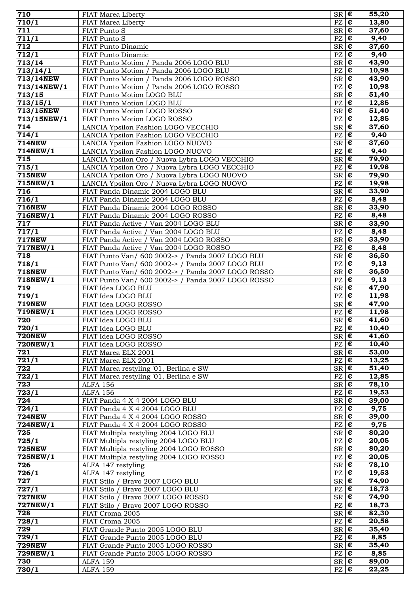| 710                | FIAT Marea Liberty                                 | $SR \, \epsilon$                                 |                           | 55,20 |
|--------------------|----------------------------------------------------|--------------------------------------------------|---------------------------|-------|
| 710/1              | FIAT Marea Liberty                                 | $PZ \mid \overline{\mathbf{\epsilon}}$           |                           | 13,80 |
| 711                | FIAT Punto S                                       | $SR \nvert \overline{\epsilon}$                  |                           | 37,60 |
| 711/1              | FIAT Punto S                                       | PZ                                               | $\epsilon$                | 9,40  |
| 712                | FIAT Punto Dinamic                                 | $SR \, \epsilon$                                 |                           | 37,60 |
| 712/1              | FIAT Punto Dinamic                                 | $PZ \in \mathbf{E}$                              |                           | 9,40  |
| 713/14             | FIAT Punto Motion / Panda 2006 LOGO BLU            | $SR \, \epsilon$                                 |                           | 43,90 |
|                    |                                                    |                                                  |                           |       |
| 713/14/1           | FIAT Punto Motion / Panda 2006 LOGO BLU            | $PZ$ $\overline{\epsilon}$                       |                           | 10,98 |
| 713/14NEW          | FIAT Punto Motion / Panda 2006 LOGO ROSSO          | $SR \, \epsilon$                                 |                           | 43,90 |
| 713/14NEW/1        | FIAT Punto Motion / Panda 2006 LOGO ROSSO          | $PZ \in \mathbf{E}$                              |                           | 10,98 |
| 713/15             | FIAT Punto Motion LOGO BLU                         | $SR \, \epsilon$                                 |                           | 51,40 |
| 713/15/1           | FIAT Punto Motion LOGO BLU                         | $PZ$ $E$                                         |                           | 12,85 |
| 713/15NEW          | FIAT Punto Motion LOGO ROSSO                       | $S_{\rm R}$ $\sqrt{\epsilon}$                    |                           | 51,40 |
| 713/15NEW/1        | FIAT Punto Motion LOGO ROSSO                       | PZ                                               | $\pmb{\epsilon}$          | 12,85 |
| 714                | LANCIA Ypsilon Fashion LOGO VECCHIO                | $SR \, \, \boldsymbol{\epsilon}$                 |                           | 37,60 |
| 714/1              | LANCIA Ypsilon Fashion LOGO VECCHIO                | $PZ \mid \mathbf{E}$                             |                           | 9,40  |
| <b>714NEW</b>      | LANCIA Ypsilon Fashion LOGO NUOVO                  | $S_{\overline{\mathbf{R}}}\mathbf{C}$            |                           | 37,60 |
|                    |                                                    | $PZ$ $\varepsilon$                               |                           | 9,40  |
| 714NEW/1           | LANCIA Ypsilon Fashion LOGO NUOVO                  |                                                  |                           |       |
| 715                | LANCIA Ypsilon Oro / Nuova Lybra LOGO VECCHIO      | $SR$ $\epsilon$                                  |                           | 79,90 |
| 715/1              | LANCIA Ypsilon Oro / Nuova Lybra LOGO VECCHIO      | $PZ \mid \overline{\mathbf{\epsilon}}$           |                           | 19,98 |
| <b>715NEW</b>      | LANCIA Ypsilon Oro / Nuova Lybra LOGO NUOVO        | $SR \, \epsilon$                                 |                           | 79,90 |
| 715NEW/1           | LANCIA Ypsilon Oro / Nuova Lybra LOGO NUOVO        | $PZ \in$                                         |                           | 19,98 |
| 716                | FIAT Panda Dinamic 2004 LOGO BLU                   | $SR \, \epsilon$                                 |                           | 33,90 |
| $\frac{1}{7}$ 16/1 | FIAT Panda Dinamic 2004 LOGO BLU                   | PZ                                               | $\pmb{\epsilon}$          | 8,48  |
| <b>716NEW</b>      | FIAT Panda Dinamic 2004 LOGO ROSSO                 | $SR \, \epsilon$                                 |                           | 33,90 |
| 716NEW/1           | FIAT Panda Dinamic 2004 LOGO ROSSO                 | PZ                                               | $\epsilon$                | 8,48  |
| 717                | FIAT Panda Active / Van 2004 LOGO BLU              | $S_{\overline{\mathbf{R}}}\overline{\mathbf{E}}$ |                           | 33,90 |
| 717/1              |                                                    | $PZ \in$                                         |                           | 8,48  |
|                    | FIAT Panda Active / Van 2004 LOGO BLU              |                                                  |                           |       |
| <b>717NEW</b>      | FIAT Panda Active / Van 2004 LOGO ROSSO            | $SR \, \epsilon$                                 |                           | 33,90 |
| 717NEW/1           | FIAT Panda Active / Van 2004 LOGO ROSSO            | $PZ \in$                                         |                           | 8,48  |
| 718                | FIAT Punto Van/ 600 2002-> / Panda 2007 LOGO BLU   | $SR \, \vert \, \boldsymbol{\epsilon}$           |                           | 36,50 |
| 718/1              | FIAT Punto Van/ 600 2002-> / Panda 2007 LOGO BLU   | $PZ$ $E$                                         |                           | 9,13  |
| <b>718NEW</b>      | FIAT Punto Van/ 600 2002-> / Panda 2007 LOGO ROSSO | $SR \mid \mathbf{\overline{E}}$                  |                           | 36,50 |
| 718NEW/1           | FIAT Punto Van/ 600 2002-> / Panda 2007 LOGO ROSSO | PZ                                               | $\pmb{\epsilon}$          | 9,13  |
| 719                | FIAT Idea LOGO BLU                                 | $SR \, \vert \, \boldsymbol{\epsilon}$           |                           | 47,90 |
| 719/1              | FIAT Idea LOGO BLU                                 | PZ                                               | $ \boldsymbol{\epsilon} $ | 11,98 |
| <b>719NEW</b>      | FIAT Idea LOGO ROSSO                               | $SR$ $\overline{e}$                              |                           | 47,90 |
|                    |                                                    |                                                  | $\epsilon$                |       |
| 719NEW/1           | FIAT Idea LOGO ROSSO                               | $\mathbf{P}\mathbf{Z}$                           |                           | 11,98 |
| 720                | FIAT Idea LOGO BLU                                 | $S_{\overline{\mathbf{R}}}\overline{\mathbf{E}}$ |                           | 41,60 |
| 720/1              | FIAT Idea LOGO BLU                                 | $PZ$ $\varepsilon$                               |                           | 10,40 |
| <b>720NEW</b>      | FIAT Idea LOGO ROSSO                               | $SR \, \epsilon$                                 |                           | 41,60 |
| 720NEW/1           | FIAT Idea LOGO ROSSO                               | $PZ \in$                                         |                           | 10,40 |
| 721                | FIAT Marea ELX 2001                                | $SR \mid \mathbf{\overline{E}}$                  |                           | 53,00 |
| 721/1              | FIAT Marea ELX 2001                                | $PZ \in$                                         |                           | 13,25 |
| 722                | FIAT Marea restyling '01, Berlina e SW             | $SR \, \epsilon$                                 |                           | 51,40 |
| 722/1              | FIAT Marea restyling '01, Berlina e SW             | $PZ \mid \overline{\mathbf{\epsilon}}$           |                           | 12,85 |
| 723                | <b>ALFA 156</b>                                    | $SR \nvert \overline{\epsilon}$                  |                           | 78,10 |
| 723/1              |                                                    | $PZ$ $E$                                         |                           |       |
|                    | <b>ALFA 156</b>                                    |                                                  |                           | 19,53 |
| 724                | FIAT Panda 4 X 4 2004 LOGO BLU                     | $SR \, \epsilon$                                 |                           | 39,00 |
| 724/1              | FIAT Panda 4 X 4 2004 LOGO BLU                     | $PZ \in$                                         |                           | 9,75  |
| <b>724NEW</b>      | FIAT Panda 4 X 4 2004 LOGO ROSSO                   | $SR \, \vert \, \boldsymbol{\epsilon}$           |                           | 39,00 |
| 724NEW/1           | FIAT Panda 4 X 4 2004 LOGO ROSSO                   | $PZ \mid \overline{\mathbf{\epsilon}}$           |                           | 9,75  |
| 725                | FIAT Multipla restyling 2004 LOGO BLU              | $SR \, \epsilon$                                 |                           | 80,20 |
| 725/1              | FIAT Multipla restyling 2004 LOGO BLU              | $PZ \in$                                         |                           | 20,05 |
| <b>725NEW</b>      | FIAT Multipla restyling 2004 LOGO ROSSO            | $SR \, \epsilon$                                 |                           | 80,20 |
| 725NEW/1           | FIAT Multipla restyling 2004 LOGO ROSSO            | $PZ \in \mathbf{E}$                              |                           | 20,05 |
| 726                | ALFA 147 restyling                                 | $SR \, \epsilon$                                 |                           | 78,10 |
| 726/1              | ALFA 147 restyling                                 | $PZ \in$                                         |                           | 19,53 |
| 727                | FIAT Stilo / Bravo 2007 LOGO BLU                   | $SR \nvert \overline{\epsilon}$                  |                           | 74,90 |
| 727/1              |                                                    | $PZ \in$                                         |                           | 18,73 |
|                    | FIAT Stilo / Bravo 2007 LOGO BLU                   |                                                  |                           |       |
| <b>727NEW</b>      | FIAT Stilo / Bravo 2007 LOGO ROSSO                 | $SR \, \vert \, \boldsymbol{\epsilon}$           |                           | 74,90 |
| 727NEW/1           | FIAT Stilo / Bravo 2007 LOGO ROSSO                 | $PZ \mid \overline{\mathbf{\epsilon}}$           |                           | 18,73 |
| 728                | FIAT Croma 2005                                    | $SR \in$                                         |                           | 82,30 |
| 728/1              | FIAT Croma 2005                                    | $PZ \in$                                         |                           | 20,58 |
| 729                | FIAT Grande Punto 2005 LOGO BLU                    | $SR \, \epsilon$                                 |                           | 35,40 |
| 729/1              | FIAT Grande Punto 2005 LOGO BLU                    | $PZ \mid \overline{\mathbf{\epsilon}}$           |                           | 8,85  |
| <b>729NEW</b>      | FIAT Grande Punto 2005 LOGO ROSSO                  | $SR \, \epsilon$                                 |                           | 35,40 |
| 729NEW/1           | FIAT Grande Punto 2005 LOGO ROSSO                  | $PZ \in$                                         |                           | 8,85  |
| 730                | <b>ALFA 159</b>                                    | $SR \in$                                         |                           | 89,00 |
| 730/1              | <b>ALFA 159</b>                                    | $PZ$ $\epsilon$                                  |                           | 22,25 |
|                    |                                                    |                                                  |                           |       |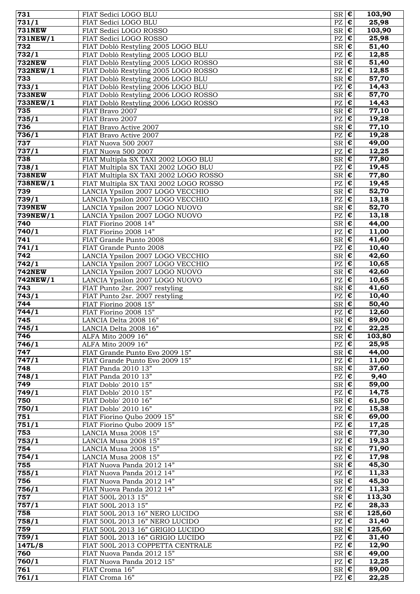| 731                      | FIAT Sedici LOGO BLU                                                     | $S_{\mathsf{R}}$ $\epsilon$                        |                                           | 103,90                  |
|--------------------------|--------------------------------------------------------------------------|----------------------------------------------------|-------------------------------------------|-------------------------|
| $\frac{1}{731/1}$        | FIAT Sedici LOGO BLU                                                     | $PZ \nvert \mathbf{C}$                             |                                           | 25,98                   |
| <b>731NEW</b>            | FIAT Sedici LOGO ROSSO                                                   | $SR$ $E$                                           |                                           | 103,90                  |
| 731NEW/1                 | FIAT Sedici LOGO ROSSO                                                   | PZ                                                 | $\pmb{\epsilon}$                          | 25,98                   |
| 732<br>$\frac{1}{7}32/1$ | FIAT Doblò Restyling 2005 LOGO BLU<br>FIAT Doblò Restyling 2005 LOGO BLU | <b>SR</b><br>PZ                                    | $\epsilon$<br>$\overline{\epsilon}$       | 51,40<br>12,85          |
| <b>732NEW</b>            | FIAT Doblò Restyling 2005 LOGO ROSSO                                     | <b>SR</b>                                          | $\pmb{\epsilon}$                          | 51,40                   |
| 732NEW/1                 | FIAT Doblò Restyling 2005 LOGO ROSSO                                     | PZ                                                 | €                                         | 12,85                   |
| 733                      | FIAT Doblò Restyling 2006 LOGO BLU                                       | <b>SR</b>                                          | $\bullet$                                 | 57,70                   |
| 733/1                    | FIAT Doblò Restyling 2006 LOGO BLU                                       | PZ                                                 | $\overline{\epsilon}$                     | 14,43                   |
| <b>733NEW</b>            | FIAT Doblò Restyling 2006 LOGO ROSSO                                     | <b>SR</b>                                          | $\pmb{\epsilon}$                          | 57,70                   |
| 733NEW/1                 | FIAT Doblò Restyling 2006 LOGO ROSSO                                     | PZ                                                 | $\bullet$                                 | 14,43                   |
| 735                      | FIAT Bravo 2007                                                          | <b>SR</b>                                          | $\overline{\epsilon}$                     | 77,10                   |
| 735/1<br>736             | FIAT Bravo 2007                                                          | $\mathbf{P}\mathbf{Z}$<br><b>SR</b>                | $\epsilon$<br>$\overline{\epsilon}$       | 19,28<br>$\sqrt{77,10}$ |
| 736/1                    | FIAT Bravo Active 2007<br>FIAT Bravo Active 2007                         | $\mathbf{P}\mathbf{Z}$                             | $\overline{\epsilon}$                     | 19,28                   |
| 737                      | FIAT Nuova 500 2007                                                      | SR                                                 | $\overline{\epsilon}$                     | 49,00                   |
| 737/1                    | FIAT Nuova 500 2007                                                      | PZ                                                 | €                                         | 12,25                   |
| 738                      | FIAT Multipla SX TAXI 2002 LOGO BLU                                      | $\ensuremath{\mathsf{SR}}\xspace$                  | $\epsilon$                                | 77,80                   |
| 738/1                    | FIAT Multipla SX TAXI 2002 LOGO BLU                                      | PZ                                                 | $\bullet$                                 | 19,45                   |
| <b>738NEW</b>            | FIAT Multipla SX TAXI 2002 LOGO ROSSO                                    | <b>SR</b>                                          | $\epsilon$                                | 77,80                   |
| 738NEW/1                 | FIAT Multipla SX TAXI 2002 LOGO ROSSO                                    | PZ                                                 | $\bullet$                                 | 19,45                   |
| 739                      | LANCIA Ypsilon 2007 LOGO VECCHIO                                         | <b>SR</b><br>PZ                                    | $\overline{\epsilon}$<br>$\epsilon$       | 52,70                   |
| 739/1<br><b>739NEW</b>   | LANCIA Ypsilon 2007 LOGO VECCHIO<br>LANCIA Ypsilon 2007 LOGO NUOVO       | <b>SR</b>                                          | $\epsilon$                                | 13,18<br>52,70          |
| 739NEW/1                 | LANCIA Ypsilon 2007 LOGO NUOVO                                           | $\mathbf{P}\mathbf{Z}$                             | $\overline{\epsilon}$                     | 13,18                   |
| 740                      | FIAT Fiorino 2008 14"                                                    | <b>SR</b>                                          | $\overline{\epsilon}$                     | 44,00                   |
| 740/1                    | FIAT Fiorino 2008 14"                                                    | PZ                                                 | €                                         | 11,00                   |
| 741                      | FIAT Grande Punto 2008                                                   | <b>SR</b>                                          | $\epsilon$                                | $\overline{4}1,60$      |
| 741/1                    | FIAT Grande Punto 2008                                                   | $\mathbf{P}\mathbf{Z}$                             | €                                         | 10,40                   |
| 742                      | LANCIA Ypsilon 2007 LOGO VECCHIO                                         | <b>SR</b>                                          | $\overline{\epsilon}$                     | 42,60                   |
| 742/1<br><b>742NEW</b>   | LANCIA Ypsilon 2007 LOGO VECCHIO                                         | PZ<br><b>SR</b>                                    | $\pmb{\epsilon}$<br>$\overline{\epsilon}$ | 10,65<br>42,60          |
| 742NEW/1                 | LANCIA Ypsilon 2007 LOGO NUOVO<br>LANCIA Ypsilon 2007 LOGO NUOVO         | PZ                                                 | $\overline{\epsilon}$                     | 10,65                   |
| 743                      | FIAT Punto 2sr. 2007 restyling                                           | <b>SR</b>                                          | $\epsilon$                                | 41,60                   |
| 743/1                    | FIAT Punto 2sr. 2007 restyling                                           | PZ                                                 | $\overline{\epsilon}$                     | 10,40                   |
| 744                      | FIAT Fiorino 2008 15"                                                    | <b>SR</b>                                          | $\overline{\epsilon}$                     | 50,40                   |
| 744/1                    | FIAT Fiorino 2008 15"                                                    | PZ                                                 | $\pmb{\epsilon}$                          | 12,60                   |
| 745                      | LANCIA Delta 2008 16"                                                    | SR                                                 | $\overline{\epsilon}$                     | 89,00                   |
| 745/1                    | LANCIA Delta 2008 16'                                                    | $PZ$ $C$<br>$SR \, \vert \, \boldsymbol{\epsilon}$ |                                           | 22,25                   |
| 746<br>746/1             | ALFA Mito 2009 16"<br>ALFA Mito 2009 16"                                 | PZ                                                 | $\pmb{\epsilon}$                          | 103,80<br>25,95         |
| 747                      | FIAT Grande Punto Evo 2009 15"                                           | $SR \, \epsilon$                                   |                                           | 44,00                   |
| 747/1                    | FIAT Grande Punto Evo 2009 15"                                           | PZ                                                 | $\bullet$                                 | 11,00                   |
| 748                      | FIAT Panda 2010 13"                                                      | $SR \, \epsilon$                                   |                                           | 37,60                   |
| 748/1                    | FIAT Panda 2010 13"                                                      | PZ                                                 | $\epsilon$                                | 9,40                    |
| 749                      | FIAT Doblo' 2010 15"                                                     | $SR \nvert \mathbf{\epsilon}$                      |                                           | 59,00                   |
| 749/1                    | FIAT Doblo' 2010 15"                                                     | PZ                                                 | $\pmb{\epsilon}$                          | 14,75                   |
| 750<br>750/1             | FIAT Doblo' 2010 16"<br>FIAT Doblo' 2010 16"                             | $SR \, \epsilon$<br>PZ                             | €                                         | 61,50<br>15,38          |
| 751                      | FIAT Fiorino Qubo 2009 15"                                               | <b>SR</b>                                          | $\bullet$                                 | 69,00                   |
| 751/1                    | FIAT Fiorino Qubo 2009 15"                                               | PZ                                                 | $\pmb{\epsilon}$                          | 17,25                   |
| 753                      | LANCIA Musa 2008 15"                                                     | $SR \, \vert \, \boldsymbol{\epsilon}$             |                                           | 77,30                   |
| 753/1                    | LANCIA Musa 2008 15"                                                     | PZ                                                 | $\bullet$                                 | 19,33                   |
| 754                      | LANCIA Musa 2008 15"                                                     | $SR$ $C$                                           |                                           | 71,90                   |
| 754/1                    | LANCIA Musa 2008 15"                                                     | PZ                                                 | $\bullet$                                 | 17,98                   |
| 755                      | FIAT Nuova Panda 2012 14"                                                | $SR \nvert \mathbf{\epsilon}$                      |                                           | 45,30                   |
| 755/1<br>756             | FIAT Nuova Panda 2012 14"<br>FIAT Nuova Panda 2012 14"                   | PZ<br>SR                                           | $\pmb{\epsilon}$<br>$\epsilon$            | 11,33<br>45,30          |
| 756/1                    | FIAT Nuova Panda 2012 14"                                                | PZ                                                 | €                                         | 11,33                   |
| 757                      | FIAT 500L 2013 15"                                                       | <b>SR</b>                                          | $\bullet$                                 | 113,30                  |
| 757/1                    | FIAT 500L 2013 15"                                                       | PZ                                                 | $\epsilon$                                | 28,33                   |
| 758                      | FIAT 500L 2013 16" NERO LUCIDO                                           | $SR \, \epsilon$                                   |                                           | 125,60                  |
| 758/1                    | FIAT 500L 2013 16" NERO LUCIDO                                           | PZ                                                 | $\pmb{\epsilon}$                          | 31,40                   |
| 759                      | FIAT 500L 2013 16" GRIGIO LUCIDO                                         | $SR$ $C$                                           |                                           | 125,60                  |
| 759/1<br>147L/S          | FIAT 500L 2013 16" GRIGIO LUCIDO                                         | PZ<br>PZ                                           | $\bullet$<br>$\epsilon$                   | 31,40                   |
| 760                      | FIAT 500L 2013 COPPETTA CENTRALE<br>FIAT Nuova Panda 2012 15"            | $SR \, \epsilon$                                   |                                           | 12,90<br>49,00          |
| 760/1                    | FIAT Nuova Panda 2012 15"                                                | PZ                                                 | $\epsilon$                                | 12,25                   |
| 761                      | FIAT Croma 16"                                                           | $SR \, \epsilon$                                   |                                           | 89,00                   |
| $\frac{1}{761}$ /1       | FIAT Croma 16"                                                           | $\mathbf{P}\mathbf{Z}$                             | $\overline{\epsilon}$                     | 22,25                   |
|                          |                                                                          |                                                    |                                           |                         |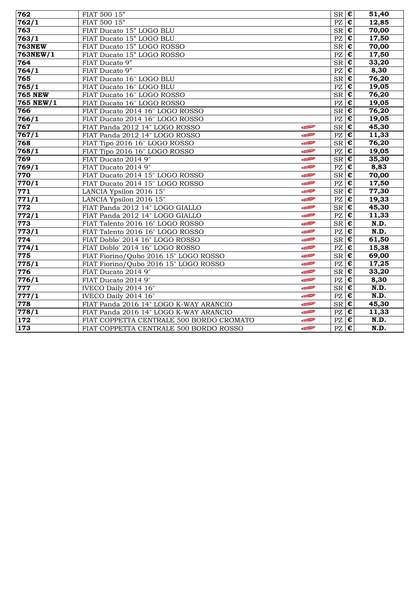| 762                | FIAT 500 15"                             |             | $SR \, \vert \, \boldsymbol{\epsilon}$                  |                       | 51,40 |
|--------------------|------------------------------------------|-------------|---------------------------------------------------------|-----------------------|-------|
| 762/1              | FIAT 500 15"                             |             | PZ                                                      | $\pmb{\epsilon}$      | 12,85 |
| 763                | FIAT Ducato 15" LOGO BLU                 |             | $SR$ $\overline{E}$                                     |                       | 70,00 |
| 763/1              | FIAT Ducato 15" LOGO BLU                 |             | PZ                                                      | $\pmb{\epsilon}$      | 17,50 |
| <b>763NEW</b>      | FIAT Ducato 15" LOGO ROSSO               |             | $\overline{\text{SR}}$                                  | ¢                     | 70,00 |
| $763$ NEW/1        | FIAT Ducato 15" LOGO ROSSO               |             | PZ                                                      | $\pmb{\epsilon}$      | 17,50 |
| 764                | FIAT Ducato 9"                           |             | <b>SR</b>                                               | $\overline{\epsilon}$ | 33,20 |
| 764/1              | FIAT Ducato 9"                           |             | $\mathbf{P}\mathbf{Z}$                                  | $\overline{\epsilon}$ | 8,30  |
| 765                | FIAT Ducato 16" LOGO BLU                 |             | $\overline{\text{SR}}$                                  | $\overline{\epsilon}$ | 76,20 |
| $\frac{1}{765}$ /1 | FIAT Ducato 16" LOGO BLU                 |             | $\overline{PZ}$                                         | E                     | 19,05 |
| <b>765 NEW</b>     | FIAT Ducato 16" LOGO ROSSO               |             | SR                                                      | $\epsilon$            | 76,20 |
| 765 NEW/1          | FIAT Ducato 16" LOGO ROSSO               |             | $\overline{PZ}$                                         | $\overline{\epsilon}$ | 19,05 |
| 766                | FIAT Ducato 2014 16" LOGO ROSSO          |             | ${\rm SR}$                                              | $\overline{\epsilon}$ | 76,20 |
| 766/1              | FIAT Ducato 2014 16" LOGO ROSSO          |             | PZ                                                      | $\overline{\epsilon}$ | 19,05 |
| 767                | FIAT Panda 2012 14" LOGO ROSSO           | NEW-        | <b>SR</b>                                               | ¢                     | 45,30 |
| 767/1              | FIAT Panda 2012 14" LOGO ROSSO           | <b>NIEW</b> | $\mathbf{P}\mathbf{Z}$                                  | $\pmb{\epsilon}$      | 11,33 |
| 768                | FIAT Tipo 2016 16" LOGO ROSSO            | NEW         | $SR$ $C$                                                |                       | 76,20 |
| 768/1              | FIAT Tipo 2016 16" LOGO ROSSO            | NEW         | PZ                                                      | $\overline{\epsilon}$ | 19,05 |
| 769                | FIAT Ducato 2014 9"                      | NEW         | $\overline{\text{SR}}$                                  | $\overline{\epsilon}$ | 35,30 |
| 769/1              | FIAT Ducato 2014 9"                      | NEW         | PZ                                                      | $\overline{\epsilon}$ | 8,83  |
| 770                | FIAT Ducato 2014 15" LOGO ROSSO          | NEW         | <b>SR</b>                                               | $\pmb{\epsilon}$      | 70,00 |
| 770/1              | FIAT Ducato 2014 15" LOGO ROSSO          | NEW         | $\overline{PZ}$                                         | $\overline{\epsilon}$ | 17,50 |
| 771                | LANCIA Ypsilon 2016 15"                  | NEW         | SR                                                      | $\overline{\epsilon}$ | 77,30 |
| 771/1              | LANCIA Ypsilon 2016 15"                  | NEW         | $\overline{PZ}$                                         | $\overline{\epsilon}$ | 19,33 |
| 772                | FIAT Panda 2012 14" LOGO GIALLO          | NEW         | $S_{\rm R}$ $\epsilon$                                  |                       | 45,30 |
| 772/1              | FIAT Panda 2012 14" LOGO GIALLO          | NEW         | PZ                                                      | $\overline{\epsilon}$ | 11,33 |
| 773                | FIAT Talento 2016 16" LOGO ROSSO         | NEW         | $\overline{\text{SR}}$                                  | $\overline{\epsilon}$ | N.D.  |
| 773/1              | FIAT Talento 2016 16" LOGO ROSSO         | NEW         | $\mathbf{P}\mathbf{Z}$                                  | $\pmb{\epsilon}$      | N.D.  |
| 774                | FIAT Doblo' 2014 16" LOGO ROSSO          | NEW         | <b>SR</b>                                               | $\overline{\epsilon}$ | 61,50 |
| 774/1              | FIAT Doblo' 2014 16" LOGO ROSSO          | NEW         | PZ                                                      | ¢                     | 15,38 |
| 775                | FIAT Fiorino/Qubo 2016 15" LOGO ROSSO    | NEW         | $\overline{\text{SR}}$                                  | $\overline{\epsilon}$ | 69,00 |
| $\sqrt{775/1}$     | FIAT Fiorino/Qubo 2016 15" LOGO ROSSO    | NEW         | $\overline{PZ}$                                         | ¢                     | 17,25 |
| 776                | FIAT Ducato 2014 9"                      | NEW         | ${\rm SR}$                                              | $\bullet$             | 33,20 |
| 776/1              | FIAT Ducato 2014 9"                      | NEW         | PZ                                                      | $\overline{\epsilon}$ | 8,30  |
| 777                | IVECO Daily 2014 16"                     | NEW         | SR                                                      | $\epsilon$            | N.D.  |
| 777/1              | IVECO Daily 2014 16"                     | NEW         | $\overline{PZ}$                                         | $\overline{\epsilon}$ | N.D.  |
| 778                | FIAT Panda 2016 14" LOGO K-WAY ARANCIO   | NEW         | $S_{\overline{\mathbf{R}}}\overline{\mathbf{\epsilon}}$ |                       | 45,30 |
| 778/1              | FIAT Panda 2016 14" LOGO K-WAY ARANCIO   | NEW         | PZ                                                      | $\epsilon$            | 11,33 |
| 172                | FIAT COPPETTA CENTRALE 500 BORDO CROMATO | NEW         | $\overline{PZ}$                                         | $\overline{\epsilon}$ | N.D.  |
| 173                | FIAT COPPETTA CENTRALE 500 BORDO ROSSO   | NEW         | PZ                                                      | $\bullet$             | N.D.  |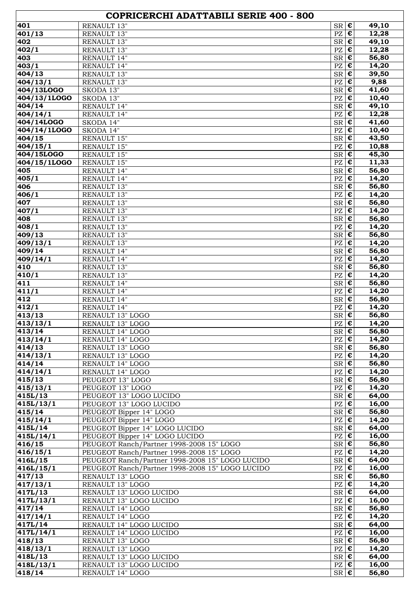| COPRICERCHI ADATTABILI SERIE 400 - 800 |                                                                     |                                                                       |                    |  |
|----------------------------------------|---------------------------------------------------------------------|-----------------------------------------------------------------------|--------------------|--|
| 401                                    | <b>RENAULT 13"</b>                                                  | $\epsilon$<br>SR                                                      | 49,10              |  |
| 401/13                                 | RENAULT 13"                                                         | €<br>PZ                                                               | 12,28              |  |
| 402                                    | RENAULT 13"                                                         | $\pmb{\epsilon}$<br>SR                                                | 49,10              |  |
| 402/1                                  | RENAULT 13"                                                         | $\pmb{\epsilon}$<br>PZ                                                | 12,28              |  |
| 403                                    | RENAULT 14"                                                         | $\bullet$<br>SR                                                       | 56,80              |  |
| 403/1<br>404/13                        | RENAULT 14"<br>RENAULT 13"                                          | $\pmb{\epsilon}$<br>PZ<br>$SR \, \vert \, \boldsymbol{\epsilon}$      | 14,20<br>39,50     |  |
| 404/13/1                               | RENAULT 13"                                                         | $\mathbf{P}\mathbf{Z}$<br>$\pmb{\epsilon}$                            | 9,88               |  |
| 404/13LOGO                             | SKODA 13"                                                           | $\pmb{\epsilon}$<br>SR                                                | 41,60              |  |
| 404/13/1LOGO                           | SKODA 13"                                                           | $\pmb{\epsilon}$<br>PZ                                                | 10,40              |  |
| 404/14                                 | RENAULT 14"                                                         | €<br>SR                                                               | 49,10              |  |
| $\sqrt{404/14/1}$                      | RENAULT 14"                                                         | $\pmb{\epsilon}$<br>PZ                                                | 12,28              |  |
| 404/14LOGO                             | SKODA 14"                                                           | ${\rm SR}$<br>€                                                       | 41,60              |  |
| 404/14/1LOGO                           | SKODA 14"                                                           | $\pmb{\epsilon}$<br>$\mathbf{P}\mathbf{Z}$                            | 10,40              |  |
| 404/15                                 | RENAULT 15"                                                         | $SR$ $C$                                                              | 43,50              |  |
| 404/15/1                               | RENAULT 15"                                                         | $\mathbf{P}\mathbf{Z}$<br>€                                           | 10,88              |  |
| 404/15LOGO                             | RENAULT 15"                                                         | $SR \, \vert \, \boldsymbol{\epsilon}$                                | $\overline{4}5,30$ |  |
| 404/15/1LOGO<br>405                    | RENAULT 15"<br>RENAULT 14"                                          | $\pmb{\epsilon}$<br>$\mathbf{P}\mathbf{Z}$<br>$\bullet$<br>${\rm SR}$ | 11,33<br>56,80     |  |
| 405/1                                  | RENAULT 14"                                                         | $\pmb{\epsilon}$<br>PZ                                                | 14,20              |  |
| 406                                    | RENAULT 13"                                                         | ${\rm SR}$<br>€                                                       | 56,80              |  |
| 406/1                                  | RENAULT 13"                                                         | $\pmb{\epsilon}$<br>PZ                                                | 14,20              |  |
| 407                                    | RENAULT 13"                                                         | ${\rm SR}$<br>€                                                       | 56,80              |  |
| 407/1                                  | RENAULT 13"                                                         | $\pmb{\epsilon}$<br>PZ                                                | 14,20              |  |
| 408                                    | RENAULT 13"                                                         | $\bullet$<br>SR                                                       | 56,80              |  |
| 408/1                                  | RENAULT 13"                                                         | $\pmb{\epsilon}$<br>$\mathbf{P}\mathbf{Z}$                            | 14,20              |  |
| 409/13                                 | RENAULT 13"                                                         | $SR \, \vert \, \boldsymbol{\epsilon}$                                | 56,80              |  |
| $\frac{409}{13/1}$<br>409/14           | RENAULT 13"<br>RENAULT 14"                                          | €<br>PZ<br>$\bullet$<br>${\rm SR}$                                    | 14,20<br>56,80     |  |
| 409/14/1                               | RENAULT 14"                                                         | $\pmb{\epsilon}$<br>PZ                                                | 14,20              |  |
| 410                                    | RENAULT 13"                                                         | ${\rm SR}$<br>€                                                       | 56,80              |  |
| 410/1                                  | RENAULT 13"                                                         | $\pmb{\epsilon}$<br>$\mathbf{P}\mathbf{Z}$                            | 14,20              |  |
| 411                                    | RENAULT 14"                                                         | ${\rm SR}$<br>€                                                       | 56,80              |  |
| 411/1                                  | RENAULT 14"                                                         | $\mathbf{P}\mathbf{Z}$<br>$\pmb{\epsilon}$                            | 14,20              |  |
| 412                                    | RENAULT 14"                                                         | $SR \, \, \boldsymbol{\epsilon}$                                      | 56,80              |  |
| 412/1                                  | RENAULT 14"                                                         | $\mathbf{P}\mathbf{Z}$<br>$\epsilon$                                  | 14,20              |  |
| 413/13<br>413/13/1                     | RENAULT 13" LOGO<br>RENAULT 13" LOGO                                | $SR \, \vert \, \boldsymbol{\epsilon}$<br>PZ<br>€                     | 56,80<br>14,20     |  |
| 413/14                                 | RENAULT 14" LOGO                                                    | $SR \, \, \boldsymbol{\epsilon}$                                      | 56,80              |  |
| $\frac{1}{4}$ 13/14/1                  | RENAULT 14" LOGO                                                    | $PZ \in \mathcal{E}$                                                  | 14,20              |  |
| 414/13                                 | RENAULT 13" LOGO                                                    | $SR \, \epsilon$                                                      | 56,80              |  |
| 414/13/1                               | RENAULT 13" LOGO                                                    | $\epsilon$<br>PZ                                                      | 14,20              |  |
| 414/14                                 | RENAULT 14" LOGO                                                    | $SR \, \epsilon$                                                      | 56,80              |  |
| 414/14/1                               | RENAULT 14" LOGO                                                    | $PZ$ $E$                                                              | 14,20              |  |
| 415/13                                 | PEUGEOT 13" LOGO                                                    | $S_{\mathsf{R}}$ $\mathsf{E}$                                         | 56,80              |  |
| 415/13/1                               | PEUGEOT 13" LOGO                                                    | $PZ \in$                                                              | 14,20              |  |
| 415L/13<br>415L/13/1                   | PEUGEOT 13" LOGO LUCIDO<br>PEUGEOT 13" LOGO LUCIDO                  | $SR \, \vert \, \boldsymbol{\epsilon}$<br>$PZ \in$                    | 64,00<br>16,00     |  |
| 415/14                                 | PEUGEOT Bipper 14" LOGO                                             | $S_{\mathsf{R}}$ $\epsilon$                                           | $\overline{56,80}$ |  |
| 415/14/1                               | PEUGEOT Bipper 14" LOGO                                             | PZ<br>$\epsilon$                                                      | 14,20              |  |
| 415L/14                                | PEUGEOT Bipper 14" LOGO LUCIDO                                      | $SR \nvert \overline{\epsilon}$                                       | 64,00              |  |
| 415L/14/1                              | PEUGEOT Bipper 14" LOGO LUCIDO                                      | €<br>PZ                                                               | 16,00              |  |
| 416/15                                 | PEUGEOT Ranch/Partner 1998-2008 15" LOGO                            | SR<br>$\epsilon$                                                      | 56,80              |  |
| 416/15/1                               | PEUGEOT Ranch/Partner 1998-2008 15" LOGO                            | $PZ \vert \boldsymbol{\epsilon}$                                      | 14,20              |  |
| 416L/15                                | PEUGEOT Ranch/Partner 1998-2008 15" LOGO LUCIDO                     | $SR \, \vert \, \boldsymbol{\epsilon}$                                | 64,00              |  |
| 416L/15/1<br>417/13                    | PEUGEOT Ranch/Partner 1998-2008 15" LOGO LUCIDO<br>RENAULT 13" LOGO | $PZ \in$<br>$SR \, \epsilon$                                          | 16,00<br>56,80     |  |
| 417/13/1                               | RENAULT 13" LOGO                                                    | $PZ \in$                                                              | 14,20              |  |
| 417L/13                                | RENAULT 13" LOGO LUCIDO                                             | $SR$ $E$                                                              | 64,00              |  |
| 417L/13/1                              | RENAULT 13" LOGO LUCIDO                                             | $\epsilon$<br>PZ                                                      | 16,00              |  |
| 417/14                                 | RENAULT 14" LOGO                                                    | $SR \, \epsilon$                                                      | 56,80              |  |
| 417/14/1                               | RENAULT 14" LOGO                                                    | $\epsilon$<br>PZ                                                      | 14,20              |  |
| 417L/14                                | RENAULT 14" LOGO LUCIDO                                             | $SR \, \epsilon$                                                      | 64,00              |  |
| 417L/14/1                              | RENAULT 14" LOGO LUCIDO                                             | $PZ$ $E$                                                              | 16,00              |  |
| 418/13                                 | RENAULT 13" LOGO                                                    | $SR \, \epsilon$                                                      | 56,80              |  |
| 418/13/1                               | RENAULT 13" LOGO                                                    | $PZ \in$                                                              | 14,20              |  |
| 418L/13<br>418L/13/1                   | RENAULT 13" LOGO LUCIDO<br>RENAULT 13" LOGO LUCIDO                  | $SR \, \epsilon$<br>$PZ \in$                                          | 64,00<br>16,00     |  |
| 418/14                                 | RENAULT 14" LOGO                                                    | $SR \, \vert \, \boldsymbol{\epsilon}$                                | 56,80              |  |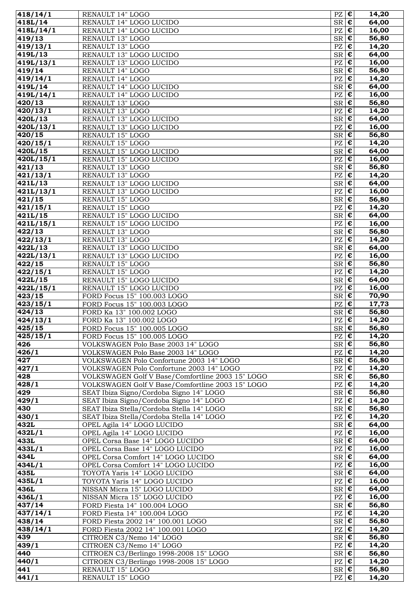| 418/14/1             | <b>RENAULT 14" LOGO</b>                                                  | $PZ \mathbf{\varepsilon}$              |                                               | 14,20          |
|----------------------|--------------------------------------------------------------------------|----------------------------------------|-----------------------------------------------|----------------|
| 418L/14              | RENAULT 14" LOGO LUCIDO                                                  | <b>SR</b>                              | $\pmb{\epsilon}$                              | 64,00          |
| 418L/14/1            | RENAULT 14" LOGO LUCIDO                                                  | PZ                                     | $\epsilon$                                    | 16,00          |
| 419/13               | RENAULT 13" LOGO                                                         | $SR$ $C$                               |                                               | 56,80          |
| 419/13/1             | RENAULT 13" LOGO                                                         | PZ                                     | $\bullet$                                     | 14,20          |
| 419L/13              | RENAULT 13" LOGO LUCIDO                                                  | $SR$ $C$                               |                                               | 64,00          |
| 419L/13/1            | RENAULT 13" LOGO LUCIDO                                                  | PZ                                     | $\overline{\epsilon}$                         | 16,00          |
| 419/14               | RENAULT 14" LOGO                                                         | <b>SR</b>                              | $\epsilon$                                    | 56,80          |
| $\frac{1}{419}/14/1$ | RENAULT 14" LOGO                                                         | PZ                                     | €                                             | 14,20          |
| 419L/14<br>419L/14/1 | RENAULT 14" LOGO LUCIDO<br>RENAULT 14" LOGO LUCIDO                       | <b>SR</b><br>PZ                        | $\pmb{\epsilon}$<br>$\pmb{\epsilon}$          | 64,00<br>16,00 |
| 420/13               | RENAULT 13" LOGO                                                         | <b>SR</b>                              | $\bullet$                                     | 56,80          |
| 420/13/1             | RENAULT 13" LOGO                                                         | $\mathbf{P}\mathbf{Z}$                 | $\bullet$                                     | 14,20          |
| 420L/13              | RENAULT 13" LOGO LUCIDO                                                  | SR                                     | $\epsilon$                                    | 64,00          |
| 420L/13/1            | RENAULT 13" LOGO LUCIDO                                                  | PZ                                     | $\bullet$                                     | 16,00          |
| 420/15               | RENAULT 15" LOGO                                                         | $SR$ $C$                               |                                               | 56,80          |
| 420/15/1             | RENAULT 15" LOGO                                                         | PZ                                     | $\overline{\epsilon}$                         | 14,20          |
| 420L/15              | RENAULT 15" LOGO LUCIDO                                                  | <b>SR</b>                              | $\overline{\epsilon}$                         | 64,00          |
| 420L/15/1            | RENAULT 15" LOGO LUCIDO                                                  | PZ                                     | $\bullet$                                     | 16,00          |
| 421/13               | RENAULT 13" LOGO                                                         | SR                                     | $\overline{\epsilon}$                         | 56,80          |
| 421/13/1             | RENAULT 13" LOGO                                                         | PZ                                     | $\pmb{\epsilon}$                              | 14,20          |
| 421L/13              | RENAULT 13" LOGO LUCIDO                                                  | <b>SR</b>                              | $\bullet$                                     | 64,00          |
| 421L/13/1            | RENAULT 13" LOGO LUCIDO                                                  | PZ                                     | $\pmb{\epsilon}$                              | 16,00          |
| 421/15               | RENAULT 15" LOGO                                                         | $SR \, \vert \, \boldsymbol{\epsilon}$ |                                               | 56,80          |
| 421/15/1<br>421L/15  | RENAULT 15" LOGO<br>RENAULT 15" LOGO LUCIDO                              | PZ<br>$SR$ $C$                         | $\bullet$                                     | 14,20<br>64,00 |
| 421L/15/1            | RENAULT 15" LOGO LUCIDO                                                  | PZ                                     | $\pmb{\epsilon}$                              | 16,00          |
| 422/13               | RENAULT 13" LOGO                                                         | <b>SR</b>                              | $\bullet$                                     | 56,80          |
| 422/13/1             | RENAULT 13" LOGO                                                         | PZ                                     | $\overline{\epsilon}$                         | 14,20          |
| 422L/13              | RENAULT 13" LOGO LUCIDO                                                  | <b>SR</b>                              | €                                             | 64,00          |
| $\sqrt{422L/13/1}$   | RENAULT 13" LOGO LUCIDO                                                  | PZ                                     | $\pmb{\epsilon}$                              | 16,00          |
| 422/15               | RENAULT 15" LOGO                                                         | <b>SR</b>                              | $\pmb{\epsilon}$                              | 56,80          |
| 422/15/1             | RENAULT 15" LOGO                                                         | $\mathbf{P}\mathbf{Z}$                 | $\overline{\epsilon}$                         | 14,20          |
| 422L/15              | RENAULT 15" LOGO LUCIDO                                                  | SR                                     | $\overline{\epsilon}$                         | 64,00          |
| 422L/15/1            | RENAULT 15" LOGO LUCIDO                                                  | PZ                                     | $\bullet$                                     | 16,00          |
| 423/15               | FORD Focus 15" 100.003 LOGO                                              | $SR$ $C$                               |                                               | 70,90          |
| 423/15/1             | FORD Focus 15" 100.003 LOGO                                              | PZ                                     | $\bullet$                                     | 17,73          |
| 424/13               | FORD Ka 13" 100.002 LOGO                                                 | <b>SR</b>                              | $\overline{\epsilon}$                         | 56,80          |
| 424/13/1             | FORD Ka 13" 100.002 LOGO                                                 | PZ                                     | $\bullet$                                     | 14,20          |
| 425/15               | FORD Focus 15" 100.005 LOGO                                              | $SR \mathbf{\epsilon} $                |                                               | 56,80          |
| 425/15/1             | FORD Focus 15" 100.005 LOGO                                              | PZ                                     | $\pmb{\epsilon}$<br>$ \boldsymbol{\epsilon} $ | 14,20<br>56,80 |
| 426<br>426/1         | VOLKSWAGEN Polo Base 2003 14" LOGO<br>VOLKSWAGEN Polo Base 2003 14" LOGO | ${\rm SR}$<br>PZ                       | $\pmb{\epsilon}$                              | 14,20          |
| 427                  | VOLKSWAGEN Polo Confortune 2003 14" LOGO                                 | $SR$ $E$                               |                                               | 56,80          |
| 427/1                | VOLKSWAGEN Polo Confortune 2003 14" LOGO                                 | PZ                                     | $\pmb{\epsilon}$                              | 14,20          |
| 428                  | VOLKSWAGEN Golf V Base/Comfortline 2003 15" LOGO                         | $S_{\mathsf{R}}$ $\epsilon$            |                                               | 56,80          |
| 428/1                | VOLKSWAGEN Golf V Base/Comfortline 2003 15" LOGO                         | PZ                                     | $\bullet$                                     | 14,20          |
| 429                  | SEAT Ibiza Signo/Cordoba Signo 14" LOGO                                  | <b>SR</b>                              | $\epsilon$                                    | 56,80          |
| 429/1                | SEAT Ibiza Signo/Cordoba Signo 14" LOGO                                  | PZ                                     | $\pmb{\epsilon}$                              | 14,20          |
| 430                  | SEAT Ibiza Stella/Cordoba Stella 14" LOGO                                | SR                                     | $\pmb{\epsilon}$                              | 56,80          |
| 430/1                | SEAT Ibiza Stella/Cordoba Stella 14" LOGO                                | PZ                                     | $\pmb{\epsilon}$                              | 14,20          |
| 432L                 | OPEL Agila 14" LOGO LUCIDO                                               | <b>SR</b>                              | $\pmb{\epsilon}$                              | 64,00          |
| 432L/1               | OPEL Agila 14" LOGO LUCIDO                                               | PZ                                     | $\bullet$                                     | 16,00          |
| 433L                 | OPEL Corsa Base 14" LOGO LUCIDO                                          | SR                                     | $\bullet$                                     | 64,00          |
| 433L/1               | OPEL Corsa Base 14" LOGO LUCIDO                                          | $\mathbf{P}\mathbf{Z}$                 | $\pmb{\epsilon}$                              | 16,00          |
| 434L                 | OPEL Corsa Comfort 14" LOGO LUCIDO                                       | $SR$ $C$                               |                                               | 64,00          |
| 434L/1               | OPEL Corsa Comfort 14" LOGO LUCIDO                                       | PZ                                     | $\bullet$<br>$\epsilon$                       | 16,00          |
| 435L<br>435L/1       | TOYOTA Yaris 14" LOGO LUCIDO<br>TOYOTA Yaris 14" LOGO LUCIDO             | <b>SR</b><br>PZ                        | $\pmb{\epsilon}$                              | 64,00<br>16,00 |
| 436L                 | NISSAN Micra 15" LOGO LUCIDO                                             | $SR \, \epsilon$                       |                                               | 64,00          |
| 436L/1               | NISSAN Micra 15" LOGO LUCIDO                                             | PZ                                     | €                                             | 16,00          |
| 437/14               | FORD Fiesta 14" 100.004 LOGO                                             | <b>SR</b>                              | €                                             | 56,80          |
| 437/14/1             | FORD Fiesta 14" 100.004 LOGO                                             | PZ                                     | $\bullet$                                     | 14,20          |
| 438/14               | FORD Fiesta 2002 14" 100.001 LOGO                                        | $SR \in$                               |                                               | 56,80          |
| 438/14/1             | FORD Fiesta 2002 14" 100.001 LOGO                                        | PZ                                     | $\overline{\epsilon}$                         | 14,20          |
| 439                  | CITROEN C3/Nemo 14" LOGO                                                 | $SR$ $C$                               |                                               | 56,80          |
| 439/1                | CITROEN C3/Nemo 14" LOGO                                                 | PZ                                     | $\pmb{\epsilon}$                              | 14,20          |
| 440                  | CITROEN C3/Berlingo 1998-2008 15" LOGO                                   | <b>SR</b>                              | $\epsilon$                                    | 56,80          |
| 440/1                | CITROEN C3/Berlingo 1998-2008 15" LOGO                                   | PZ                                     | $\pmb{\epsilon}$                              | 14,20          |
| 441                  | RENAULT 15" LOGO                                                         | $SR$ $C$                               |                                               | 56,80          |
| 441/1                | RENAULT 15" LOGO                                                         | PZ                                     | $ \mathbf{\epsilon} $                         | 14,20          |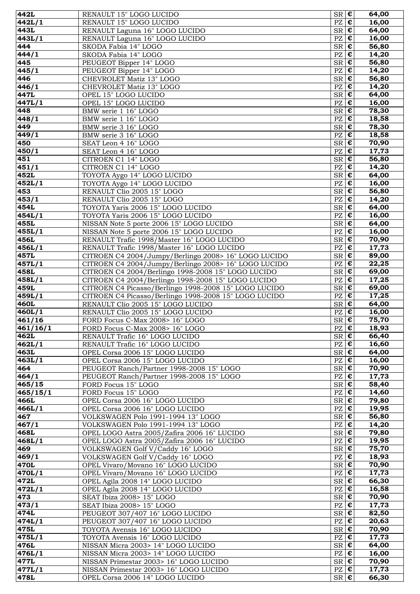| 442L               | RENAULT 15" LOGO LUCIDO                                                          | $SR \nvert \overline{\epsilon}$                         |                                                | 64,00          |
|--------------------|----------------------------------------------------------------------------------|---------------------------------------------------------|------------------------------------------------|----------------|
| $\frac{1}{4}42L/1$ | RENAULT 15" LOGO LUCIDO                                                          | $PZ$ $E$                                                |                                                | 16,00          |
| 443L               | RENAULT Laguna 16" LOGO LUCIDO                                                   | $SR$ $C$                                                |                                                | 64,00          |
| 443L/1             | RENAULT Laguna 16" LOGO LUCIDO                                                   | $PZ$ $E$                                                |                                                | 16,00          |
| 444                | SKODA Fabia 14" LOGO                                                             | $S_{\overline{\mathbf{R}}}\mathbf{C}$                   |                                                | 56,80          |
| 444/1              | SKODA Fabia 14" LOGO                                                             | $\mathbf{P}\mathbf{Z}$                                  | $\pmb{\epsilon}$                               | 14,20          |
| 445                | PEUGEOT Bipper 14" LOGO                                                          | SR                                                      | $\pmb{\epsilon}$                               | 56,80          |
| 445/1              | PEUGEOT Bipper 14" LOGO                                                          | PZ                                                      | €                                              | 14,20          |
| 446                | CHEVROLET Matiz 13" LOGO                                                         | $SR \, \epsilon$                                        |                                                | 56,80          |
| 446/1              | CHEVROLET Matiz 13" LOGO                                                         | $\mathbf{P}\mathbf{Z}$                                  | €                                              | 14,20          |
| 447L               | OPEL 15" LOGO LUCIDO                                                             | SR                                                      | $\pmb{\epsilon}$                               | 64,00          |
| 447L/1             | OPEL 15" LOGO LUCIDO                                                             | PZ                                                      | $\overline{\epsilon}$                          | 16,00          |
| 448                | BMW serie 1 16" LOGO                                                             | $S_{\overline{\mathbf{R}}}\overline{\mathbf{\epsilon}}$ |                                                | 78,30          |
| 448/1              | BMW serie 1 16" LOGO                                                             | $PZ \vert \boldsymbol{\epsilon}$                        |                                                | 18,58          |
| 449                | BMW serie 3 16" LOGO                                                             | $S_{\mathsf{R}}$ $\overline{\epsilon}$                  |                                                | 78,30          |
| 449/1              | BMW serie 3 16" LOGO                                                             | $\mathbf{P}\mathbf{Z}$                                  | $\pmb{\epsilon}$                               | 18,58          |
| 450                | SEAT Leon 4 16" LOGO                                                             | SR                                                      | $\overline{\epsilon}$                          | 70,90          |
| 450/1              | SEAT Leon 4 16" LOGO                                                             | $\mathbf{P}\mathbf{Z}$                                  | €                                              | 17,73          |
| 451                | CITROEN C1 14" LOGO<br>CITROEN C1 14" LOGO                                       | $SR \mid \overline{\epsilon}$                           | €                                              | 56,80<br>14,20 |
| 451/1<br>452L      | TOYOTA Aygo 14" LOGO LUCIDO                                                      | $\mathbf{P}\mathbf{Z}$<br>SR                            | $\overline{\epsilon}$                          | 64,00          |
| 452L/1             | TOYOTA Aygo 14" LOGO LUCIDO                                                      | PZ                                                      | $\overline{\epsilon}$                          | 16,00          |
| 453                | RENAULT Clio 2005 15" LOGO                                                       | $SR$ $C$                                                |                                                | 56,80          |
| 453/1              | RENAULT Clio 2005 15" LOGO                                                       | PZ                                                      | $\pmb{\epsilon}$                               | 14,20          |
| 454L               | TOYOTA Yaris 2006 15" LOGO LUCIDO                                                | $S_{\mathsf{R}}$ $\overline{\epsilon}$                  |                                                | 64,00          |
| 454L/1             | TOYOTA Yaris 2006 15" LOGO LUCIDO                                                | $\mathbf{P}\mathbf{Z}$                                  | $\pmb{\epsilon}$                               | 16,00          |
| 455L               | NISSAN Note 5 porte 2006 15" LOGO LUCIDO                                         | SR                                                      | $\overline{\epsilon}$                          | 64,00          |
| 455L/1             | NISSAN Note 5 porte 2006 15" LOGO LUCIDO                                         | $\mathbf{P}\mathbf{Z}$                                  | €                                              | 16,00          |
| 456L               | RENAULT Trafic 1998/Master 16" LOGO LUCIDO                                       | SR                                                      | €                                              | 70,90          |
| 456L/1             | RENAULT Trafic 1998/Master 16" LOGO LUCIDO                                       | $\mathbf{P}\mathbf{Z}$                                  | €                                              | 17,73          |
| 457L               | CITROEN C4 2004/Jumpy/Berlingo 2008> 16" LOGO LUCIDO                             | SR                                                      | $\pmb{\epsilon}$                               | 89,00          |
| 457L/1             | CITROEN C4 2004/Jumpy/Berlingo 2008> 16" LOGO LUCIDO                             | $\overline{PZ}$                                         | $\overline{\epsilon}$                          | 22,25          |
| 458L               | CITROEN C4 2004/Berlingo 1998-2008 15" LOGO LUCIDO                               | $SR \, \epsilon$                                        |                                                | 69,00          |
| 458L/1             | CITROEN C4 2004/Berlingo 1998-2008 15" LOGO LUCIDO                               | PZ                                                      | $\pmb{\epsilon}$                               | 17,25          |
| 459L               | CITROEN C4 Picasso/Berlingo 1998-2008 15" LOGO LUCIDO                            | $S_{\mathsf{R}}$ $\epsilon$                             |                                                | 69,00          |
| 459L/1             | CITROEN C4 Picasso/Berlingo 1998-2008 15" LOGO LUCIDO                            | $\mathbf{P}\mathbf{Z}$                                  | $\overline{\epsilon}$<br>$\overline{\epsilon}$ | 17,25          |
| 460L<br>460L/1     | RENAULT Clio 2005 15" LOGO LUCIDO<br>RENAULT Clio 2005 15" LOGO LUCIDO           | SR  <br>PZ                                              | €                                              | 64,00<br>16,00 |
| 461/16             | FORD Focus C-Max 2008> 16" LOGO                                                  | $SR \, \vert \, \boldsymbol{\epsilon}$                  |                                                | 75,70          |
| 461/16/1           | FORD Focus C-Max 2008> 16" LOGO                                                  | $PZ \in \mathbf{E}$                                     |                                                | 18,93          |
| 462L               | RENAULT Trafic 16" LOGO LUCIDO                                                   | $SR$ $C$                                                |                                                | 66,40          |
| 462L/1             | RENAULT Trafic 16" LOGO LUCIDO                                                   | $PZ \mid \overline{\mathbf{E}}$                         |                                                | 16,60          |
| 463L               | OPEL Corsa 2006 15" LOGO LUCIDO                                                  | $SR \mid \mathbf{\overline{\varepsilon}}$               |                                                | 64,00          |
| 463L/1             | OPEL Corsa 2006 15" LOGO LUCIDO                                                  | $PZ \mid \overline{\mathbf{\epsilon}}$                  |                                                | 16,00          |
| 464                | PEUGEOT Ranch/Partner 1998-2008 15" LOGO                                         | $SR \in$                                                |                                                | 70,90          |
| 464/1              | PEUGEOT Ranch/Partner 1998-2008 15" LOGO                                         | PZ                                                      | $\epsilon$                                     | 17,73          |
| 465/15             | FORD Focus 15" LOGO                                                              | $SR \nvert \overline{\epsilon}$                         |                                                | 58,40          |
| 465/15/1           | FORD Focus 15" LOGO                                                              | PZ                                                      | €                                              | 14,60          |
| 466L               | OPEL Corsa 2006 16" LOGO LUCIDO                                                  | $SR \, \epsilon$                                        |                                                | 79,80          |
| 466L/1             | OPEL Corsa 2006 16" LOGO LUCIDO                                                  | PZ                                                      | €                                              | 19,95          |
| 467                | VOLKSWAGEN Polo 1991-1994 13" LOGO                                               | SR                                                      | $\pmb{\epsilon}$                               | 56,80          |
| 467/1              | VOLKSWAGEN Polo 1991-1994 13" LOGO                                               | $PZ \mid \overline{\mathbf{\epsilon}}$                  |                                                | 14,20          |
| 468L               | OPEL LOGO Astra 2005/Zafira 2006 16" LUCIDO                                      | $SR \in$<br>$PZ \mid \overline{\mathbf{\epsilon}}$      |                                                | 79,80<br>19,95 |
| 468L/1<br>469      | OPEL LOGO Astra 2005/Zafira 2006 16" LUCIDO<br>VOLKSWAGEN Golf V/Caddy 16" LOGO  | $SR \in$                                                |                                                | 75,70          |
| 469/1              | VOLKSWAGEN Golf V/Caddy 16" LOGO                                                 | $PZ \in$                                                |                                                | 18,93          |
| 470L               | OPEL Vivaro/Movano 16" LOGO LUCIDO                                               | $SR \nvert \mathbf{\epsilon}$                           |                                                | 70,90          |
| 470L/1             | OPEL Vivaro/Movano 16" LOGO LUCIDO                                               | PZ                                                      | $\epsilon$                                     | 17,73          |
| 472L               | OPEL Agila 2008 14" LOGO LUCIDO                                                  | $SR \, \, \boldsymbol{\epsilon}$                        |                                                | 66,30          |
| $\frac{1}{472}L/1$ | OPEL Agila 2008 14" LOGO LUCIDO                                                  | PZ                                                      | €                                              | 16,58          |
| 473                | SEAT Ibiza 2008> 15" LOGO                                                        | $SR \, \epsilon$                                        |                                                | 70,90          |
| 473/1              | SEAT Ibiza 2008> 15" LOGO                                                        | PZ                                                      | $\epsilon$                                     | 17,73          |
| 474L               | PEUGEOT 307/407 16" LOGO LUCIDO                                                  | $S_{\overline{\mathbf{R}}}\mathbf{C}$                   |                                                | 82,50          |
| 474L/1             | PEUGEOT 307/407 16" LOGO LUCIDO                                                  | $PZ \in$                                                |                                                | 20,63          |
| 475L               | TOYOTA Avensis 16" LOGO LUCIDO                                                   | $S_{\mathsf{R}}$ $\overline{\epsilon}$                  |                                                | 70,90          |
| 475L/1             | TOYOTA Avensis 16" LOGO LUCIDO                                                   | $PZ \in$                                                |                                                | 17,73          |
| 476L               | NISSAN Micra 2003> 14" LOGO LUCIDO                                               | $SR \mid \mathbf{\overline{\epsilon}}$                  |                                                | 64,00          |
| 476L/1             | NISSAN Micra 2003> 14" LOGO LUCIDO                                               | PZ                                                      | €                                              | 16,00<br>70,90 |
| 477L<br>477L/1     | NISSAN Primestar 2003> 16" LOGO LUCIDO<br>NISSAN Primestar 2003> 16" LOGO LUCIDO | $SR \, \, \boldsymbol{\epsilon}$<br>$PZ \in$            |                                                | 17,73          |
| 478L               | OPEL Corsa 2006 14" LOGO LUCIDO                                                  | $SR \, \epsilon$                                        |                                                | 66,30          |
|                    |                                                                                  |                                                         |                                                |                |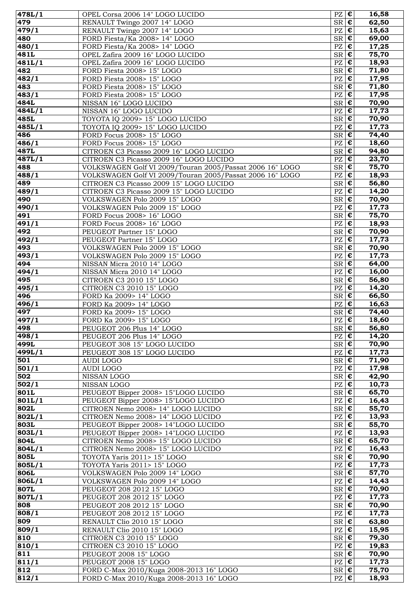| 478L/1             | OPEL Corsa 2006 14" LOGO LUCIDO                                           | $PZ \in$                                         |                       | 16,58                        |
|--------------------|---------------------------------------------------------------------------|--------------------------------------------------|-----------------------|------------------------------|
| 479                | RENAULT Twingo 2007 14" LOGO                                              | $SR \, \vert \, \boldsymbol{\epsilon} \vert$     |                       | 62,50                        |
| 479/1              | RENAULT Twingo 2007 14" LOGO                                              | $PZ \mid \overline{\mathbf{\epsilon}}$           |                       | 15,63                        |
| 480                | FORD Fiesta/Ka 2008> 14" LOGO                                             | $SR \in$                                         | $\overline{\epsilon}$ | 69,00                        |
| 480/1<br>481L      | FORD Fiesta/Ka 2008> 14" LOGO<br>OPEL Zafira 2009 16" LOGO LUCIDO         | $\mathbf{P}\mathbf{Z}$<br>SR                     | $\pmb{\epsilon}$      | 17,25<br>75,70               |
| 481L/1             | OPEL Zafira 2009 16" LOGO LUCIDO                                          | PZ                                               | €                     | 18,93                        |
| 482                | FORD Fiesta 2008> 15" LOGO                                                | $SR \, \vert \, \boldsymbol{\epsilon}$           |                       | 71,80                        |
| 482/1              | FORD Fiesta 2008> 15" LOGO                                                | $\mathbf{P}\mathbf{Z}$                           | €                     | 17,95                        |
| 483                | FORD Fiesta 2008> 15" LOGO                                                | SR                                               | €                     | 71,80                        |
| 483/1              | FORD Fiesta 2008> 15" LOGO                                                | $\mathbf{P}\mathbf{Z}$                           | $\pmb{\epsilon}$      | 17,95                        |
| 484L               | NISSAN 16" LOGO LUCIDO                                                    | $S_{\overline{\mathbf{R}}}\overline{\mathbf{E}}$ |                       | 70,90                        |
| 484L/1             | NISSAN 16" LOGO LUCIDO                                                    | $PZ$ $E$                                         |                       | 17,73                        |
| 485L               | TOYOTA IQ 2009> 15" LOGO LUCIDO                                           | $S_{\mathsf{R}}$ $\epsilon$                      |                       | 70,90                        |
| 485L/1<br>486      | TOYOTA IQ 2009> 15" LOGO LUCIDO<br>FORD Focus 2008> 15" LOGO              | PZ<br>$SR \, \epsilon$                           | €                     | 17,73<br>$\overline{7}$ 4,40 |
| 486/1              | FORD Focus 2008> 15" LOGO                                                 | PZ                                               | $\overline{\epsilon}$ | 18,60                        |
| 487L               | CITROEN C3 Picasso 2009 16" LOGO LUCIDO                                   | $SR \, \vert \, \overline{\epsilon}$             |                       | 94,80                        |
| 487L/1             | CITROEN C3 Picasso 2009 16" LOGO LUCIDO                                   | $\mathbf{P}\mathbf{Z}$                           | €                     | 23,70                        |
| 488                | VOLKSWAGEN Golf VI 2009/Touran 2005/Passat 2006 16" LOGO                  | SR <sub>1</sub>                                  | $\pmb{\epsilon}$      | 75,70                        |
| 488/1              | VOLKSWAGEN Golf VI 2009/Touran 2005/Passat 2006 16" LOGO                  | $\mathbf{P}\mathbf{Z}$                           | $\pmb{\epsilon}$      | 18,93                        |
| 489                | CITROEN C3 Picasso 2009 15" LOGO LUCIDO                                   | $SR$ $E$                                         |                       | 56,80                        |
| 489/1              | CITROEN C3 Picasso 2009 15" LOGO LUCIDO                                   | PZ                                               | $\pmb{\epsilon}$      | 14,20                        |
| 490<br>490/1       | VOLKSWAGEN Polo 2009 15" LOGO<br>VOLKSWAGEN Polo 2009 15" LOGO            | $S_{\mathsf{R}}$ $\mathsf{E}$<br>PZ              | $\overline{\epsilon}$ | 70,90<br>17,73               |
| 491                | FORD Focus 2008> 16" LOGO                                                 | <b>SR</b>                                        | $\overline{\epsilon}$ | 75,70                        |
| $\frac{1}{491}$ /1 | FORD Focus 2008> 16" LOGO                                                 | $\mathbf{P}\mathbf{Z}$                           | €                     | 18,93                        |
| 492                | PEUGEOT Partner 15" LOGO                                                  | SR                                               | €                     | 70,90                        |
| 492/1              | PEUGEOT Partner 15" LOGO                                                  | $\mathbf{P}\mathbf{Z}$                           | €                     | 17,73                        |
| 493                | VOLKSWAGEN Polo 2009 15" LOGO                                             | <b>SR</b>                                        | €                     | 70,90                        |
| 493/1              | VOLKSWAGEN Polo 2009 15" LOGO                                             | $\mathbf{P}\mathbf{Z}$                           | $\overline{\epsilon}$ | 17,73                        |
| 494                | NISSAN Micra 2010 14" LOGO                                                | $S_{\overline{\mathbf{R}}}\overline{\mathbf{E}}$ |                       | 64,00                        |
| 494/1<br>495       | NISSAN Micra 2010 14" LOGO<br>CITROEN C3 2010 15" LOGO                    | PZ<br>$S_{\mathsf{R}}$ $\mathsf{E}$              | €                     | 16,00<br>56,80               |
| 495/1              | <b>CITROEN C3 2010 15" LOGO</b>                                           | PZ                                               | €                     | 14,20                        |
| 496                | FORD Ka 2009> 14" LOGO                                                    | SR                                               | $\overline{\epsilon}$ | 66,50                        |
| 496/1              | FORD Ka 2009> 14" LOGO                                                    | PZ                                               | €                     | 16,63                        |
| 497                | FORD Ka 2009> 15" LOGO                                                    | SR <sub>1</sub>                                  | €                     | 74,40                        |
| 497/1              | FORD Ka 2009> 15" LOGO                                                    | PZ                                               | $\pmb{\epsilon}$      | 18,60                        |
| 498                | PEUGEOT 206 Plus 14" LOGO                                                 | $SR$ $\overline{C}$                              |                       | 56,80                        |
| 498/1<br>499L      | PEUGEOT 206 Plus 14" LOGO                                                 | $PZ \in \mathbf{E}$                              |                       | 14,20<br>70,90               |
| 499L/1             | PEUGEOT 308 15" LOGO LUCIDO<br>PEUGEOT 308 15" LOGO LUCIDO                | $SR \, \, \boldsymbol{\epsilon}$<br>$PZ \in$     |                       | 17,73                        |
| 501                | AUDI LOGO                                                                 | $S_{\mathsf{R}}$ $\mathsf{E}$                    |                       | 71,90                        |
| 501/1              | <b>AUDI LOGO</b>                                                          | PZ                                               | $\pmb{\epsilon}$      | 17,98                        |
| 502                | NISSAN LOGO                                                               | $S_{\mathsf{R}}$ $\mathsf{E}$                    |                       | 42,90                        |
| 502/1              | NISSAN LOGO                                                               | PZ                                               | €                     | 10,73                        |
| 801L               | PEUGEOT Bipper 2008> 15"LOGO LUCIDO                                       | $SR$ $E$                                         |                       | 65,70                        |
| 801L/1             | PEUGEOT Bipper 2008> 15"LOGO LUCIDO                                       | $\mathbf{P}\mathbf{Z}$                           | €                     | 16,43                        |
| 802L               | CITROEN Nemo 2008> 14" LOGO LUCIDO                                        | SR<br>$\mathbf{P}\mathbf{Z}$                     | €<br>$\pmb{\epsilon}$ | 55,70                        |
| 802L/1<br>803L     | CITROEN Nemo 2008> 14" LOGO LUCIDO<br>PEUGEOT Bipper 2008> 14"LOGO LUCIDO | $SR \nvert \overline{\epsilon}$                  |                       | 13,93<br>55,70               |
| 803L/1             | PEUGEOT Bipper 2008> 14"LOGO LUCIDO                                       | $PZ \in$                                         |                       | 13,93                        |
| 804L               | CITROEN Nemo 2008> 15" LOGO LUCIDO                                        | $S_{\rm R}$ $\sqrt{\epsilon}$                    |                       | 65,70                        |
| 804L/1             | CITROEN Nemo 2008> 15" LOGO LUCIDO                                        | $PZ \in$                                         |                       | 16,43                        |
| 805L               | TOYOTA Yaris 2011> 15" LOGO                                               | $S_{\mathsf{R}}$ $\mathsf{E}$                    |                       | 70,90                        |
| 805L/1             | TOYOTA Yaris 2011> 15" LOGO                                               | PZ                                               | €                     | 17,73                        |
| 806L               | VOLKSWAGEN Polo 2009 14" LOGO                                             | $SR \, \, \boldsymbol{\epsilon}$                 |                       | 57,70                        |
| 806L/1             | VOLKSWAGEN Polo 2009 14" LOGO                                             | PZ<br>SR                                         | €<br>$\pmb{\epsilon}$ | 14,43<br>70,90               |
| 807L<br>807L/1     | PEUGEOT 208 2012 15" LOGO<br>PEUGEOT 208 2012 15" LOGO                    | $\mathbf{P}\mathbf{Z}$                           | €                     | 17,73                        |
| 808                | PEUGEOT 208 2012 15" LOGO                                                 | $SR \mid \mathbf{\overline{\epsilon}}$           |                       | 70,90                        |
| 808/1              | PEUGEOT 208 2012 15" LOGO                                                 | $PZ \in \mathbf{E}$                              |                       | 17,73                        |
| 809                | RENAULT Clio 2010 15" LOGO                                                | $SR \, \epsilon$                                 |                       | 63,80                        |
| 809/1              | RENAULT Clio 2010 15" LOGO                                                | $PZ \in \mathbf{E}$                              |                       | 15,95                        |
| 810                | CITROEN C3 2010 15" LOGO                                                  | $S_{\mathsf{R}}$ $\mathsf{E}$                    |                       | 79,30                        |
| 810/1              | CITROEN C3 2010 15" LOGO                                                  | $\mathbf{P}\mathbf{Z}$                           | $\pmb{\epsilon}$      | 19,83                        |
| 811<br>811/1       | PEUGEOT 2008 15" LOGO<br>PEUGEOT 2008 15" LOGO                            | $SR \, \epsilon$<br>PZ                           | €                     | 70,90<br>17,73               |
| 812                | FORD C-Max 2010/Kuga 2008-2013 16" LOGO                                   | $SR \, \, \boldsymbol{\epsilon}$                 |                       | 75,70                        |
| 812/1              | FORD C-Max 2010/Kuga 2008-2013 16" LOGO                                   | PZ                                               | €                     | 18,93                        |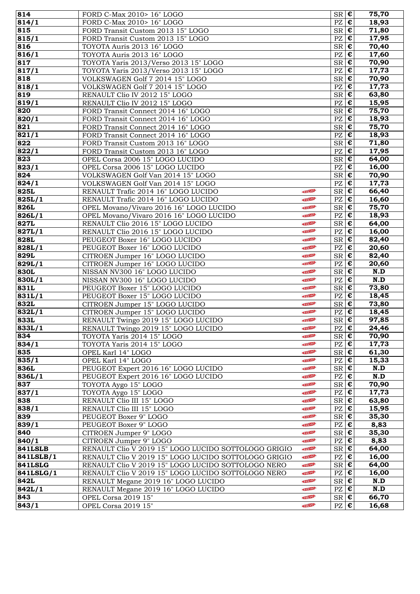| 814            | FORD C-Max 2010> 16" LOGO                            |              | $SR \, \vert \, \boldsymbol{\epsilon}$ |                           | 75,70              |
|----------------|------------------------------------------------------|--------------|----------------------------------------|---------------------------|--------------------|
| 814/1          | FORD C-Max 2010> 16" LOGO                            |              | $PZ \in$                               |                           | 18,93              |
| 815            | FORD Transit Custom 2013 15" LOGO                    |              | $SR \, \epsilon$                       |                           | 71,80              |
| 815/1          | FORD Transit Custom 2013 15" LOGO                    |              | PZ                                     | $\epsilon$                | 17,95              |
| 816            | TOYOTA Auris 2013 16" LOGO                           |              | $SR \in$                               |                           | 70,40              |
| 816/1          | TOYOTA Auris 2013 16" LOGO                           |              | PZ                                     | $ \boldsymbol{\epsilon} $ | 17,60              |
| 817            | TOYOTA Yaris 2013/Verso 2013 15" LOGO                |              | $SR \in$                               |                           | 70,90              |
| 817/1          | TOYOTA Yaris 2013/Verso 2013 15" LOGO                |              | PZ                                     | $\epsilon$                | 17,73              |
| 818            | VOLKSWAGEN Golf 7 2014 15" LOGO                      |              | $SR \in$                               |                           | 70,90              |
| 818/1          | VOLKSWAGEN Golf 7 2014 15" LOGO                      |              | PZ                                     | $\epsilon$                | 17,73              |
| 819            | RENAULT Clio IV 2012 15" LOGO                        |              | $SR \nvert \overline{\epsilon}$        |                           | 63,80              |
| 819/1          | RENAULT Clio IV 2012 15" LOGO                        |              | $PZ \in$                               |                           | 15,95              |
| 820            | FORD Transit Connect 2014 16" LOGO                   |              | $SR \in$                               |                           | 75,70              |
| 820/1          | FORD Transit Connect 2014 16" LOGO                   |              | PZ                                     | $\epsilon$                | 18,93              |
| 821            | FORD Transit Connect 2014 16" LOGO                   |              | $SR \nvert \overline{\epsilon}$        |                           | 75,70              |
| 821/1          | FORD Transit Connect 2014 16" LOGO                   |              | PZ                                     | I€                        | 18,93              |
| 822            | FORD Transit Custom 2013 16" LOGO                    |              | $SR \in$                               |                           | 71,80              |
| 822/1          | FORD Transit Custom 2013 16" LOGO                    |              | PZ                                     | $\epsilon$                | $\overline{17,95}$ |
| 823            | OPEL Corsa 2006 15" LOGO LUCIDO                      |              | $SR \in$                               |                           | 64,00              |
| 823/1          | OPEL Corsa 2006 15" LOGO LUCIDO                      |              | PZ                                     | $\epsilon$                | 16,00              |
| 824            | VOLKSWAGEN Golf Van 2014 15" LOGO                    |              | $SR \, \vert \, \boldsymbol{\epsilon}$ |                           | 70,90              |
| 824/1          | VOLKSWAGEN Golf Van 2014 15" LOGO                    |              | $PZ$ $\epsilon$                        |                           | 17,73              |
| 825L           | RENAULT Trafic 2014 16" LOGO LUCIDO                  | NEW          | $SR \nvert \n\boldsymbol{\epsilon}$    |                           | 66,40              |
| 825L/1         | RENAULT Trafic 2014 16" LOGO LUCIDO                  | NEW          | $PZ \in$                               |                           | 16,60              |
| 826L           | OPEL Movano/Vivaro 2016 16" LOGO LUCIDO              | NEW          | $SR \nvert \overline{\epsilon}$        |                           | 75,70              |
| 826L/1         | OPEL Movano/Vivaro 2016 16" LOGO LUCIDO              | NEW          | PZ                                     | $\epsilon$                | 18,93              |
| 827L           | RENAULT Clio 2016 15" LOGO LUCIDO                    | NEW          | $SR \in$                               |                           | 64,00              |
| 827L/1         | RENAULT Clio 2016 15" LOGO LUCIDO                    | NEW          | PZ                                     | $ \boldsymbol{\epsilon} $ | 16,00              |
| 828L           | PEUGEOT Boxer 16" LOGO LUCIDO                        | NEW          | $SR \in$                               |                           | 82,40              |
| 828L/1         | PEUGEOT Boxer 16" LOGO LUCIDO                        | NEW          | PZ                                     | $\epsilon$                | 20,60              |
| 829L           | CITROEN Jumper 16" LOGO LUCIDO                       | NEW          | $S_{\mathsf{R}}$ $\epsilon$            |                           | 82,40              |
| 829L/1         | CITROEN Jumper 16" LOGO LUCIDO                       | NEW          | $PZ \in$                               |                           | 20,60              |
| 830L           | NISSAN NV300 16" LOGO LUCIDO                         | NEW          | $SR \in$                               |                           | N.D                |
| 830L/1         | NISSAN NV300 16" LOGO LUCIDO                         | NEW          | $PZ \in \mathbf{E}$                    |                           | N.D                |
| 831L           | PEUGEOT Boxer 15" LOGO LUCIDO                        | NEW          | $SR \nvert \overline{\epsilon}$        |                           | $\overline{73,80}$ |
| 831L/1         | PEUGEOT Boxer 15" LOGO LUCIDO                        | NEW          | PZ                                     | $\epsilon$                | 18,45              |
| 832L           | CITROEN Jumper 15" LOGO LUCIDO                       | NEW          | $SR \in$                               |                           | 73,80              |
| 832L/1         | CITROEN Jumper 15" LOGO LUCIDO                       | NEW          | PZ                                     | $ \boldsymbol{\epsilon} $ | 18,45              |
| 833L           | RENAULT Twingo 2019 15" LOGO LUCIDO                  | NEW          | $SR \in$                               |                           | 97,85              |
| 833L/1         | RENAULT Twingo 2019 15" LOGO LUCIDO                  | NEW          | $PZ$ $\varepsilon$                     |                           | 24,46              |
| 834            | TOYOTA Yaris 2014 15" LOGO                           | NEW          | $S_{\mathsf{R}}$ $\mathsf{E}$          |                           | 70,90              |
| 834/1          | TOYOTA Yaris 2014 15" LOGO                           | NEW          | $PZ \in \mathbf{E}$                    |                           | 17,73              |
| 835            | OPEL Karl 14" LOGO                                   | NEW          | $SR \, \epsilon$                       |                           | 61,30              |
| 835/1          | OPEL Karl 14" LOGO                                   | NEW          | $PZ \in \mathbf{E}$                    |                           | 15,33              |
| 836L           | PEUGEOT Expert 2016 16" LOGO LUCIDO                  | NEW          | $SR \in$                               |                           | N.D                |
| 836L/1         | PEUGEOT Expert 2016 16" LOGO LUCIDO                  | NEW          | $PZ \in \mathbf{E}$                    |                           | N.D                |
| 837            | TOYOTA Aygo 15" LOGO                                 | NEW          | $SR \, \, \boldsymbol{\epsilon}$       |                           | 70,90              |
| 837/1          | TOYOTA Aygo 15" LOGO                                 | NEW-         | PZ                                     | ∣€                        | 17,73              |
| 838            | RENAULT Clio III 15" LOGO                            | <b>NIEW-</b> | $SR \in$                               |                           | 63,80              |
| 838/1          | RENAULT Clio III 15" LOGO                            | <b>NIEW-</b> | PZ                                     | $\epsilon$                | 15,95              |
| 839            | PEUGEOT Boxer 9" LOGO                                | NEW          | $SR \, \epsilon$                       |                           | 35,30              |
| 839/1          | PEUGEOT Boxer 9" LOGO                                | NEW          | $PZ \in$                               |                           | 8,83               |
| 840            | CITROEN Jumper 9" LOGO                               | <b>INEW-</b> | $SR \in$                               |                           | 35,30              |
| 840/1          | CITROEN Jumper 9" LOGO                               | NEW          | $PZ \in \mathbf{E}$                    |                           | 8,83               |
| <b>841LSLB</b> | RENAULT Clio V 2019 15" LOGO LUCIDO SOTTOLOGO GRIGIO | NEW          | $SR \in$                               |                           | 64,00              |
| 841LSLB/1      | RENAULT Clio V 2019 15" LOGO LUCIDO SOTTOLOGO GRIGIO | NEW          | PZ                                     | $\epsilon$                | 16,00              |
| <b>841LSLG</b> | RENAULT Clio V 2019 15" LOGO LUCIDO SOTTOLOGO NERO   | NEW          | $SR \in$                               |                           | 64,00              |
| 841LSLG/1      | RENAULT Clio V 2019 15" LOGO LUCIDO SOTTOLOGO NERO   | NEW          | PZ $\epsilon$                          |                           | 16,00              |
| 842L           | RENAULT Megane 2019 16" LOGO LUCIDO                  | <b>INEW-</b> | $SR \in$                               |                           | N.D                |
| 842L/1         | RENAULT Megane 2019 16" LOGO LUCIDO                  | NEW          | $PZ \mid \overline{\mathbf{\epsilon}}$ |                           | N.D                |
| 843            | OPEL Corsa 2019 15"                                  | NEW          | $SR \, \vert \, \boldsymbol{\epsilon}$ |                           | 66,70              |
| 843/1          | OPEL Corsa 2019 15"                                  | NEW          | $PZ \in$                               |                           | 16,68              |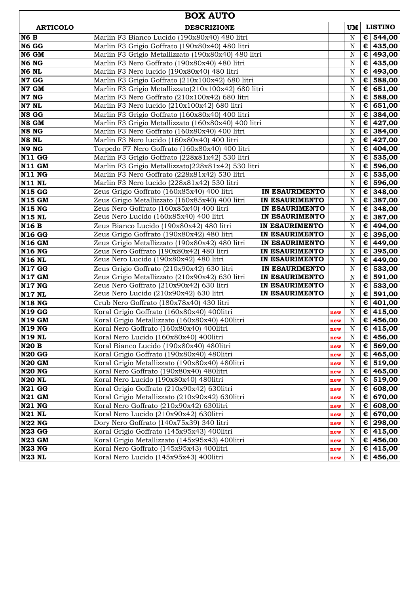| <b>BOX AUTO</b>                       |                                                                                              |                                  |            |             |                          |                              |
|---------------------------------------|----------------------------------------------------------------------------------------------|----------------------------------|------------|-------------|--------------------------|------------------------------|
| <b>ARTICOLO</b><br><b>DESCRIZIONE</b> |                                                                                              |                                  |            | UM          |                          | <b>LISTINO</b>               |
| N <sub>6</sub> B                      | Marlin F3 Bianco Lucido (190x80x40) 480 litri                                                |                                  |            | N           |                          | € 544,00                     |
| N6 GG                                 | Marlin F3 Grigio Goffrato (190x80x40) 480 litri                                              |                                  |            | N           |                          | € 435,00                     |
| N6 GM                                 | Marlin F3 Grigio Metallizzato (190x80x40) 480 litri                                          |                                  |            | N           |                          | € 493,00                     |
| N6 NG                                 | Marlin F3 Nero Goffrato (190x80x40) 480 litri                                                |                                  |            | N           |                          | € 435,00                     |
| N6 NL                                 | Marlin F3 Nero lucido (190x80x40) 480 litri                                                  |                                  |            | $\mathbf N$ |                          | € 493,00                     |
| N7 GG                                 | Marlin F3 Grigio Goffrato (210x100x42) 680 litri                                             |                                  |            | $\mathbf N$ | €                        | 588,00                       |
| N7 GM                                 | Marlin F3 Grigio Metallizzato(210x100x42) 680 litri                                          |                                  |            | $\mathbf N$ | $\epsilon$               | 651,00                       |
| N7 NG                                 | Marlin F3 Nero Goffrato (210x100x42) 680 litri                                               |                                  |            | $\mathbf N$ | $\epsilon$               | 588,00                       |
| N7 NL                                 | Marlin F3 Nero lucido (210x100x42) 680 litri                                                 |                                  |            | $\mathbf N$ | €                        | 651,00                       |
| N8 GG                                 | Marlin F3 Grigio Goffrato (160x80x40) 400 litri                                              |                                  |            | $\mathbf N$ |                          | € 384,00                     |
| N8 GM                                 | Marlin F3 Grigio Metallizzato (160x80x40) 400 litri                                          |                                  |            | $\mathbf N$ |                          | € 427,00                     |
| N8 NG                                 | Marlin F3 Nero Goffrato (160x80x40) 400 litri                                                |                                  |            | $\mathbf N$ |                          | € 384,00                     |
| N8 NL                                 | Marlin F3 Nero lucido (160x80x40) 400 litri                                                  |                                  |            | $\mathbf N$ |                          | € 427,00                     |
| N9 NG                                 | Torpedo F7 Nero Goffrato (160x80x40) 400 litri                                               |                                  |            | $\mathbf N$ |                          | $\overline{\epsilon}$ 404,00 |
| <b>N11 GG</b>                         | Marlin F3 Grigio Goffrato (228x81x42) 530 litri                                              |                                  |            | $\mathbf N$ |                          | € 535,00                     |
| <b>N11 GM</b>                         | Marlin F3 Grigio Metallizzato(228x81x42) 530 litri                                           |                                  |            | N           | $\epsilon$               | 596,00                       |
| <b>N11 NG</b>                         | Marlin F3 Nero Goffrato (228x81x42) 530 litri                                                |                                  |            | N           | $\epsilon$               | 535,00                       |
| <b>N11 NL</b>                         | Marlin F3 Nero lucido (228x81x42) 530 litri                                                  |                                  |            | N           | $\epsilon$               | 596,00                       |
| <b>N15 GG</b>                         | Zeus Grigio Goffrato (160x85x40) 400 litri                                                   | IN ESAURIMENTO                   |            | $\mathbf N$ |                          | € 348,00                     |
| <b>N15 GM</b>                         | Zeus Grigio Metallizzato (160x85x40) 400 litri                                               | IN ESAURIMENTO                   |            | N           |                          | € 387,00                     |
| <b>N15 NG</b>                         | Zeus Nero Goffrato (160x85x40) 400 litri                                                     | <b>IN ESAURIMENTO</b>            |            | N           |                          | $\epsilon$ 348,00            |
| <b>N15 NL</b>                         | Zeus Nero Lucido (160x85x40) 400 litri                                                       | IN ESAURIMENTO                   |            | $\mathbf N$ | $\epsilon$               | 387,00                       |
| <b>N16B</b>                           | Zeus Bianco Lucido (190x80x42) 480 litri                                                     | IN ESAURIMENTO                   |            | N           |                          | € 494,00                     |
| <b>N16 GG</b>                         | Zeus Grigio Goffrato (190x80x42) 480 litri                                                   | IN ESAURIMENTO                   |            | N           |                          | € 395,00                     |
| <b>N16 GM</b>                         | Zeus Grigio Metallizzato (190x80x42) 480 litri                                               | <b>IN ESAURIMENTO</b>            |            | N           |                          | € 449,00                     |
| <b>N16 NG</b>                         | Zeus Nero Goffrato (190x80x42) 480 litri<br>Zeus Nero Lucido (190x80x42) 480 litri           | IN ESAURIMENTO<br>IN ESAURIMENTO |            | N           | $\epsilon$               | 395,00                       |
| <b>N16 NL</b>                         |                                                                                              |                                  |            | N           |                          | € 449,00                     |
| <b>N17 GG</b>                         | Zeus Grigio Goffrato (210x90x42) 630 litri<br>Zeus Grigio Metallizzato (210x90x42) 630 litri | IN ESAURIMENTO                   |            | $\mathbf N$ | €                        | 533,00                       |
| <b>N17 GM</b><br><b>N17 NG</b>        | Zeus Nero Goffrato (210x90x42) 630 litri                                                     | IN ESAURIMENTO<br>IN ESAURIMENTO |            | N<br>N      | $\epsilon$<br>$\epsilon$ | 591,00<br>533,00             |
| <b>N17 NL</b>                         | Zeus Nero Lucido (210x90x42) 630 litri                                                       | <b>IN ESAURIMENTO</b>            |            | N           | $\epsilon$               | 591,00                       |
| <b>N18 NG</b>                         | Crub Nero Goffrato (180x78x40) 430 litri                                                     |                                  |            | N           |                          | € 401,00                     |
| <b>N19 GG</b>                         | Koral Grigio Goffrato (160x80x40) 400litri                                                   |                                  |            | N           | $\epsilon$               | 415,00                       |
| <b>N19 GM</b>                         | Koral Grigio Metallizzato (160x80x40) 400litri                                               |                                  | new        | $\mathbf N$ |                          | € 456,00                     |
| N19 NG                                | Koral Nero Goffrato (160x80x40) 400 litri                                                    |                                  | new        |             |                          | € 415,00                     |
| N19 NL                                | Koral Nero Lucido (160x80x40) 400litri                                                       |                                  | new<br>new | N,<br>N     |                          | € 456,00                     |
| <b>N20 B</b>                          | Koral Bianco Lucido (190x80x40) 480litri                                                     |                                  | new        | N           | €∣                       | 569,00                       |
| <b>N20 GG</b>                         | Koral Grigio Goffrato (190x80x40) 480litri                                                   |                                  | new        | N           | €                        | 465,00                       |
| <b>N20 GM</b>                         | Koral Grigio Metallizzato (190x80x40) 480litri                                               |                                  | new        | N           | €                        | 519,00                       |
| <b>N20 NG</b>                         | Koral Nero Goffrato (190x80x40) 480litri                                                     |                                  | new        | N           | €                        | 465,00                       |
| <b>N20 NL</b>                         | Koral Nero Lucido (190x80x40) 480litri                                                       |                                  | new        | N           | €                        | 519,00                       |
| <b>N21 GG</b>                         | Koral Grigio Goffrato (210x90x42) 630litri                                                   |                                  | new        | N           | €                        | 608,00                       |
| <b>N21 GM</b>                         | Koral Grigio Metallizzato (210x90x42) 630litri                                               |                                  | new        | N           | €                        | 670,00                       |
| <b>N21 NG</b>                         | Koral Nero Goffrato (210x90x42) 630litri                                                     |                                  | new        | N           | $\epsilon$               | 608,00                       |
| <b>N21 NL</b>                         | Koral Nero Lucido (210x90x42) 630litri                                                       |                                  | new        | N           | $\epsilon$               | 670,00                       |
| <b>N22 NG</b>                         | Dory Nero Goffrato (140x75x39) 340 litri                                                     |                                  | new        | N           |                          | € 298,00                     |
| <b>N23 GG</b>                         | Koral Grigio Goffrato (145x95x43) 400litri                                                   |                                  | new        | N           |                          | € 415,00                     |
| <b>N23 GM</b>                         | Koral Grigio Metallizzato (145x95x43) 400litri                                               |                                  | new        | N           |                          | € 456,00                     |
| <b>N23 NG</b>                         | Koral Nero Goffrato (145x95x43) 400litri                                                     |                                  | new        | N           |                          | € 415,00                     |
| <b>N23 NL</b>                         | Koral Nero Lucido (145x95x43) 400litri                                                       |                                  | new        | N           |                          | € 456,00                     |
|                                       |                                                                                              |                                  |            |             |                          |                              |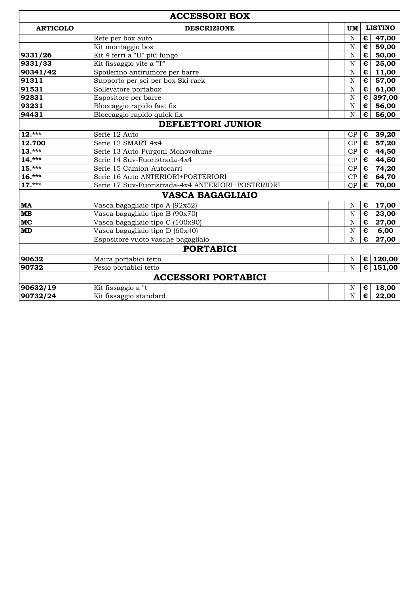|                  | <b>ACCESSORI BOX</b>                              |                    |                       |                |
|------------------|---------------------------------------------------|--------------------|-----------------------|----------------|
| <b>ARTICOLO</b>  | <b>DESCRIZIONE</b>                                | UM                 |                       | <b>LISTINO</b> |
|                  | Rete per box auto                                 | N                  | €                     | 47,00          |
|                  | Kit montaggio box                                 | N                  | €                     | 59,00          |
| 9331/26          | Kit 4 ferri a "U" più lungo                       | N                  | $\overline{\epsilon}$ | 50,00          |
| 9331/33          | Kit fissaggio vite a "T"                          | $\overline{\rm N}$ | €                     | 25,00          |
| 90341/42         | Spoilerino antirumore per barre                   | N                  | €                     | 11,00          |
| 91311            | Supporto per sci per box Ski rack                 | N                  | €                     | 57,00          |
| 91531            | Sollevatore portabox                              | N                  | €                     | 61,00          |
| 92831            | Espositore per barre                              | N                  | €                     | 397,00         |
| 93231            | Bloccaggio rapido fast fix                        | $\overline{\rm N}$ | €                     | 56,00          |
| 94431            | Bloccaggio rapido quick fix                       | N                  | €                     | 56,00          |
|                  | <b>DEFLETTORI JUNIOR</b>                          |                    |                       |                |
| $12.***$         | Serie 12 Auto                                     | CP                 | €                     | 39,20          |
| 12.700           | Serie 12 SMART 4x4                                | CP                 | €                     | 57,20          |
| $13.***$         | Serie 13 Auto-Furgoni-Monovolume                  | CP                 | €                     | 44,50          |
| $14.***$         | Serie 14 Suv-Fuoristrada-4x4                      | CP                 | €                     | 44,50          |
| $15.***$         | Serie 15 Camion-Autocarri                         | CP                 | €                     | 74,20          |
| $16.***$         | Serie 16 Auto ANTERIORI+POSTERIORI                | CP                 | €                     | 64,70          |
| $17.***$         | Serie 17 Suv-Fuoristrada-4x4 ANTERIORI+POSTERIORI | CP                 | €                     | 70,00          |
|                  | <b>VASCA BAGAGLIAIO</b>                           |                    |                       |                |
| <b>MA</b>        | Vasca bagagliaio tipo A (92x52)                   | N                  | €                     | 17,00          |
| $\mathbf{MB}$    | Vasca bagagliaio tipo B (90x70)                   | N                  | €                     | 23,00          |
| MC               | Vasca bagagliaio tipo C (100x90)                  | N                  | €                     | 27,00          |
| <b>MD</b>        | Vasca bagagliaio tipo D (60x40)                   | N                  | €                     | 6,00           |
|                  | Espositore vuoto vasche bagagliaio                | N                  | €                     | 27,00          |
| <b>PORTABICI</b> |                                                   |                    |                       |                |
| 90632            | Maira portabici tetto                             | N                  | $\epsilon$            | 120,00         |
| 90732            | Pesio portabici tetto                             | N                  | $\epsilon$            | 151,00         |
|                  | <b>ACCESSORI PORTABICI</b>                        |                    |                       |                |
| 90632/19         | Kit fissaggio a "t"                               | N                  | €                     | 18,00          |
| 90732/24         | Kit fissaggio standard                            | N                  | €                     | 22,00          |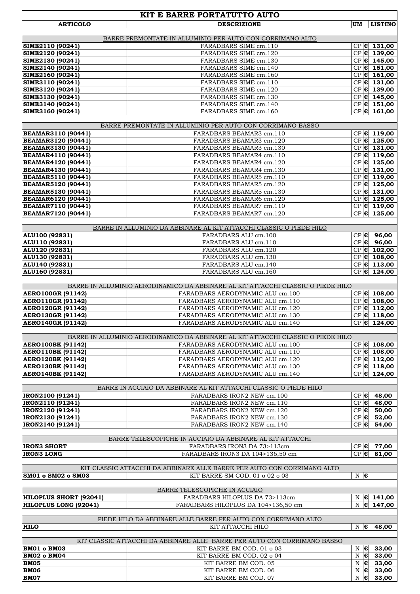|                                                               | KIT E BARRE PORTATUTTO AUTO                                                        |                      |                           |                                                |
|---------------------------------------------------------------|------------------------------------------------------------------------------------|----------------------|---------------------------|------------------------------------------------|
| <b>ARTICOLO</b>                                               | <b>DESCRIZIONE</b>                                                                 | <b>UM</b>            |                           | <b>LISTINO</b>                                 |
|                                                               |                                                                                    |                      |                           |                                                |
| SIME2110 (90241)                                              | BARRE PREMONTATE IN ALLUMINIO PER AUTO CON CORRIMANO ALTO<br>FARADBARS SIME cm.110 |                      |                           | $CP$ $ C $ 131,00                              |
| SIME2120 (90241)                                              | FARADBARS SIME cm.120                                                              |                      |                           | $CP$ $C$ $139,00$                              |
| SIME2130 (90241)                                              | FARADBARS SIME cm.130                                                              |                      |                           | $CP$ $C$ 145,00                                |
| SIME2140 (90241)                                              | FARADBARS SIME cm.140                                                              |                      |                           | $CP$ $C$ $151,00$                              |
| SIME2160 (90241)                                              | FARADBARS SIME cm.160                                                              |                      |                           | $CP$ $ E $ 161,00                              |
| SIME3110 (90241)                                              | FARADBARS SIME cm.110                                                              |                      |                           | $CP$ $C$ $131,00$                              |
| SIME3120 (90241)                                              | FARADBARS SIME cm.120                                                              |                      |                           | $CP$ $C$ $139,00$<br>$CP$ $C$ 145,00           |
| SIME3130 (90241)<br>SIME3140 (90241)                          | FARADBARS SIME cm.130<br>FARADBARS SIME cm.140                                     |                      |                           | $CP$ $ E $ 151,00                              |
| SIME3160 (90241)                                              | FARADBARS SIME cm.160                                                              |                      |                           | $CP$ $C$ $161,00$                              |
|                                                               |                                                                                    |                      |                           |                                                |
|                                                               | BARRE PREMONTATE IN ALLUMINIO PER AUTO CON CORRIMANO BASSO                         |                      |                           |                                                |
| <b>BEAMAR3110 (90441)</b>                                     | FARADBARS BEAMAR3 cm.110                                                           |                      |                           | $CP$ $ E $ 119,00                              |
| <b>BEAMAR3120 (90441)</b>                                     | FARADBARS BEAMAR3 cm.120                                                           |                      |                           | $CP$ $C$ $125,00$                              |
| <b>BEAMAR3130 (90441)</b>                                     | FARADBARS BEAMAR3 cm.130                                                           |                      |                           | $CP$ $C$ $131,00$                              |
| <b>BEAMAR4110 (90441)</b>                                     | FARADBARS BEAMAR4 cm.110                                                           |                      |                           | $CP$ $ E $ 119,00<br>$CP$ $C$ $125,00$         |
| <b>BEAMAR4120 (90441)</b><br><b>BEAMAR4130 (90441)</b>        | FARADBARS BEAMAR4 cm.120<br>FARADBARS BEAMAR4 cm.130                               |                      |                           | $CP$ $C$ 131,00                                |
| <b>BEAMAR5110 (90441)</b>                                     | FARADBARS BEAMAR5 cm.110                                                           |                      |                           | $CP$ $C$ 119,00                                |
| <b>BEAMAR5120 (90441)</b>                                     | FARADBARS BEAMAR5 cm.120                                                           |                      |                           | $CP$ $ E $ 125,00                              |
| <b>BEAMAR5130 (90441)</b>                                     | FARADBARS BEAMAR5 cm.130                                                           |                      |                           | $CP$ $C$ $131,00$                              |
| <b>BEAMAR6120 (90441)</b>                                     | FARADBARS BEAMAR6 cm.120                                                           |                      |                           | $CP$ $C$ $125,00$                              |
| <b>BEAMAR7110 (90441)</b>                                     | FARADBARS BEAMAR7 cm.110                                                           |                      |                           | $CP$ $C$ 119,00                                |
| <b>BEAMAR7120 (90441)</b>                                     | FARADBARS BEAMAR7 cm.120                                                           |                      |                           | $CP$ $C$ $125,00$                              |
|                                                               | BARRE IN ALLUMINIO DA ABBINARE AL KIT ATTACCHI CLASSIC O PIEDE HILO                |                      |                           |                                                |
| ALU100 (92831)                                                | FARADBARS ALU cm.100                                                               |                      |                           | CP € 96,00                                     |
| ALU110 (92831)                                                | FARADBARS ALU cm.110                                                               |                      |                           | $CP$ $E$ 96,00                                 |
| ALU120 (92831)                                                | FARADBARS ALU cm.120                                                               |                      |                           | $CP$ $C$ $102,00$                              |
| ALU130 (92831)                                                | FARADBARS ALU cm.130                                                               |                      |                           | $CP$ $C$ $108,00$                              |
| ALU140 (92831)                                                | FARADBARS ALU cm.140                                                               |                      |                           | $CP$ $C$ $113,00$                              |
| ALU160 (92831)                                                | FARADBARS ALU cm.160                                                               |                      |                           | $CP$ $C$ $124,00$                              |
|                                                               | BARRE IN ALLUMINIO AERODINAMICO DA ABBINARE AL KIT ATTACCHI CLASSIC O PIEDE HILO   |                      |                           |                                                |
| <b>AERO100GR (91142)</b>                                      | FARADBARS AERODYNAMIC ALU cm.100                                                   |                      |                           | $\overline{\text{CP}}$ c 108,00                |
| AERO110GR (91142)                                             | FARADBARS AERODYNAMIC ALU cm.110                                                   |                      |                           | $CP$ $C$ $108,00$                              |
| <b>AERO120GR (91142)</b>                                      | FARADBARS AERODYNAMIC ALU cm.120                                                   |                      |                           | $CP$ $C$ 112,00                                |
| AERO130GR (91142)                                             | FARADBARS AERODYNAMIC ALU cm.130                                                   |                      |                           | $CP$ $C$ 118,00                                |
| <b>AERO140GR (91142)</b>                                      | FARADBARS AERODYNAMIC ALU cm.140                                                   |                      |                           | $CP$ $C$ $124,00$                              |
|                                                               | BARRE IN ALLUMINIO AERODINAMICO DA ABBINARE AL KIT ATTACCHI CLASSIC O PIEDE HILO   |                      |                           |                                                |
| <b>AERO100BK (91142)</b>                                      | FARADBARS AERODYNAMIC ALU cm.100                                                   |                      |                           | $CP$ $ C $ 108,00                              |
| <b>AERO110BK (91142)</b>                                      | FARADBARS AERODYNAMIC ALU cm.110                                                   |                      |                           | $CP$ $C$ $108,00$                              |
| <b>AERO120BK (91142)</b>                                      | FARADBARS AERODYNAMIC ALU cm.120                                                   |                      |                           | $CP$ $C$ 112,00                                |
| <b>AERO130BK (91142)</b>                                      | FARADBARS AERODYNAMIC ALU cm.130                                                   |                      |                           | $CP$ $ E $ 118,00                              |
| <b>AERO140BK (91142)</b>                                      | FARADBARS AERODYNAMIC ALU cm.140                                                   |                      |                           | $CP$ $C$ 124,00                                |
|                                                               |                                                                                    |                      |                           |                                                |
|                                                               | BARRE IN ACCIAIO DA ABBINARE AL KIT ATTACCHI CLASSIC O PIEDE HILO                  |                      |                           |                                                |
| IRON2100 (91241)<br>IRON2110 (91241)                          | FARADBARS IRON2 NEW cm.100<br>FARADBARS IRON2 NEW cm.110                           | $CP$ $C$<br>$CP$ $C$ |                           | 48,00<br>48,00                                 |
| IRON2120 (91241)                                              | FARADBARS IRON2 NEW cm.120                                                         |                      |                           | $CP$ 6 50,00                                   |
| IRON2130 (91241)                                              | FARADBARS IRON2 NEW cm.130                                                         |                      |                           | $CP$ 6 52,00                                   |
| IRON2140 (91241)                                              | FARADBARS IRON2 NEW cm.140                                                         |                      |                           | $CP$ $6$ 54,00                                 |
|                                                               |                                                                                    |                      |                           |                                                |
|                                                               | BARRE TELESCOPICHE IN ACCIAIO DA ABBINARE AL KIT ATTACCHI                          |                      |                           |                                                |
| <b>IRON3 SHORT</b><br><b>IRON3 LONG</b>                       | FARADBARS IRON3 DA 73>113cm<br>FARADBARS IRON3 DA 104>136,50 cm                    | $CP$ $C$<br>$CP$ $C$ |                           | 77,00<br>81,00                                 |
|                                                               |                                                                                    |                      |                           |                                                |
|                                                               | KIT CLASSIC ATTACCHI DA ABBINARE ALLE BARRE PER AUTO CON CORRIMANO ALTO            |                      |                           |                                                |
| SM01 o SM02 o SM03                                            | KIT BARRE SM COD. 01 o 02 o 03                                                     | $N \in$              |                           |                                                |
|                                                               |                                                                                    |                      |                           |                                                |
|                                                               | BARRE TELESCOPICHE IN ACCIAIO                                                      |                      |                           |                                                |
| <b>HILOPLUS SHORT (92041)</b><br><b>HILOPLUS LONG (92041)</b> | FARADBARS HILOPLUS DA 73>113cm<br>FARADBARS HILOPLUS DA 104>136,50 cm              | $\mathbf N$          |                           | $N \in 141,00$<br>$\overline{\epsilon}$ 147,00 |
|                                                               |                                                                                    |                      |                           |                                                |
|                                                               | PIEDE HILO DA ABBINARE ALLE BARRE PER AUTO CON CORRIMANO ALTO                      |                      |                           |                                                |
| <b>HILO</b>                                                   | KIT ATTACCHI HILO                                                                  | $N \in$              |                           | 48,00                                          |
|                                                               |                                                                                    |                      |                           |                                                |
|                                                               | KIT CLASSIC ATTACCHI DA ABBINARE ALLE BARRE PER AUTO CON CORRIMANO BASSO           |                      |                           |                                                |
| <b>BM01 o BM03</b><br><b>BM02 o BM04</b>                      | KIT BARRE BM COD. 01 o 03<br>KIT BARRE BM COD. 02 o 04                             | $N \in$              |                           | 33,00<br>$N \in$ 33,00                         |
| <b>BM05</b>                                                   | KIT BARRE BM COD. 05                                                               |                      |                           | $N \in$ 33,00                                  |
| <b>BM06</b>                                                   | KIT BARRE BM COD. 06                                                               | $\, {\rm N}$         | $ \boldsymbol{\epsilon} $ | 33,00                                          |
| <b>BM07</b>                                                   | KIT BARRE BM COD. 07                                                               | ${\bf N}$            | $ \epsilon $              | 33,00                                          |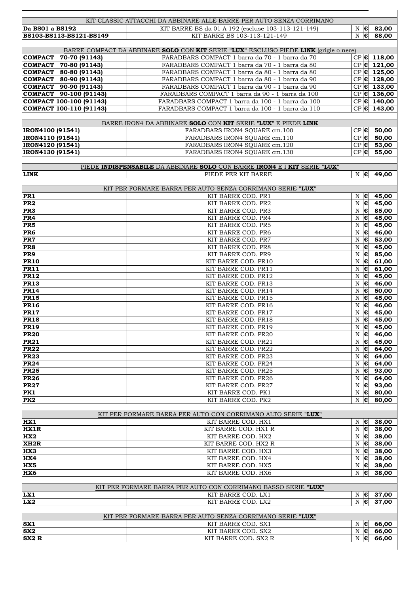|                                                | KIT CLASSIC ATTACCHI DA ABBINARE ALLE BARRE PER AUTO SENZA CORRIMANO                               |                          |                                                |                                        |
|------------------------------------------------|----------------------------------------------------------------------------------------------------|--------------------------|------------------------------------------------|----------------------------------------|
| Da BS01 a BS192                                | KIT BARRE BS da 01 A 192 (escluse 103-113-121-149)                                                 |                          |                                                | $N \in$ 82,00                          |
| BS103-BS113-BS121-BS149                        | KIT BARRE BS 103-113-121-149                                                                       | $N \in$                  |                                                | 88,00                                  |
|                                                |                                                                                                    |                          |                                                |                                        |
|                                                | BARRE COMPACT DA ABBINARE SOLO CON KIT SERIE "LUX" ESCLUSO PIEDE LINK (grigie o nere)              |                          |                                                |                                        |
| COMPACT 70-70 (91143)                          | FARADBARS COMPACT 1 barra da 70 - 1 barra da 70                                                    |                          |                                                | $CP$ $ C $ 118,00                      |
| COMPACT 70-80 (91143)<br>COMPACT 80-80 (91143) | FARADBARS COMPACT 1 barra da 70 - 1 barra da 80<br>FARADBARS COMPACT 1 barra da 80 - 1 barra da 80 |                          |                                                | $CP$ $C$ $121,00$<br>$CP$ $ C $ 125,00 |
| COMPACT 80-90 (91143)                          | FARADBARS COMPACT 1 barra da 80 - 1 barra da 90                                                    |                          |                                                | $CP$ $C$ $128,00$                      |
| COMPACT 90-90 (91143)                          | FARADBARS COMPACT 1 barra da 90 - 1 barra da 90                                                    |                          |                                                | $CP$ $C$ 133,00                        |
| COMPACT 90-100 (91143)                         | FARADBARS COMPACT 1 barra da 90 - 1 barra da 100                                                   |                          |                                                | $CP$ $C$ $136,00$                      |
| COMPACT 100-100 (91143)                        | FARADBARS COMPACT 1 barra da 100 - 1 barra da 100                                                  |                          |                                                | $CP$ $C$ 140,00                        |
| COMPACT 100-110 (91143)                        | FARADBARS COMPACT 1 barra da 100 - 1 barra da 110                                                  |                          |                                                | $CP$ $C$ $143,00$                      |
|                                                |                                                                                                    |                          |                                                |                                        |
|                                                | BARRE IRON4 DA ABBINARE SOLO CON KIT SERIE "LUX" E PIEDE LINK                                      |                          |                                                |                                        |
| IRON4100 (91541)<br>IRON4110 (91541)           | FARADBARS IRON4 SQUARE cm.100<br>FARADBARS IRON4 SQUARE cm.110                                     |                          |                                                | $CP$ 6 50,00<br>$CP$ 6 50,00           |
| IRON4120 (91541)                               | FARADBARS IRON4 SQUARE cm.120                                                                      |                          |                                                | $CP$ $6$ 53,00                         |
| IRON4130 (91541)                               | FARADBARS IRON4 SQUARE cm.130                                                                      | $CP$ $C$                 |                                                | 55,00                                  |
|                                                |                                                                                                    |                          |                                                |                                        |
|                                                | PIEDE INDISPENSABILE DA ABBINARE SOLO CON BARRE IRON4 E I KIT SERIE "LUX"                          |                          |                                                |                                        |
| <b>LINK</b>                                    | PIEDE PER KIT BARRE                                                                                | $N \in$                  |                                                | 49,00                                  |
|                                                |                                                                                                    |                          |                                                |                                        |
| PR <sub>1</sub>                                | KIT PER FORMARE BARRA PER AUTO SENZA CORRIMANO SERIE "LUX"<br>KIT BARRE COD. PR1                   | N                        | $ \epsilon $                                   | 45,00                                  |
| PR <sub>2</sub>                                | KIT BARRE COD. PR2                                                                                 | $\, {\rm N}$             | $\epsilon$                                     | 45,00                                  |
| PR <sub>3</sub>                                | KIT BARRE COD. PR3                                                                                 | N                        | $ \epsilon $                                   | 85,00                                  |
| PR <sub>4</sub>                                | KIT BARRE COD. PR4                                                                                 | N                        | $ \epsilon $                                   | 45,00                                  |
| PR <sub>5</sub>                                | KIT BARRE COD. PR5                                                                                 | ${\bf N}$                | $\epsilon$                                     | 45,00                                  |
| PR6                                            | KIT BARRE COD. PR6                                                                                 | ${\bf N}$                | $ \epsilon $                                   | 46,00                                  |
| PR7                                            | KIT BARRE COD. PR7                                                                                 | $\mathbf N$              | $\overline{\epsilon}$                          | $\frac{1}{53,00}$                      |
| PR8                                            | KIT BARRE COD. PR8<br>KIT BARRE COD. PR9                                                           | N                        | $\overline{\epsilon}$<br>$\overline{\epsilon}$ | $\frac{1}{45,00}$                      |
| PR9<br><b>PR10</b>                             | KIT BARRE COD. PR10                                                                                | N<br>${\bf N}$           | $\epsilon$                                     | 85,00<br>61,00                         |
| <b>PR11</b>                                    | KIT BARRE COD. PR11                                                                                | ${\bf N}$                | $\overline{\epsilon}$                          | 61,00                                  |
| <b>PR12</b>                                    | KIT BARRE COD. PR12                                                                                | $\mathbf N$              | $\epsilon$                                     | 45,00                                  |
| <b>PR13</b>                                    | KIT BARRE COD. PR13                                                                                | N                        | $\overline{\epsilon}$                          | 46,00                                  |
| <b>PR14</b>                                    | KIT BARRE COD. PR14                                                                                | $\mathbf N$              | $ \epsilon $                                   | 50,00                                  |
| <b>PR15</b>                                    | KIT BARRE COD. PR15                                                                                | $\mathbf N$              | $\overline{\epsilon}$                          | 45,00                                  |
| <b>PR16</b>                                    | KIT BARRE COD. PR16                                                                                | ${\bf N}$                | $\overline{\bullet}$                           | 46,00                                  |
| <b>PR17</b><br><b>PR18</b>                     | KIT BARRE COD. PR17<br>KIT BARRE COD. PR18                                                         | ${\bf N}$<br>$\mathbf N$ | $\overline{\epsilon}$<br>$\overline{\epsilon}$ | 45,00<br>45,00                         |
| <b>PR19</b>                                    | KIT BARRE COD. PR19                                                                                | $N$ $\epsilon$           |                                                | 45,00                                  |
| <b>PR20</b>                                    | KIT BARRE COD. PR20                                                                                | $N \in$                  |                                                | 46,00                                  |
| <b>PR21</b>                                    | KIT BARRE COD. PR21                                                                                | $N \in$                  |                                                | 45,00                                  |
| <b>PR22</b>                                    | KIT BARRE COD. PR22                                                                                | $\mathbf N$              | $\epsilon$                                     | 64,00                                  |
| PR23                                           | KIT BARRE COD. PR23                                                                                | N                        | $ \boldsymbol{\epsilon} $                      | 64,00                                  |
| <b>PR24</b><br><b>PR25</b>                     | KIT BARRE COD. PR24<br>KIT BARRE COD. PR25                                                         | N<br>$\mathbf N$         | $ \epsilon $<br>$ \epsilon $                   | 64,00                                  |
| <b>PR26</b>                                    | KIT BARRE COD. PR26                                                                                | N                        | $ \epsilon $                                   | 93,00<br>64,00                         |
| <b>PR27</b>                                    | KIT BARRE COD. PR27                                                                                | N                        | $ \epsilon $                                   | 93,00                                  |
| PK1                                            | KIT BARRE COD. PK1                                                                                 | N                        | $ \epsilon $                                   | 80,00                                  |
| PK <sub>2</sub>                                | KIT BARRE COD. PK2                                                                                 |                          | N∣€                                            | 80,00                                  |
|                                                |                                                                                                    |                          |                                                |                                        |
|                                                | KIT PER FORMARE BARRA PER AUTO CON CORRIMANO ALTO SERIE "LUX"                                      |                          |                                                |                                        |
| <b>HX1</b><br>HX1R                             | KIT BARRE COD. HX1<br>KIT BARRE COD. HX1 R                                                         | $N \in$<br>$N \in$       |                                                | 38,00<br>38,00                         |
| HX2                                            | KIT BARRE COD. HX2                                                                                 | $N \in$                  |                                                | 38,00                                  |
| XH <sub>2R</sub>                               | KIT BARRE COD. HX2 R                                                                               | N                        | $ \epsilon $                                   | 38,00                                  |
| $\overline{\text{HX3}}$                        | KIT BARRE COD. HX3                                                                                 | N                        | $ \epsilon $                                   | 38,00                                  |
| HX4                                            | KIT BARRE COD. HX4                                                                                 | N                        | $ \boldsymbol{\epsilon} $                      | 38,00                                  |
| HX5                                            | KIT BARRE COD. HX5                                                                                 | N                        | $ \mathbf{e} $                                 | 38,00                                  |
| HX6                                            | KIT BARRE COD. HX6                                                                                 | $N \in$                  |                                                | 38,00                                  |
|                                                | KIT PER FORMARE BARRA PER AUTO CON CORRIMANO BASSO SERIE "LUX"                                     |                          |                                                |                                        |
| LX1                                            | KIT BARRE COD. LX1                                                                                 |                          | $N \in$                                        | 37,00                                  |
| LX2                                            | KIT BARRE COD. LX2                                                                                 |                          | $N \in$                                        | 37,00                                  |
|                                                |                                                                                                    |                          |                                                |                                        |
|                                                | KIT PER FORMARE BARRA PER AUTO SENZA CORRIMANO SERIE "LUX"                                         |                          |                                                |                                        |
| SX <sub>1</sub>                                | KIT BARRE COD. SX1                                                                                 |                          | $N \in$                                        | 66,00                                  |
| SX <sub>2</sub><br>SX <sub>2</sub> R           | KIT BARRE COD. SX2<br>KIT BARRE COD. SX2 R                                                         | $N \in$                  | $N \in$                                        | 66,00<br>66,00                         |
|                                                |                                                                                                    |                          |                                                |                                        |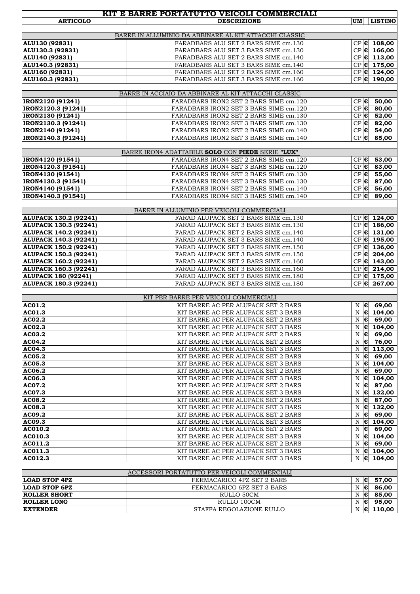|                                              | KIT E BARRE PORTATUTTO VEICOLI COMMERCIALI                                       |             |                |                                |
|----------------------------------------------|----------------------------------------------------------------------------------|-------------|----------------|--------------------------------|
| <b>ARTICOLO</b>                              | <b>DESCRIZIONE</b>                                                               | <b>UM</b>   |                | <b>LISTINO</b>                 |
|                                              |                                                                                  |             |                |                                |
|                                              | BARRE IN ALLUMINIO DA ABBINARE AL KIT ATTACCHI CLASSIC                           |             |                |                                |
| ALU130 (92831)                               | FARADBARS ALU SET 2 BARS SIME cm.130                                             |             |                | $CP$ $C$ 108,00                |
| ALU130.3 (92831)                             | FARADBARS ALU SET 3 BARS SIME cm.130                                             |             |                | $CP$ $C$ $166,00$              |
| ALU140 (92831)                               | FARADBARS ALU SET 2 BARS SIME cm.140                                             |             |                | $CP$ $C$ $113,00$              |
| ALU140.3 (92831)                             | FARADBARS ALU SET 3 BARS SIME cm.140                                             |             |                | $CP$ $C$ $175,00$              |
| ALU160 (92831)                               | FARADBARS ALU SET 2 BARS SIME cm.160                                             |             |                | $CP$ $C$ $124,00$              |
| ALU160.3 (92831)                             | FARADBARS ALU SET 3 BARS SIME cm.160                                             |             |                | $CP$ $C$ $190,00$              |
|                                              |                                                                                  |             |                |                                |
|                                              | BARRE IN ACCIAIO DA ABBINARE AL KIT ATTACCHI CLASSIC                             |             |                |                                |
| IRON2120 (91241)                             | FARADBARS IRON2 SET 2 BARS SIME cm.120<br>FARADBARS IRON2 SET 3 BARS SIME cm.120 |             |                | $CP$ 6 50,00<br>$CP$ $C$ 80,00 |
| IRON2120.3 (91241)                           | FARADBARS IRON2 SET 2 BARS SIME cm.130                                           |             |                | $CP$ $C$ 52,00                 |
| IRON2130 (91241)                             | FARADBARS IRON2 SET 3 BARS SIME cm.130                                           |             |                | $CP$ $6$ 82,00                 |
| IRON2130.3 (91241)<br>IRON2140 (91241)       | FARADBARS IRON2 SET 2 BARS SIME cm.140                                           |             |                | $CP$ $6$ 54,00                 |
| IRON2140.3 (91241)                           | FARADBARS IRON2 SET 3 BARS SIME cm.140                                           |             |                | $CP$ $\epsilon$ 85,00          |
|                                              |                                                                                  |             |                |                                |
|                                              | BARRE IRON4 ADATTABILE SOLO CON PIEDE SERIE "LUX"                                |             |                |                                |
| IRON4120 (91541)                             | FARADBARS IRON4 SET 2 BARS SIME cm.120                                           |             |                | $CP$ $6$ 53,00                 |
| IRON4120.3 (91541)                           | FARADBARS IRON4 SET 3 BARS SIME cm.120                                           |             |                | $CP$ $6$ 83,00                 |
| IRON4130 (91541)                             | FARADBARS IRON4 SET 2 BARS SIME cm.130                                           |             |                | $CP$ $C$ 55,00                 |
| IRON4130.3 (91541)                           | FARADBARS IRON4 SET 3 BARS SIME cm.130                                           |             |                | $CP$ $C$ 87,00                 |
| IRON4140 (91541)                             | FARADBARS IRON4 SET 2 BARS SIME cm.140                                           |             |                | $CP$ $6$ 56,00                 |
| IRON4140.3 (91541)                           | FARADBARS IRON4 SET 3 BARS SIME cm.140                                           | $CP$ $C$    |                | 89,00                          |
|                                              |                                                                                  |             |                |                                |
|                                              | BARRE IN ALLUMINIO PER VEICOLI COMMERCIALI                                       |             |                |                                |
| ALUPACK 130.2 (92241)                        | FARAD ALUPACK SET 2 BARS SIME cm.130                                             |             |                | $CP$ $ C $ 124,00              |
| ALUPACK 130.3 (92241)                        | FARAD ALUPACK SET 3 BARS SIME cm.130                                             |             |                | $CP$ $C$ 186,00                |
| <b>ALUPACK 140.2 (92241)</b>                 | FARAD ALUPACK SET 2 BARS SIME cm.140                                             |             |                | $CP$ $C$ $131,00$              |
| ALUPACK 140.3 (92241)                        | FARAD ALUPACK SET 3 BARS SIME cm.140                                             |             |                | $CP$ $C$ 195,00                |
| ALUPACK 150.2 (92241)                        | FARAD ALUPACK SET 2 BARS SIME cm.150                                             |             |                | $CP$ $C$ $136,00$              |
| ALUPACK 150.3 (92241)                        | FARAD ALUPACK SET 3 BARS SIME cm.150                                             |             |                | $CP$ $C$ $204,00$              |
| ALUPACK 160.2 (92241)                        | FARAD ALUPACK SET 2 BARS SIME cm.160                                             |             |                | $CP$ $C$ $143,00$              |
| <b>ALUPACK 160.3 (92241)</b>                 | FARAD ALUPACK SET 3 BARS SIME cm.160                                             |             |                | $CP$ $C$ $214,00$              |
| <b>ALUPACK 180 (92241)</b>                   | FARAD ALUPACK SET 2 BARS SIME cm.180                                             |             |                | $CP$ $C$ 175,00                |
| ALUPACK 180.3 (92241)                        | FARAD ALUPACK SET 3 BARS SIME cm.180                                             |             |                | $CP$ $C$ 267,00                |
|                                              |                                                                                  |             |                |                                |
|                                              | KIT PER BARRE PER VEICOLI COMMERCIALI                                            |             |                |                                |
| AC01.2                                       | KIT BARRE AC PER ALUPACK SET 2 BARS                                              |             |                | $N \in$ 69,00                  |
| AC01.3                                       | KIT BARRE AC PER ALUPACK SET 3 BARS                                              | $\mathbf N$ |                | $\overline{\epsilon}$ 104,00   |
| AC02.2                                       | KIT BARRE AC PER ALUPACK SET 2 BARS                                              |             |                | $N \in 69,00$                  |
| AC02.3                                       | KIT BARRE AC PER ALUPACK SET 3 BARS                                              |             |                | $N \in 104,00$                 |
| <b>AC03.2</b>                                | KIT BARRE AC PER ALUPACK SET 2 BARS                                              |             | $N \in$        | 69,00                          |
| <b>AC04.2</b>                                | KIT BARRE AC PER ALUPACK SET 2 BARS                                              |             |                | $N \in 76,00$                  |
| <b>AC04.3</b>                                | KIT BARRE AC PER ALUPACK SET 3 BARS                                              |             |                | $N \in 113,00$                 |
| AC05.2                                       | KIT BARRE AC PER ALUPACK SET 2 BARS                                              | N           | $ \epsilon $   | 69,00                          |
| AC05.3                                       | KIT BARRE AC PER ALUPACK SET 3 BARS                                              | N           | $ \epsilon $   | 104,00                         |
| AC06.2                                       | KIT BARRE AC PER ALUPACK SET 2 BARS                                              |             |                | $N \in$ 69,00                  |
| AC06.3                                       | KIT BARRE AC PER ALUPACK SET 3 BARS                                              | N           | $ \epsilon $   | 104,00                         |
| <b>AC07.2</b>                                | KIT BARRE AC PER ALUPACK SET 2 BARS                                              | N           | $ \mathbf{c} $ | 87,00                          |
| ACO7.3                                       | KIT BARRE AC PER ALUPACK SET 3 BARS                                              |             |                | $N \in 132,00$                 |
| <b>AC08.2</b>                                | KIT BARRE AC PER ALUPACK SET 2 BARS                                              |             | $N$ $\epsilon$ | 87,00                          |
| <b>AC08.3</b>                                | KIT BARRE AC PER ALUPACK SET 3 BARS                                              | N           |                | $ 0 $ 132,00                   |
| AC09.2                                       | KIT BARRE AC PER ALUPACK SET 2 BARS                                              |             |                | $N \in$ 69,00                  |
| AC09.3                                       | KIT BARRE AC PER ALUPACK SET 3 BARS                                              |             |                | $N \in 104,00$                 |
| AC010.2                                      | KIT BARRE AC PER ALUPACK SET 2 BARS                                              |             |                | $N \in$ 69,00                  |
| AC010.3                                      | KIT BARRE AC PER ALUPACK SET 3 BARS                                              | N           |                | $\epsilon$ 104,00              |
| AC011.2                                      | KIT BARRE AC PER ALUPACK SET 2 BARS                                              |             | $N \in$        | 69,00                          |
| AC011.3                                      | KIT BARRE AC PER ALUPACK SET 3 BARS                                              |             |                | $N \in 104,00$                 |
| AC012.3                                      | KIT BARRE AC PER ALUPACK SET 3 BARS                                              |             | $N \mathbf{e}$ | 104,00                         |
|                                              | ACCESSORI PORTATUTTO PER VEICOLI COMMERCIALI                                     |             |                |                                |
|                                              |                                                                                  |             |                |                                |
| <b>LOAD STOP 4PZ</b><br><b>LOAD STOP 6PZ</b> | FERMACARICO 4PZ SET 2 BARS<br>FERMACARICO 6PZ SET 3 BARS                         |             | $N$ $\epsilon$ | 57,00<br>$N \in$ 86,00         |
| <b>ROLLER SHORT</b>                          |                                                                                  |             |                |                                |
| <b>ROLLER LONG</b>                           | RULLO 50CM<br>RULLO 100CM                                                        |             |                | $N \in$ 85,00<br>$N \in$ 95,00 |
| <b>EXTENDER</b>                              | STAFFA REGOLAZIONE RULLO                                                         |             |                | $N \in 110,00$                 |
|                                              |                                                                                  |             |                |                                |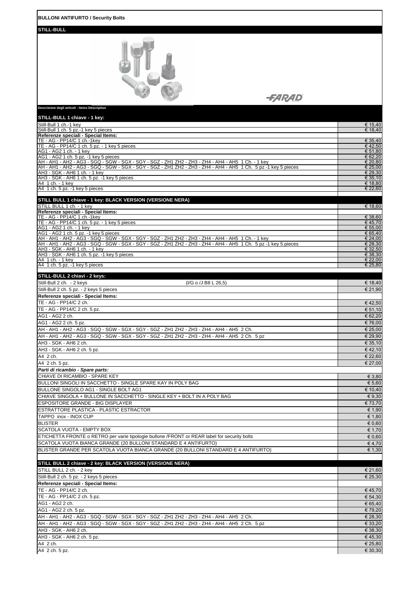| <b>BULLONI ANTIFURTO / Security Bolts</b>                                                                                                                                                     |                    |
|-----------------------------------------------------------------------------------------------------------------------------------------------------------------------------------------------|--------------------|
| <b>STILL-BULL</b>                                                                                                                                                                             |                    |
|                                                                                                                                                                                               |                    |
| <i><b>SARAD</b></i>                                                                                                                                                                           |                    |
| Descrizione degli articoli - Items Description                                                                                                                                                |                    |
| STILL-BULL 1 chiave - 1 key:<br>Still-Bull 1 ch.-1 key                                                                                                                                        | € 15,40            |
| Still-Bull 1 ch. 5 pz.-1 key 5 pieces<br>Referenze speciali - Special Items:                                                                                                                  | € 18,40            |
| TE - AG - PP14/C 1 ch.-1key<br>TE - AG - PP14/C 1 ch. 5 pz. - 1 key 5 pieces                                                                                                                  | € 35,40            |
| AG1 - AG2 1 ch. - 1 key                                                                                                                                                                       | € 42,50<br>€ 51,80 |
| AG1 - AG2 1 ch. 5 pz. -1 key 5 pieces<br>AH - AH1 - AH2 - AG3 - SGQ - SGW - SGX - SGY - SGZ - ZH1 ZH2 - ZH3 - ZH4 - AH4 - AH5 1 Ch. - 1 key                                                   | € 62,20<br>€ 20,80 |
| AH - AH1 - AH2 - AG3 - SGQ - SGW - SGX - SGY - SGZ - ZH1 ZH2 - ZH3 - ZH4 - AH4 - AH5 1 Ch. 5 pz -1 key 5 pieces<br>AH3 - SGK - AH6 1 ch. - 1 key                                              | € 25,00<br>€ 29,30 |
| AH3 - SGK - AH6 1 ch. 5 pz. -1 key 5 pieces                                                                                                                                                   | € 35,10            |
| A4 1 ch. - 1 key<br>A4 1 ch. 5 pz. -1 key 5 pieces                                                                                                                                            | € 18,80<br>€ 22,60 |
| STILL BULL 1 chiave - 1 key: BLACK VERSION (VERSIONE NERA)                                                                                                                                    |                    |
| STILL BULL 1 ch. - 1 key                                                                                                                                                                      | € 18,60            |
| Referenze speciali - Special Items:<br>TE - AG - PP14/C 1 ch.-1key                                                                                                                            | € 38,60            |
| TE - AG - PP14/C 1 ch. 5 pz. - 1 key 5 pieces<br>AG1 - AG2 1 ch. - 1 key                                                                                                                      | € 45,70<br>€ 55,00 |
| AG1 - AG2 1 ch. 5 pz. -1 key 5 pieces<br>AH - AH1 - AH2 - AG3 - SGQ - SGW - SGX - SGY - SGZ - ZH1 ZH2 - ZH3 - ZH4 - AH4 - AH5 1 Ch. - 1 key                                                   | € 65,40<br>€ 24,00 |
| AH - AH1 - AH2 - AG3 - SGQ - SGW - SGX - SGY - SGZ - ZH1 ZH2 - ZH3 - ZH4 - AH4 - AH5 1 Ch. 5 pz -1 key 5 pieces                                                                               | € 28,30            |
| AH3 - SGK - AH6 1 ch. - 1 key<br>AH3 - SGK - AH6 1 ch. 5 pz. -1 key 5 pieces                                                                                                                  | € 32,50<br>€ 38,30 |
| A4 1 ch. - 1 key<br>A4 1 ch. 5 pz. -1 key 5 pieces                                                                                                                                            | € 22,00<br>€ 25,80 |
|                                                                                                                                                                                               |                    |
| STILL-BULL 2 chiavi - 2 keys:<br>Still-Bull 2 ch. - 2 keys<br>(I/G o /J B8 L 26,5)                                                                                                            | € 18,40            |
| Still-Bull 2 ch. 5 pz. - 2 keys 5 pieces                                                                                                                                                      | € 21,90            |
| Referenze speciali - Special Items:<br>TE - AG - PP14/C 2 ch.                                                                                                                                 | € 42,50            |
| TE - AG - PP14/C 2 ch. 5 pz.                                                                                                                                                                  | € 51,10            |
| AG1 - AG2 2 ch.                                                                                                                                                                               | € 62,20            |
| AG1 - AG2 2 ch. 5 pz.<br>AH - AH1 - AH2 - AG3 - SGQ - SGW - SGX - SGY - SGZ - ZH1 ZH2 - ZH3 - ZH4 - AH4 - AH5 2 Ch.                                                                           | € 76,00<br>€ 25,00 |
| AH - AH1 - AH2 - AG3 - SGQ - SGW - SGX - SGY - SGZ - ZH1 ZH2 - ZH3 - ZH4 - AH4 - AH5 2 Ch. 5 pz                                                                                               | € 29,90            |
| AH3 - SGK - AH6 2 ch.<br>AH3 - SGK - AH6 2 ch. 5 pz.                                                                                                                                          | € 35,10<br>€42,10  |
| A4 2 ch.                                                                                                                                                                                      | € 22,60            |
| A4 2 ch. 5 pz.                                                                                                                                                                                | € 27,00            |
| Parti di ricambio - Spare parts:<br>CHIAVE DI RICAMBIO - SPARE KEY                                                                                                                            | € 3,80             |
| BULLONI SINGOLI IN SACCHETTO - SINGLE SPARE KAY IN POLY BAG                                                                                                                                   | € 5,60             |
| BULLONE SINGOLO AG1 - SINGLE BOLT AG1<br>CHIAVE SINGOLA + BULLONE IN SACCHETTO - SINGLE KEY + BOLT IN A POLY BAG                                                                              | € 10,40<br>€ 9,30  |
| <b>ESPOSITORE GRANDE - BIG DISPLAYER</b>                                                                                                                                                      | € 73,70            |
| ESTRATTORE PLASTICA - PLASTIC ESTRACTOR                                                                                                                                                       | € 1.90             |
| TAPPO inox - INOX CUP<br><b>BLISTER</b>                                                                                                                                                       | € 1,80<br>€ 0,60   |
| SCATOLA VUOTA - EMPTY BOX                                                                                                                                                                     | € 1,70             |
| ETICHETTA FRONTE o RETRO per varie tipologie bullone /FRONT or REAR label for security bolts<br>SCATOLA VUOTA BIANCA GRANDE (20 BULLONI STANDARD E 4 ANTIFURTO)                               | $\epsilon$ 0,60    |
| BLISTER GRANDE PER SCATOLA VUOTA BIANCA GRANDE (20 BULLONI STANDARD E 4 ANTIFURTO)                                                                                                            | € 4,70<br>€ 1,30   |
|                                                                                                                                                                                               |                    |
| STILL BULL 2 chiave - 2 key: BLACK VERSION (VERSIONE NERA)<br>STILL BULL 2 ch. - 2 key                                                                                                        | € 21,60            |
| Still-Bull 2 ch. 5 pz. - 2 keys 5 pieces                                                                                                                                                      | € 25,30            |
| Referenze speciali - Special Items:                                                                                                                                                           |                    |
| TE - AG - PP14/C 2 ch.<br>TE - AG - PP14/C 2 ch. 5 pz.                                                                                                                                        | €45,70<br>€ 54,30  |
| AG1 - AG2 2 ch.                                                                                                                                                                               | € 65,40            |
| AG1 - AG2 2 ch. 5 pz.                                                                                                                                                                         | € 79,20            |
| AH - AH1 - AH2 - AG3 - SGQ - SGW - SGX - SGY - SGZ - ZH1 ZH2 - ZH3 - ZH4 - AH4 - AH5 2 Ch.<br>AH - AH1 - AH2 - AG3 - SGQ - SGW - SGX - SGY - SGZ - ZH1 ZH2 - ZH3 - ZH4 - AH4 - AH5 2 Ch. 5 pz | € 28,30<br>€ 33,20 |
| AH3 - SGK - AH6 2 ch.                                                                                                                                                                         | € 38,30            |
| AH3 - SGK - AH6 2 ch. 5 pz.<br>A4 2 ch.                                                                                                                                                       | €45,30<br>€ 25,80  |
| A4 2 ch. 5 pz.                                                                                                                                                                                | € 30,30            |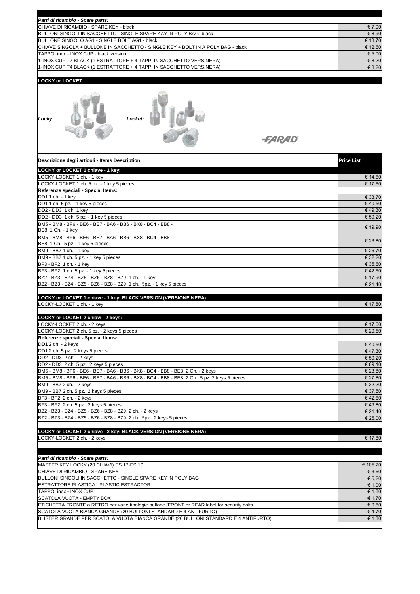| Parti di ricambio - Spare parts:                                                                                         |                   |
|--------------------------------------------------------------------------------------------------------------------------|-------------------|
| CHIAVE DI RICAMBIO - SPARE KEY - black                                                                                   | € 7,00            |
| BULLONI SINGOLI IN SACCHETTO - SINGLE SPARE KAY IN POLY BAG- black                                                       | € 8,90            |
| BULLONE SINGOLO AG1 - SINGLE BOLT AG1 - black                                                                            | € 13,70           |
| CHIAVE SINGOLA + BULLONE IN SACCHETTO - SINGLE KEY + BOLT IN A POLY BAG - black<br>TAPPO inox - INOX CUP - black version | € 12,60<br>€ 5,00 |
| 1-INOX CUP T7 BLACK (1 ESTRATTORE + 4 TAPPI IN SACCHETTO VERS.NERA)                                                      | € 8,20            |
| 1-INOX CUP T4 BLACK (1 ESTRATTORE + 4 TAPPI IN SACCHETTO VERS.NERA)                                                      | € 8,20            |
|                                                                                                                          |                   |
| <b>LOCKY or LOCKET</b>                                                                                                   |                   |
| Locket:<br>Locky:<br><i><del>-FARAD</del></i>                                                                            |                   |
| Descrizione degli articoli - Items Description                                                                           | <b>Price List</b> |
| LOCKY or LOCKET 1 chiave - 1 key:                                                                                        |                   |
| LOCKY-LOCKET 1 ch. - 1 key                                                                                               | € 14,60           |
| LOCKY-LOCKET 1 ch. 5 pz. - 1 key 5 pieces<br>Referenze speciali - Special Items:                                         | € 17,60           |
| DD1 1 ch. - 1 key                                                                                                        | € 33,70           |
| DD1 1 ch. 5 pz. - 1 key 5 pieces                                                                                         | €40,50            |
| DD2 - DD3 1 ch. 1 key                                                                                                    | €49,30            |
| DD2 - DD3 1 ch. 5 pz. - 1 key 5 pieces                                                                                   | € 59,20           |
| BM5 - BM8 - BF6 - BE6 - BE7 - BA6 - BB6 - BX8 - BC4 - BB8 -<br>BE8 1 Ch. - 1 key                                         | € 19,90           |
| BM5 - BM8 - BF6 - BE6 - BE7 - BA6 - BB6 - BX8 - BC4 - BB8 -<br>BE8 1 Ch. 5 pz - 1 key 5 pieces                           | € 23,80           |
| BM9 - BB7 1 ch. - 1 key                                                                                                  | € 26,70           |
| BM9 - BB7 1 ch. 5 pz. - 1 key 5 pieces                                                                                   | € 32,20           |
| BF3 - BF2 1 ch. - 1 key                                                                                                  | € 35,60           |
| BF3 - BF2 1 ch. 5 pz. - 1 key 5 pieces<br>BZ2 - BZ3 - BZ4 - BZ5 - BZ6 - BZ8 - BZ9 1 ch. - 1 key                          | €42,60<br>€ 17,90 |
| BZ2 - BZ3 - BZ4 - BZ5 - BZ6 - BZ8 - BZ9 1 ch. 5pz. - 1 key 5 pieces                                                      | € 21,40           |
|                                                                                                                          |                   |
| LOCKY or LOCKET 1 chiave - 1 key: BLACK VERSION (VERSIONE NERA)                                                          |                   |
| LOCKY-LOCKET 1 ch. - 1 key                                                                                               | € 17,80           |
| LOCKY or LOCKET 2 chiavi - 2 keys:                                                                                       |                   |
| LOCKY-LOCKET 2 ch. - 2 keys                                                                                              | € 17,60           |
| LOCKY-LOCKET 2 ch. 5 pz. - 2 keys 5 pieces                                                                               | € 20,50           |
| Referenze speciali - Special Items:                                                                                      |                   |
| DD1 2 ch. - 2 keys                                                                                                       | €40,50<br>€47,30  |
| DD1 2 ch. 5 pz. 2 keys 5 pieces<br>DD2 - DD3 2 ch. - 2 keys                                                              | € 59,20           |
| DD2 - DD3 2 ch. 5 pz. 2 keys 5 pieces                                                                                    | € 69,10           |
| BM5 - BM8 - BF6 - BE6 - BE7 - BA6 - BB6 - BX8 - BC4 - BB8 - BE8 2 Ch. - 2 keys                                           | € 23,80           |
| BM5 - BM8 - BF6 - BE6 - BE7 - BA6 - BB6 - BX8 - BC4 - BB8 - BE8 2 Ch. 5 pz 2 keys 5 pieces                               | € 27,80           |
| BM9 - BB7 2 ch. - 2 keys                                                                                                 | € 32,20           |
| BM9 - BB7 2 ch. 5 pz. 2 keys 5 pieces                                                                                    | € 37,50           |
| BF3 - BF2 2 ch. - 2 keys<br>BF3 - BF2 2 ch. 5 pz. 2 keys 5 pieces                                                        | €42,60<br>€49,80  |
| BZ2 - BZ3 - BZ4 - BZ5 - BZ6 - BZ8 - BZ9 2 ch. - 2 keys                                                                   | € 21,40           |
| BZ2 - BZ3 - BZ4 - BZ5 - BZ6 - BZ8 - BZ9 2 ch. 5pz. 2 keys 5 pieces                                                       | € 25,00           |
|                                                                                                                          |                   |
| LOCKY or LOCKET 2 chiave - 2 key: BLACK VERSION (VERSIONE NERA)                                                          |                   |
| LOCKY-LOCKET 2 ch. - 2 keys                                                                                              | € 17,80           |
|                                                                                                                          |                   |
| Parti di ricambio - Spare parts:                                                                                         |                   |
| MASTER KEY LOCKY (20 CHIAVI) ES.17-ES.19                                                                                 | € 105,20          |
| CHIAVE DI RICAMBIO - SPARE KEY                                                                                           | € 3,60            |
| BULLONI SINGOLI IN SACCHETTO - SINGLE SPARE KEY IN POLY BAG                                                              | € 5,20            |
| ESTRATTORE PLASTICA - PLASTIC ESTRACTOR                                                                                  | € 1,90            |
| TAPPO inox - INOX CUP<br>SCATOLA VUOTA - EMPTY BOX                                                                       | € 1,80<br>€ 1,70  |
| ETICHETTA FRONTE o RETRO per varie tipologie bullone /FRONT or REAR label for security bolts                             | € 0,60            |
| SCATOLA VUOTA BIANCA GRANDE (20 BULLONI STANDARD E 4 ANTIFURTO)                                                          | €4,70             |
| BLISTER GRANDE PER SCATOLA VUOTA BIANCA GRANDE (20 BULLONI STANDARD E 4 ANTIFURTO)                                       | € 1,30            |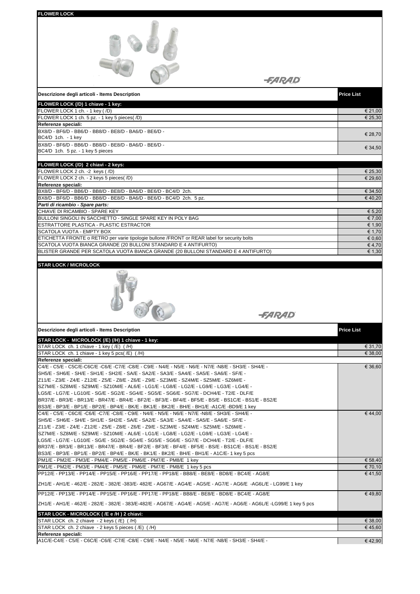| <b>FLOWER LOCK</b>                                                                                                                                                                                                                                                                                                                                                                                                                                                                                                                                                                                                                                                                                                      |                    |
|-------------------------------------------------------------------------------------------------------------------------------------------------------------------------------------------------------------------------------------------------------------------------------------------------------------------------------------------------------------------------------------------------------------------------------------------------------------------------------------------------------------------------------------------------------------------------------------------------------------------------------------------------------------------------------------------------------------------------|--------------------|
|                                                                                                                                                                                                                                                                                                                                                                                                                                                                                                                                                                                                                                                                                                                         |                    |
| <i>-FARAD</i>                                                                                                                                                                                                                                                                                                                                                                                                                                                                                                                                                                                                                                                                                                           |                    |
| Descrizione degli articoli - Items Description                                                                                                                                                                                                                                                                                                                                                                                                                                                                                                                                                                                                                                                                          | <b>Price List</b>  |
| FLOWER LOCK (/D) 1 chiave - 1 key:                                                                                                                                                                                                                                                                                                                                                                                                                                                                                                                                                                                                                                                                                      |                    |
| FLOWER LOCK 1 ch. - 1 key (/D)<br>FLOWER LOCK 1 ch. 5 pz. - 1 key 5 pieces(/D)                                                                                                                                                                                                                                                                                                                                                                                                                                                                                                                                                                                                                                          | € 21,00<br>€ 25,30 |
| Referenze speciali:                                                                                                                                                                                                                                                                                                                                                                                                                                                                                                                                                                                                                                                                                                     |                    |
| BX8/D - BF6/D - BB6/D - BB8/D - BE8/D - BA6/D - BE6/D -<br>BC4/D 1ch. - 1 key                                                                                                                                                                                                                                                                                                                                                                                                                                                                                                                                                                                                                                           | € 28,70            |
| BX8/D - BF6/D - BB6/D - BB8/D - BE8/D - BA6/D - BE6/D -<br>BC4/D 1ch. 5 pz. - 1 key 5 pieces                                                                                                                                                                                                                                                                                                                                                                                                                                                                                                                                                                                                                            | € 34,50            |
|                                                                                                                                                                                                                                                                                                                                                                                                                                                                                                                                                                                                                                                                                                                         |                    |
| FLOWER LOCK (/D) 2 chiavi - 2 keys:<br>FLOWER LOCK 2 ch. -2 keys (/D)                                                                                                                                                                                                                                                                                                                                                                                                                                                                                                                                                                                                                                                   | € 25,30            |
| FLOWER LOCK 2 ch. - 2 keys 5 pieces( /D)                                                                                                                                                                                                                                                                                                                                                                                                                                                                                                                                                                                                                                                                                | € 29,60            |
| Referenze speciali:<br>BX8/D - BF6/D - BB6/D - BB8/D - BE8/D - BA6/D - BE6/D - BC4/D 2ch.                                                                                                                                                                                                                                                                                                                                                                                                                                                                                                                                                                                                                               | € 34,50            |
| BX8/D - BF6/D - BB6/D - BB8/D - BE8/D - BA6/D - BE6/D - BC4/D 2ch. 5 pz.                                                                                                                                                                                                                                                                                                                                                                                                                                                                                                                                                                                                                                                | €40,20             |
| Parti di ricambio - Spare parts:<br>CHIAVE DI RICAMBIO - SPARE KEY                                                                                                                                                                                                                                                                                                                                                                                                                                                                                                                                                                                                                                                      | € 5,20             |
| BULLONI SINGOLI IN SACCHETTO - SINGLE SPARE KEY IN POLY BAG                                                                                                                                                                                                                                                                                                                                                                                                                                                                                                                                                                                                                                                             | € 7,00             |
| ESTRATTORE PLASTICA - PLASTIC ESTRACTOR<br>SCATOLA VUOTA - EMPTY BOX                                                                                                                                                                                                                                                                                                                                                                                                                                                                                                                                                                                                                                                    | € 1,90<br>€ 1,70   |
| ETICHETTA FRONTE o RETRO per varie tipologie bullone /FRONT or REAR label for security bolts                                                                                                                                                                                                                                                                                                                                                                                                                                                                                                                                                                                                                            | € 0,60             |
| SCATOLA VUOTA BIANCA GRANDE (20 BULLONI STANDARD E 4 ANTIFURTO)<br>BLISTER GRANDE PER SCATOLA VUOTA BIANCA GRANDE (20 BULLONI STANDARD E 4 ANTIFURTO)                                                                                                                                                                                                                                                                                                                                                                                                                                                                                                                                                                   | €4,70<br>€ 1,30    |
| <b>STAR LOCK / MICROLOCK</b>                                                                                                                                                                                                                                                                                                                                                                                                                                                                                                                                                                                                                                                                                            |                    |
| <i>-FARAD</i>                                                                                                                                                                                                                                                                                                                                                                                                                                                                                                                                                                                                                                                                                                           |                    |
| Descrizione degli articoli - Items Description                                                                                                                                                                                                                                                                                                                                                                                                                                                                                                                                                                                                                                                                          | <b>Price List</b>  |
| STAR LOCK - MICROLOCK (/E) (/H) 1 chiave - 1 key:                                                                                                                                                                                                                                                                                                                                                                                                                                                                                                                                                                                                                                                                       |                    |
| STAR LOCK ch. 1 chiave - 1 key (/E) (/H)<br>STAR LOCK ch. 1 chiave - 1 key 5 pcs(/E) (/H)                                                                                                                                                                                                                                                                                                                                                                                                                                                                                                                                                                                                                               | € 31,70<br>€ 38,00 |
| Referenze speciali:                                                                                                                                                                                                                                                                                                                                                                                                                                                                                                                                                                                                                                                                                                     |                    |
| - C4/E - C5/E - C5C/E-C6C/E -C6/E -C7/E -C8/E - C9/E - N4/E - N5/E - N6/E - N7/E -N8/E - SH3/E - SH4/E<br>SH5/E - SH6/E - SH/E - SH1/E - SH2/E - SA/E - SA2/E - SA3/E - SA4/E - SA5/E - SA6/E - SF/E -<br>Z11/E - Z3/E - Z4/E - Z12/E - Z5/E - Z8/E - Z6/E - Z9/E - SZ3M/E - SZ4M/E - SZ5M/E - SZ6M/E -<br>SZ7M/E - SZ8M/E - SZ9M/E - SZ10M/E - AL6/E - LG1/E - LG8/E - LG2/E - LG9/E - LG3/E - LG4/E -<br>LG5/E - LG7/E - LG10/E - SG/E - SG2/E - SG4/E - SG5/E - SG6/E - SG7/E - DCH4/E - T2/E - DLF/E<br>BR37/E - BR3/E - BR13/E - BR47/E - BR4/E - BF2/E - BF3/E - BF4/E - BF5/E - BS/E - BS1C/E - BS1/E - BS2/E<br>BS3/E - BP3/E - BP1/E - BP2/E - BP4/E - BK/E - BK1/E - BK2/E - BH/E - BH1/E -A1C/E -BD9/E 1 key | € 36,60            |
| - C4/E - C5/E - C6C/E -C6/E -C7/E -C8/E - C9/E - N4/E - N5/E - N6/E - N7/E -N8/E - SH3/E - SH4/E<br>SH5/E - SH6/E - SH/E - SH1/E - SH2/E - SA/E - SA2/E - SA3/E - SA4/E - SA5/E - SA6/E - SF/E -<br>211/E - Z3/E - Z4/E - Z12/E - Z5/E - Z8/E - Z6/E - Z9/E - SZ3M/E - SZ4M/E - SZ5M/E - SZ6M/E -<br>SZ7M/E - SZ8M/E - SZ9M/E - SZ10M/E - AL6/E - LG1/E - LG8/E - LG2/E - LG9/E - LG3/E - LG4/E -<br>LG5/E - LG7/E - LG10/E - SG/E - SG2/E - SG4/E - SG5/E - SG6/E - SG7/E - DCH4/E - T2/E - DLF/E<br>BR37/E - BR3/E - BR13/E - BR47/E - BR4/E - BF2/E - BF3/E - BF4/E - BF5/E - BS/E - BS1C/E - BS1/E - BS2/E<br>BS3/E - BP3/E - BP1/E - BP2/E - BP4/E - BK/E - BK1/E - BK2/E - BH/E - BH1/E - A1C/E- 1 key 5 pcs      | € 44,00            |
| PM1/E - PM2/E - PM3/E - PM4/E - PM5/E - PM6/E - PM7/E - PM8/E 1 key<br>PM1/E - PM2/E - PM3/E - PM4/E - PM5/E - PM6/E - PM7/E - PM8/E 1 key 5 pcs                                                                                                                                                                                                                                                                                                                                                                                                                                                                                                                                                                        | € 58,40<br>€ 70,10 |
| PP12/E - PP13/E - PP14/E - PP15/E - PP16/E - PP17/E - PP18/E - BB8/E - BE8/E - BD8/E - BC4/E - AG8/E                                                                                                                                                                                                                                                                                                                                                                                                                                                                                                                                                                                                                    | €41,50             |
| ZH1/E - AH1/E - 462/E - 282/E - 382/E -383/E- 482/E - AG67/E - AG4/E - AG5/E - AG7/E - AG6/E -AG6L/E - LG99/E 1 key                                                                                                                                                                                                                                                                                                                                                                                                                                                                                                                                                                                                     |                    |
| PP12/E - PP13/E - PP14/E - PP15/E - PP16/E - PP17/E - PP18/E - BB8/E - BE8/E - BD8/E - BC4/E - AG8/E<br>ZH1/E - AH1/E - 462/E - 282/E - 382/E - 383/E-482/E - AG67/E - AG4/E - AG5/E - AG7/E - AG6/E - AG6L/E -LG99/E 1 key 5 pcs                                                                                                                                                                                                                                                                                                                                                                                                                                                                                       | €49,80             |
| STAR LOCK - MICROLOCK ( /E e /H ) 2 chiavi:                                                                                                                                                                                                                                                                                                                                                                                                                                                                                                                                                                                                                                                                             |                    |
| STAR LOCK ch. 2 chiave - 2 keys (/E) (/H)                                                                                                                                                                                                                                                                                                                                                                                                                                                                                                                                                                                                                                                                               | € 38,00            |
| STAR LOCK ch. 2 chiave - 2 keys 5 pieces (/E) (/H)                                                                                                                                                                                                                                                                                                                                                                                                                                                                                                                                                                                                                                                                      |                    |
| Referenze speciali:                                                                                                                                                                                                                                                                                                                                                                                                                                                                                                                                                                                                                                                                                                     | €45,60             |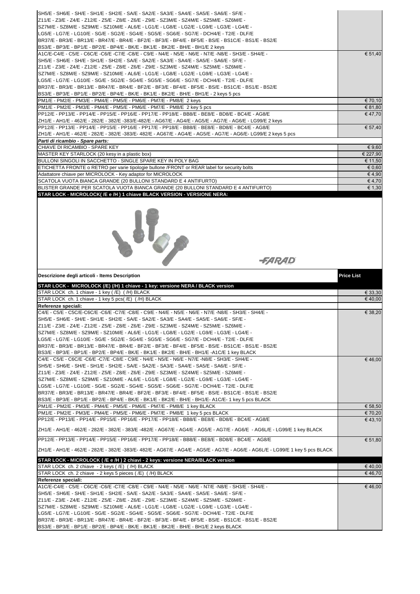| ISH5/E - SH6/E - SH/E - SH1/E - SH2/E - SA/E - SA2/E - SA3/E - SA4/E - SA5/E - SA6/E - SF/E -<br>Z11/E - Z3/E - Z4/E - Z12/E - Z5/E - Z8/E - Z6/E - Z9/E - SZ3M/E - SZ4M/E - SZ5M/E - SZ6M/E -<br>SZ7M/E - SZ8M/E - SZ9M/E - SZ10M/E - AL6/E - LG1/E - LG8/E - LG2/E - LG9/E - LG3/E - LG4/E -<br>LG5/E - LG7/E - LG10/E - SG/E - SG2/E - SG4/E - SG5/E - SG6/E - SG7/E - DCH4/E - T2/E - DLF/E<br>BR37/E - BR3/E - BR13/E - BR47/E - BR4/E - BF2/E - BF3/E - BF4/E - BF5/E - BS/E - BS1C/E - BS1/E - BS2/E<br>BS3/E - BP3/E - BP1/E - BP2/E - BP4/E - BK/E - BK1/E - BK2/E - BH/E - BH1/E 2 keys                                                                                                                       |                    |
|-------------------------------------------------------------------------------------------------------------------------------------------------------------------------------------------------------------------------------------------------------------------------------------------------------------------------------------------------------------------------------------------------------------------------------------------------------------------------------------------------------------------------------------------------------------------------------------------------------------------------------------------------------------------------------------------------------------------------|--------------------|
| A1C/E-C4/E - C5/E - C6C/E -C6/E -C7/E -C8/E - C9/E - N4/E - N5/E - N6/E - N7/E -N8/E - SH3/E - SH4/E -<br>SH5/E - SH6/E - SH/E - SH1/E - SH2/E - SA/E - SA2/E - SA3/E - SA4/E - SA5/E - SA6/E - SF/E -<br>Z11/E - Z3/E - Z4/E - Z12/E - Z5/E - Z8/E - Z6/E - Z9/E - SZ3M/E - SZ4M/E - SZ5M/E - SZ6M/E -<br>SZ7M/E - SZ8M/E - SZ9M/E - SZ10M/E - AL6/E - LG1/E - LG8/E - LG2/E - LG9/E - LG3/E - LG4/E -<br>LG5/E - LG7/E - LG10/E - SG/E - SG2/E - SG4/E - SG5/E - SG6/E - SG7/E - DCH4/E - T2/E - DLF/E<br>BR37/E - BR3/E - BR13/E - BR47/E - BR4/E - BF2/E - BF3/E - BF4/E - BF5/E - BS/E - BS1C/E - BS1/E - BS2/E<br>BS3/E - BP3/E - BP1/E - BP2/E - BP4/E - BK/E - BK1/E - BK2/E - BH/E - BH1/E - 2 keys 5 pcs      | € 51,40            |
| PM1/E - PM2/E - PM3/E - PM4/E - PM5/E - PM6/E - PM7/E - PM8/E 2 keys                                                                                                                                                                                                                                                                                                                                                                                                                                                                                                                                                                                                                                                    | € 70,10            |
| PM1/E - PM2/E - PM3/E - PM4/E - PM5/E - PM6/E - PM7/E - PM8/E 2 key 5 pcs<br>PP12/E - PP13/E - PP14/E - PP15/E - PP16/E - PP17/E - PP18/E - BB8/E - BE8/E - BD8/E - BC4/E - AG8/E                                                                                                                                                                                                                                                                                                                                                                                                                                                                                                                                       | € 81,80<br>€ 47,70 |
| ZH1/E - AH1/E - 462/E - 282/E - 382/E -383/E-482/E - AG67/E - AG4/E - AG5/E - AG7/E - AG6/E - LG99/E 2 keys                                                                                                                                                                                                                                                                                                                                                                                                                                                                                                                                                                                                             |                    |
| PP12/E - PP13/E - PP14/E - PP15/E - PP16/E - PP17/E - PP18/E - BB8/E - BE8/E - BD8/E - BC4/E - AG8/E<br> ZH1/E - AH1/E - 462/E - 282/E - 382/E -383/E- 482/E - AG67/E - AG4/E - AG5/E - AG7/E - AG6/E- LG99/E 2 keys 5 pcs<br>Parti di ricambio - Spare parts:                                                                                                                                                                                                                                                                                                                                                                                                                                                          | € 57,40            |
| CHIAVE DI RICAMBIO - SPARE KEY                                                                                                                                                                                                                                                                                                                                                                                                                                                                                                                                                                                                                                                                                          | € 9,60             |
| MASTER KEY STARLOCK (20 kesy in a plastic box)                                                                                                                                                                                                                                                                                                                                                                                                                                                                                                                                                                                                                                                                          | € 227,90           |
| BULLONI SINGOLI IN SACCHETTO - SINGLE SPARE KEY IN POLY BAG                                                                                                                                                                                                                                                                                                                                                                                                                                                                                                                                                                                                                                                             | € 11,50            |
| ETICHETTA FRONTE o RETRO per varie tipologie bullone /FRONT or REAR label for security bolts                                                                                                                                                                                                                                                                                                                                                                                                                                                                                                                                                                                                                            | € 0,60<br>€ 4,90   |
| Adattatore chiave per MICROLOCK - Key adaptor for MICROLOCK<br>SCATOLA VUOTA BIANCA GRANDE (20 BULLONI STANDARD E 4 ANTIFURTO)                                                                                                                                                                                                                                                                                                                                                                                                                                                                                                                                                                                          | € 4,70             |
| BLISTER GRANDE PER SCATOLA VUOTA BIANCA GRANDE (20 BULLONI STANDARD E 4 ANTIFURTO)                                                                                                                                                                                                                                                                                                                                                                                                                                                                                                                                                                                                                                      | € 1,30             |
| <i>-FARAD</i>                                                                                                                                                                                                                                                                                                                                                                                                                                                                                                                                                                                                                                                                                                           |                    |
|                                                                                                                                                                                                                                                                                                                                                                                                                                                                                                                                                                                                                                                                                                                         |                    |
| Descrizione degli articoli - Items Description                                                                                                                                                                                                                                                                                                                                                                                                                                                                                                                                                                                                                                                                          | Price List         |
| STAR LOCK - MICROLOCK (/E) (/H) 1 chiave - 1 key: versione NERA / BLACK version                                                                                                                                                                                                                                                                                                                                                                                                                                                                                                                                                                                                                                         |                    |
| STAR LOCK ch. 1 chiave - 1 key (/E) (/H) BLACK<br>STAR LOCK ch. 1 chiave - 1 key 5 pcs( /E) ( /H) BLACK                                                                                                                                                                                                                                                                                                                                                                                                                                                                                                                                                                                                                 | € 33,30<br>€40,00  |
| Referenze speciali:                                                                                                                                                                                                                                                                                                                                                                                                                                                                                                                                                                                                                                                                                                     |                    |
| - C4/E - C5/E - C5C/E-C6C/E -C6/E -C7/E -C8/E - C9/E - N4/E - N5/E - N6/E - N7/E -N8/E - SH3/E - SH4/E<br>SH5/E - SH6/E - SH/E - SH1/E - SH2/E - SA/E - SA2/E - SA3/E - SA4/E - SA5/E - SA6/E - SF/E -<br>Z11/E - Z3/E - Z4/E - Z12/E - Z5/E - Z8/E - Z6/E - Z9/E - SZ3M/E - SZ4M/E - SZ5M/E - SZ6M/E -<br>SZ7M/E - SZ8M/E - SZ9M/E - SZ10M/E - AL6/E - LG1/E - LG8/E - LG2/E - LG9/E - LG3/E - LG4/E -<br>LG5/E - LG7/E - LG10/E - SG/E - SG2/E - SG4/E - SG5/E - SG6/E - SG7/E - DCH4/E - T2/E - DLF/E<br>BR37/E - BR3/E - BR13/E - BR47/E - BR4/E - BF2/E - BF3/E - BF4/E - BF5/E - BS/E - BS1C/E - BS1/E - BS2/E<br>BS3/E-BP3/E-BP1/E-BP2/E-BP4/E-BK/E-BK1/E-BK2/E-BH/E-BH1/E-A1C/E 1 key BLACK                     | € 38,20            |
| C4/E - C5/E - C6C/E -C6/E -C7/E -C8/E - C9/E - N4/E - N5/E - N6/E - N7/E -N8/E - SH3/E - SH4/E -<br>SH5/E - SH6/E - SH/E - SH1/E - SH2/E - SA/E - SA2/E - SA3/E - SA4/E - SA5/E - SA6/E - SF/E -<br>Z11/E - Z3/E - Z4/E - Z12/E - Z5/E - Z8/E - Z6/E - Z9/E - SZ3M/E - SZ4M/E - SZ5M/E - SZ6M/E -<br>SZ7M/E - SZ8M/E - SZ9M/E - SZ10M/E - AL6/E - LG1/E - LG8/E - LG2/E - LG9/E - LG3/E - LG4/E -<br>LG5/E - LG7/E - LG10/E - SG/E - SG2/E - SG4/E - SG5/E - SG6/E - SG7/E - DCH4/E - T2/E - DLF/E<br>BR37/E - BR3/E - BR13/E - BR47/E - BR4/E - BF2/E - BF3/E - BF4/E - BF5/E - BS/E - BS1C/E - BS1/E - BS2/E<br>BS3/E - BP3/E - BP1/E - BP2/E - BP4/E - BK/E - BK1/E - BK2/E - BH/E - BH1/E- A1C/E- 1 key 5 pcs BLACK | €46,00             |
| PM1/E - PM2/E - PM3/E - PM4/E - PM5/E - PM6/E - PM7/E - PM8/E 1 key BLACK                                                                                                                                                                                                                                                                                                                                                                                                                                                                                                                                                                                                                                               | € 58,50            |
| PM1/E - PM2/E - PM3/E - PM4/E - PM5/E - PM6/E - PM7/E - PM8/E 1 key 5 pcs BLACK<br>PP12/E - PP13/E - PP14/E - PP15/E - PP16/E - PP17/E - PP18/E - BB8/E - BE8/E - BD8/E - BC4/E - AG8/E                                                                                                                                                                                                                                                                                                                                                                                                                                                                                                                                 | € 70,20<br>€43,10  |
| ZH1/E - AH1/E - 462/E - 282/E - 382/E - 383/E -482/E - AG67/E - AG4/E - AG5/E - AG7/E - AG6/E - AG6L/E - LG99/E 1 key BLACK                                                                                                                                                                                                                                                                                                                                                                                                                                                                                                                                                                                             |                    |
| PP12/E - PP13/E - PP14/E - PP15/E - PP16/E - PP17/E - PP18/E - BB8/E - BE8/E - BD8/E - BC4/E - AG8/E                                                                                                                                                                                                                                                                                                                                                                                                                                                                                                                                                                                                                    | € 51,80            |
| ZH1/E - AH1/E - 462/E - 282/E - 382/E -383/E- 482/E - AG67/E - AG4/E - AG5/E - AG7/E - AG6/E - AG6L/E - LG99/E 1 key 5 pcs BLACK                                                                                                                                                                                                                                                                                                                                                                                                                                                                                                                                                                                        |                    |
| STAR LOCK - MICROLOCK ( /E e /H ) 2 chiavi - 2 keys: versione NERA/BLACK version                                                                                                                                                                                                                                                                                                                                                                                                                                                                                                                                                                                                                                        |                    |
| STAR LOCK ch. 2 chiave - 2 keys (/E) (/H) BLACK                                                                                                                                                                                                                                                                                                                                                                                                                                                                                                                                                                                                                                                                         | €40,00             |
| STAR LOCK ch. 2 chiave - 2 keys 5 pieces (/E) (/H) BLACK<br>Referenze speciali:                                                                                                                                                                                                                                                                                                                                                                                                                                                                                                                                                                                                                                         | €46,70             |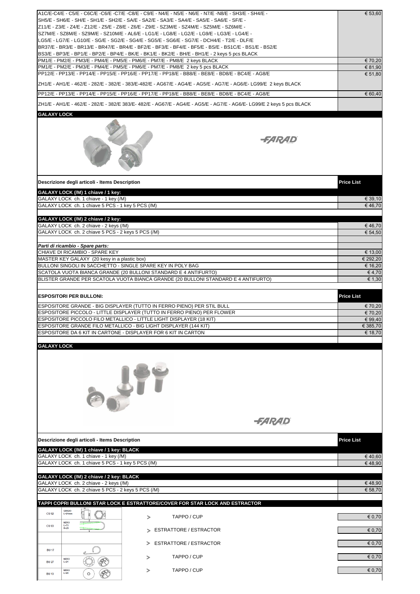|                                                                                                             | A1C/E-C4/E - C5/E - C6C/E -C6/E -C7/E -C8/E - C9/E - N4/E - N5/E - N6/E - N7/E - N8/E - SH3/E - SH4/E -<br>SH5/E - SH6/E - SH/E - SH1/E - SH2/E - SA/E - SA2/E - SA3/E - SA4/E - SA5/E - SA6/E - SF/E -<br>Z11/E - Z3/E - Z4/E - Z12/E - Z5/E - Z8/E - Z6/E - Z9/E - SZ3M/E - SZ4M/E - SZ5M/E - SZ6M/E -<br>SZ7M/E - SZ8M/E - SZ9M/E - SZ10M/E - AL6/E - LG1/E - LG8/E - LG2/E - LG9/E - LG3/E - LG4/E -<br>LG5/E - LG7/E - LG10/E - SG/E - SG2/E - SG4/E - SG5/E - SG6/E - SG7/E - DCH4/E - T2/E - DLF/E<br>BR37/E - BR3/E - BR13/E - BR47/E - BR4/E - BF2/E - BF3/E - BF4/E - BF5/E - BS/E - BS1C/E - BS1/E - BS2/E<br>BS3/E - BP3/E - BP1/E - BP2/E - BP4/E - BK/E - BK1/E - BK2/E - BH/E - BH1/E - 2 keys 5 pcs BLACK<br>PM1/E - PM2/E - PM3/E - PM4/E - PM5/E - PM6/E - PM7/E - PM8/E 2 keys BLACK | € 53,60<br>€ 70,20  |
|-------------------------------------------------------------------------------------------------------------|---------------------------------------------------------------------------------------------------------------------------------------------------------------------------------------------------------------------------------------------------------------------------------------------------------------------------------------------------------------------------------------------------------------------------------------------------------------------------------------------------------------------------------------------------------------------------------------------------------------------------------------------------------------------------------------------------------------------------------------------------------------------------------------------------------|---------------------|
|                                                                                                             | PM1/E - PM2/E - PM3/E - PM4/E - PM5/E - PM6/E - PM7/E - PM8/E 2 key 5 pcs BLACK                                                                                                                                                                                                                                                                                                                                                                                                                                                                                                                                                                                                                                                                                                                         | € 81,90             |
|                                                                                                             | PP12/E - PP13/E - PP14/E - PP15/E - PP16/E - PP17/E - PP18/E - BB8/E - BE8/E - BD8/E - BC4/E - AG8/E                                                                                                                                                                                                                                                                                                                                                                                                                                                                                                                                                                                                                                                                                                    | € 51,80             |
|                                                                                                             | ZH1/E - AH1/E - 462/E - 282/E - 382/E - 383/E-482/E - AG67/E - AG4/E - AG5/E - AG7/E - AG6/E- LG99/E 2 keys BLACK                                                                                                                                                                                                                                                                                                                                                                                                                                                                                                                                                                                                                                                                                       |                     |
|                                                                                                             | PP12/E - PP13/E - PP14/E - PP15/E - PP16/E - PP17/E - PP18/E - BB8/E - BE8/E - BD8/E - BC4/E - AG8/E                                                                                                                                                                                                                                                                                                                                                                                                                                                                                                                                                                                                                                                                                                    | € 60,40             |
|                                                                                                             | ZH1/E - AH1/E - 462/E - 282/E - 382/E 383/E- 482/E - AG67/E - AG4/E - AG5/E - AG7/E - AG6/E- LG99/E 2 keys 5 pcs BLACK                                                                                                                                                                                                                                                                                                                                                                                                                                                                                                                                                                                                                                                                                  |                     |
| <b>GALAXY LOCK</b>                                                                                          |                                                                                                                                                                                                                                                                                                                                                                                                                                                                                                                                                                                                                                                                                                                                                                                                         |                     |
|                                                                                                             | <i>-FARAD</i>                                                                                                                                                                                                                                                                                                                                                                                                                                                                                                                                                                                                                                                                                                                                                                                           |                     |
| Descrizione degli articoli - Items Description                                                              |                                                                                                                                                                                                                                                                                                                                                                                                                                                                                                                                                                                                                                                                                                                                                                                                         | <b>Price List</b>   |
| GALAXY LOCK (/M) 1 chiave / 1 key:<br>GALAXY LOCK ch. 1 chiave - 1 key (/M)                                 |                                                                                                                                                                                                                                                                                                                                                                                                                                                                                                                                                                                                                                                                                                                                                                                                         | € 39,10             |
| GALAXY LOCK ch. 1 chiave 5 PCS - 1 key 5 PCS (/M)                                                           |                                                                                                                                                                                                                                                                                                                                                                                                                                                                                                                                                                                                                                                                                                                                                                                                         | €46,70              |
| GALAXY LOCK (/M) 2 chiave / 2 key:                                                                          |                                                                                                                                                                                                                                                                                                                                                                                                                                                                                                                                                                                                                                                                                                                                                                                                         |                     |
| GALAXY LOCK ch. 2 chiave - 2 keys (/M)                                                                      |                                                                                                                                                                                                                                                                                                                                                                                                                                                                                                                                                                                                                                                                                                                                                                                                         | €46,70              |
| GALAXY LOCK ch. 2 chiave 5 PCS - 2 keys 5 PCS (/M)                                                          |                                                                                                                                                                                                                                                                                                                                                                                                                                                                                                                                                                                                                                                                                                                                                                                                         | € 54,50             |
| Parti di ricambio - Spare parts:                                                                            |                                                                                                                                                                                                                                                                                                                                                                                                                                                                                                                                                                                                                                                                                                                                                                                                         |                     |
| CHIAVE DI RICAMBIO - SPARE KEY                                                                              |                                                                                                                                                                                                                                                                                                                                                                                                                                                                                                                                                                                                                                                                                                                                                                                                         | € 13,00             |
| MASTER KEY GALAXY (20 kesy in a plastic box)<br>BULLONI SINGOLI IN SACCHETTO - SINGLE SPARE KEY IN POLY BAG |                                                                                                                                                                                                                                                                                                                                                                                                                                                                                                                                                                                                                                                                                                                                                                                                         | € 292,20<br>€ 16,20 |
|                                                                                                             | SCATOLA VUOTA BIANCA GRANDE (20 BULLONI STANDARD E 4 ANTIFURTO)                                                                                                                                                                                                                                                                                                                                                                                                                                                                                                                                                                                                                                                                                                                                         | € 4,70              |
|                                                                                                             | BLISTER GRANDE PER SCATOLA VUOTA BIANCA GRANDE (20 BULLONI STANDARD E 4 ANTIFURTO)                                                                                                                                                                                                                                                                                                                                                                                                                                                                                                                                                                                                                                                                                                                      | € 1,30              |
| <b>ESPOSITORI PER BULLONI:</b>                                                                              |                                                                                                                                                                                                                                                                                                                                                                                                                                                                                                                                                                                                                                                                                                                                                                                                         | <b>Price List</b>   |
|                                                                                                             | ESPOSITORE GRANDE - BIG DISPLAYER (TUTTO IN FERRO PIENO) PER STIL BULL                                                                                                                                                                                                                                                                                                                                                                                                                                                                                                                                                                                                                                                                                                                                  | € 70,20             |
|                                                                                                             | ESPOSITORE PICCOLO - LITTLE DISPLAYER (TUTTO IN FERRO PIENO) PER FLOWER                                                                                                                                                                                                                                                                                                                                                                                                                                                                                                                                                                                                                                                                                                                                 | € 70,20             |
|                                                                                                             | ESPOSITORE PICCOLO FILO METALLICO - LITTLE LIGHT DISPLAYER (18 KIT)                                                                                                                                                                                                                                                                                                                                                                                                                                                                                                                                                                                                                                                                                                                                     | € 99.40             |
| ESPOSITORE DA 6 KIT IN CARTONE - DISPLAYER FOR 6 KIT IN CARTON                                              | ESPOSITORE GRANDE FILO METALLICO - BIG LIGHT DISPLAYER (144 KIT)                                                                                                                                                                                                                                                                                                                                                                                                                                                                                                                                                                                                                                                                                                                                        | € 385,70<br>€ 18,70 |
| <b>GALAXY LOCK</b>                                                                                          |                                                                                                                                                                                                                                                                                                                                                                                                                                                                                                                                                                                                                                                                                                                                                                                                         |                     |
|                                                                                                             | <i><del>-FARAD</del></i>                                                                                                                                                                                                                                                                                                                                                                                                                                                                                                                                                                                                                                                                                                                                                                                |                     |
| Descrizione degli articoli - Items Description                                                              |                                                                                                                                                                                                                                                                                                                                                                                                                                                                                                                                                                                                                                                                                                                                                                                                         | <b>Price List</b>   |
| GALAXY LOCK (/M) 1 chiave / 1 key: BLACK                                                                    |                                                                                                                                                                                                                                                                                                                                                                                                                                                                                                                                                                                                                                                                                                                                                                                                         |                     |
| GALAXY LOCK ch. 1 chiave - 1 key (/M)                                                                       |                                                                                                                                                                                                                                                                                                                                                                                                                                                                                                                                                                                                                                                                                                                                                                                                         | €40,60              |
| GALAXY LOCK ch. 1 chiave 5 PCS - 1 key 5 PCS (/M)                                                           |                                                                                                                                                                                                                                                                                                                                                                                                                                                                                                                                                                                                                                                                                                                                                                                                         | €48,90              |
| GALAXY LOCK (/M) 2 chiave / 2 key: BLACK                                                                    |                                                                                                                                                                                                                                                                                                                                                                                                                                                                                                                                                                                                                                                                                                                                                                                                         |                     |
| GALAXY LOCK ch. 2 chiave - 2 keys (/M)                                                                      |                                                                                                                                                                                                                                                                                                                                                                                                                                                                                                                                                                                                                                                                                                                                                                                                         | €48,90              |
| GALAXY LOCK ch. 2 chiave 5 PCS - 2 keys 5 PCS (/M)                                                          |                                                                                                                                                                                                                                                                                                                                                                                                                                                                                                                                                                                                                                                                                                                                                                                                         | € 58,70             |
|                                                                                                             | TAPPI COPRI BULLONI STAR LOCK E ESTRATTORE/COVER FOR STAR LOCK AND ESTRACTOR                                                                                                                                                                                                                                                                                                                                                                                                                                                                                                                                                                                                                                                                                                                            |                     |
| <b>GRIGIO</b><br><b>CU 02</b><br>$L-21mm$                                                                   | TAPPO / CUP<br>⋗                                                                                                                                                                                                                                                                                                                                                                                                                                                                                                                                                                                                                                                                                                                                                                                        | € 0,70              |
| NERO<br>L=73<br><b>CU 03</b>                                                                                |                                                                                                                                                                                                                                                                                                                                                                                                                                                                                                                                                                                                                                                                                                                                                                                                         |                     |
| $H=25$                                                                                                      | > ESTRATTORE / ESTRACTOR                                                                                                                                                                                                                                                                                                                                                                                                                                                                                                                                                                                                                                                                                                                                                                                | € 0,70              |
|                                                                                                             | > ESTRATTORE / ESTRACTOR                                                                                                                                                                                                                                                                                                                                                                                                                                                                                                                                                                                                                                                                                                                                                                                | € 0,70              |
| <b>BU17</b>                                                                                                 |                                                                                                                                                                                                                                                                                                                                                                                                                                                                                                                                                                                                                                                                                                                                                                                                         |                     |
| <b>NERO</b><br><b>BU27</b><br>$L=21$                                                                        | TAPPO / CUP<br>$\, > \,$                                                                                                                                                                                                                                                                                                                                                                                                                                                                                                                                                                                                                                                                                                                                                                                | € 0,70              |
| <b>NERO</b><br>$L=20$<br><b>BU13</b>                                                                        | TAPPO / CUP<br>⋗                                                                                                                                                                                                                                                                                                                                                                                                                                                                                                                                                                                                                                                                                                                                                                                        | € 0,70              |
|                                                                                                             |                                                                                                                                                                                                                                                                                                                                                                                                                                                                                                                                                                                                                                                                                                                                                                                                         |                     |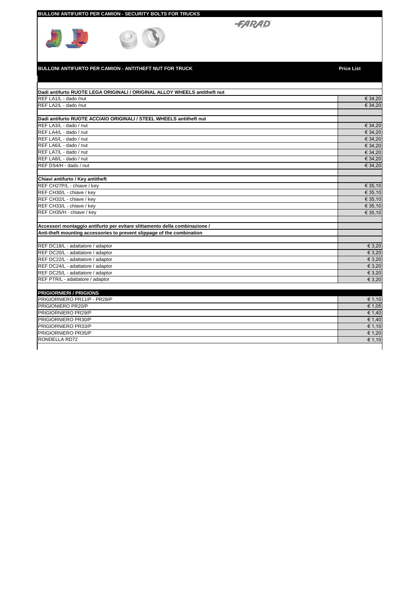|  | BULLONI ANTIFURTO PER CAMION - SECURITY BOLTS FOR TRUCKS |
|--|----------------------------------------------------------|
|  |                                                          |

 $\bigcirc$ 



**BULLONI ANTIFURTO PER CAMION - ANTITHEFT NUT FOR TRUCK Price List** 

| Dadi antifurto RUOTE LEGA ORIGINALI / ORIGINAL ALLOY WHEELS antitheft nut  |                 |
|----------------------------------------------------------------------------|-----------------|
| REF LA1/L - dado /nut                                                      | € 34,20         |
| REF LA2/L - dado /nut                                                      | € 34,20         |
|                                                                            |                 |
| Dadi antifurto RUOTE ACCIAIO ORIGINALI / STEEL WHEELS antitheft nut        |                 |
| REF LA3/L - dado / nut                                                     | € 34,20         |
| REF LA4/L - dado / nut                                                     | € 34,20         |
| REF LA5/L - dado / nut                                                     | € 34,20         |
| REF LA6/L - dado / nut                                                     | € 34,20         |
| REF LA7/L - dado / nut                                                     | € 34,20         |
| REF LA8/L - dado / nut                                                     | € 34,20         |
| REF DS4/H - dado / nut                                                     | € 34.20         |
|                                                                            |                 |
| Chiavi antifurto / Key antitheft                                           |                 |
| REF CH27P/L - chiave / key                                                 | € 35,10         |
| REF CH30/L - chiave / key                                                  | € 35,10         |
| REF CH32/L - chiave / key                                                  | € 35,10         |
| REF CH33/L - chiave / key                                                  | € 35,10         |
| REF CH35/H - chiave / key                                                  | € 35,10         |
|                                                                            |                 |
| Accessori montaggio antifurto per evitare slittamento della combinazione / |                 |
| Anti-theft mounting accessories to prevent slippage of the combination     |                 |
|                                                                            |                 |
| REF DC18/L - adattatore / adaptor                                          | $\epsilon$ 3,20 |
| REF DC20/L - adattatore / adaptor                                          | € 3,20          |
| REF DC22/L - adattatore / adaptor                                          | € 3,20          |
| REF DC24/L - adattatore / adaptor                                          | € 3.20          |
| REF DC25/L - adattatore / adaptor                                          | € 3,20          |
| REF PTR/L - adattatore / adaptor                                           | € 3.20          |
|                                                                            |                 |
| <b>PRIGIORNIERI / PRIGIONS</b>                                             |                 |
| PRIGIORNIERO PR11/P - PR28/P                                               | € 1,10          |
| PRIGIONIERO PR20/P                                                         | € 1,05          |
| PRIGIORNIERO PR29/P                                                        | € 1,40          |
| PRIGIORNIERO PR30/P                                                        | € 1,40          |
| PRIGIORNIERO PR33/P                                                        | € 1,10          |
| PRIGIORNIERO PR35/P                                                        | € 1.20          |
| RONDELLA RD72                                                              | € 1,10          |
|                                                                            |                 |

**-FARAD**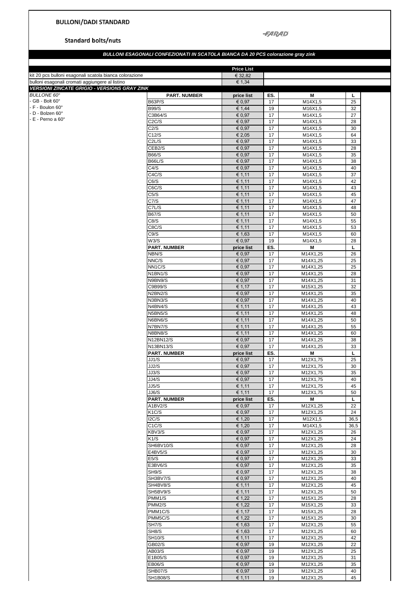$-FARAD$ 

**Standard bolts/nuts** 

## *BULLONI ESAGONALI CONFEZIONATI IN SCATOLA BIANCA DA 20 PCS colorazione gray zink*

| kit 20 pcs bulloni esagonali scatola bianca colorazione |                               | <b>Price List</b><br>€ 32,82 |          |                      |          |
|---------------------------------------------------------|-------------------------------|------------------------------|----------|----------------------|----------|
| bulloni esagonali cromati aggiungere al listino         |                               | € 1,34                       |          |                      |          |
| <b>VERSIONI ZINCATE GRIGIO - VERSIONS GRAY ZINK</b>     |                               |                              |          |                      |          |
| <b>BULLONE 60°</b>                                      | <b>PART. NUMBER</b>           | price list                   | ES.      | М                    | L        |
| - $GB - Bolt 60^\circ$<br>F - Boulon 60°                | <b>B63P/S</b>                 | € 0,97                       | 17       | M14X1,5              | 25       |
| D - Bolzen 60°                                          | <b>B99/S</b>                  | € 1,44                       | 19       | M16X1,5              | 32       |
| $-E$ - Perno a 60 $^{\circ}$                            | C3B64/S<br>C <sub>2</sub> C/S | € 0,97<br>€ 0,97             | 17<br>17 | M14X1,5<br>M14X1,5   | 27<br>28 |
|                                                         | C2/S                          | € 0,97                       | 17       | M14X1,5              | 30       |
|                                                         | C12/S                         | € 2,05                       | 17       | M14X1,5              | 64       |
|                                                         | C <sub>2</sub> L/S            | € 0,97                       | 17       | M14X1,5              | 33       |
|                                                         | CEB <sub>2</sub> /S           | € 0,97                       | 17       | M14X1,5              | 28       |
|                                                         | B66/S                         | € 0,97                       | 17       | M14X1,5              | 35       |
|                                                         | <b>B66L/S</b>                 | € 0,97                       | 17       | M14X1,5              | 38       |
|                                                         | C4/S                          | € 0,97                       | 17       | M14X1,5              | 40       |
|                                                         | C4C/S                         | € 1,11                       | 17       | M14X1,5              | 37       |
|                                                         | C6/S                          | € 1,11                       | 17       | M14X1,5              | 42       |
|                                                         | C6C/S                         | € 1,11                       | 17       | M14X1,5              | 43       |
|                                                         | C5/S<br>C7/S                  | € 1,11<br>€ 1,11             | 17<br>17 | M14X1,5<br>M14X1,5   | 45<br>47 |
|                                                         | C7L/S                         | € 1,11                       | 17       | M14X1,5              | 48       |
|                                                         | B67/S                         | € 1,11                       | 17       | M14X1,5              | 50       |
|                                                         | C8/S                          | € 1,11                       | 17       | M14X1,5              | 55       |
|                                                         | C8C/S                         | € 1,11                       | 17       | M14X1,5              | 53       |
|                                                         | C9/S                          | € 1,63                       | 17       | M14X1,5              | 60       |
|                                                         | W3/S                          | € 0,97                       | 19       | M14X1,5              | 28       |
|                                                         | <b>PART. NUMBER</b>           | price list                   | ES.      | М                    | L        |
|                                                         | NBN/S                         | € 0.97                       | 17       | M14X1,25             | 26       |
|                                                         | NNC/S                         | € 0,97                       | 17       | M14X1,25             | 25       |
|                                                         | NN <sub>1C</sub> /S           | € 0,97                       | 17       | M14X1,25             | 25       |
|                                                         | N1BN1/S                       | € 0,97                       | 17       | M14X1,25             | 28       |
|                                                         | N9BN9/S                       | € 0,97                       | 17       | M14X1,25             | 31       |
|                                                         | C9B99/S                       | € 1,17                       | 17       | M15X1,25             | 32       |
|                                                         | N2BN2/S<br>N3BN3/S            | € 0,97<br>€ 0,97             | 17<br>17 | M14X1,25<br>M14X1,25 | 35<br>40 |
|                                                         | N4BN4/S                       | € 1,11                       | 17       | M14X1,25             | 43       |
|                                                         | N5BN5/S                       | € 1,11                       | 17       | M14X1,25             | 48       |
|                                                         | N6BN6/S                       | € 1,11                       | 17       | M14X1,25             | 50       |
|                                                         | N7BN7/S                       | € 1,11                       | 17       | M14X1,25             | 55       |
|                                                         | N8BN8/S                       | € 1,11                       | 17       | M14X1,25             | 60       |
|                                                         | N12BN12/S                     | € 0,97                       | 17       | M14X1,25             | 38       |
|                                                         | N13BN13/S                     | € 0,97                       | 17       | M14X1,25             | 33       |
|                                                         | <b>PART. NUMBER</b>           | price list                   | ES.      | М                    | L        |
|                                                         | JJ1/S                         | € 0,97                       | 17       | M12X1,75             | 25       |
|                                                         | JJ2/S                         | € 0,97                       | 17       | M12X1,75             | 30       |
|                                                         | JJ3/S                         | € 0,97                       | 17       | M12X1,75             | 35       |
|                                                         | JJ4/S                         | € 0,97                       | 17       | M12X1,75             | 40       |
|                                                         | JJ5/S<br>JJ6/S                | € 1,11<br>€ 1,11             | 17<br>17 | M12X1,75             | 45<br>50 |
|                                                         | <b>PART. NUMBER</b>           | price list                   | ES.      | M12X1,75<br>M        | L        |
|                                                         | A1BV2/S                       | € 0,97                       | 17       | M12X1,25             | 22       |
|                                                         | K1C/S                         | € 0,97                       | 17       | M12X1,25             | 24       |
|                                                         | 12C/S                         | € 1,20                       | 17       | M12X1,5              | 36,5     |
|                                                         | C1C/S                         | € 1,20                       | 17       | M14X1,5              | 36,5     |
|                                                         | KBV3/S                        | € 0,97                       | 17       | M12X1,25             | 26       |
|                                                         | K1/S                          | € 0,97                       | 17       | M12X1,25             | 24       |
|                                                         | SH6BV10/S                     | € 0.97                       | 17       | M12X1,25             | 28       |
|                                                         | E4BV5/S                       | € 0,97                       | 17       | M12X1,25             | 30       |
|                                                         | E5/S                          | € 0,97                       | 17       | M12X1,25             | 33       |
|                                                         | E3BV6/S                       | € 0,97                       | 17       | M12X1,25             | 35       |
|                                                         | SH9/S                         | € 0,97                       | 17       | M12X1,25             | 38       |
|                                                         | SH3BV7/S<br>SH4BV8/S          | € 0,97<br>€ 1,11             | 17<br>17 | M12X1,25<br>M12X1,25 | 40<br>45 |
|                                                         | SH5BV9/S                      | € 1,11                       | 17       | M12X1,25             | 50       |
|                                                         | PMM1/S                        | € 1,22                       | 17       | M15X1,25             | 28       |
|                                                         | PMM2/S                        | € 1,22                       | 17       | M15X1,25             | 33       |
|                                                         | PMM1C/S                       | € 1,17                       | 17       | M15X1,25             | 28       |
|                                                         | PMM5C/S                       | € 1,22                       | 17       | M15X1,25             | 30       |
|                                                         | SH7/S                         | € 1,63                       | 17       | M12X1,25             | 55       |
|                                                         | SH8/S                         | € 1,63                       | 17       | M12X1,25             | 60       |
|                                                         | <b>SH10/S</b>                 | € 1,11                       | 17       | M12X1,25             | 42       |
|                                                         | GB02/S                        | € 0,97                       | 19       | M12X1,25             | 22       |
|                                                         | AB03/S                        | € 0.97                       | 19       | M12X1,25             | 25       |
|                                                         | E1B05/S                       | € 0,97                       | 19       | M12X1,25             | 31       |
|                                                         | <b>EB06/S</b>                 | € 0,97                       | 19       | M12X1,25             | 35       |
|                                                         | SHB07/S                       | € 0,97                       | 19       | M12X1,25             | 40       |
|                                                         | <b>SH1B08/S</b>               | € 1,11                       | 19       | M12X1,25             | 45       |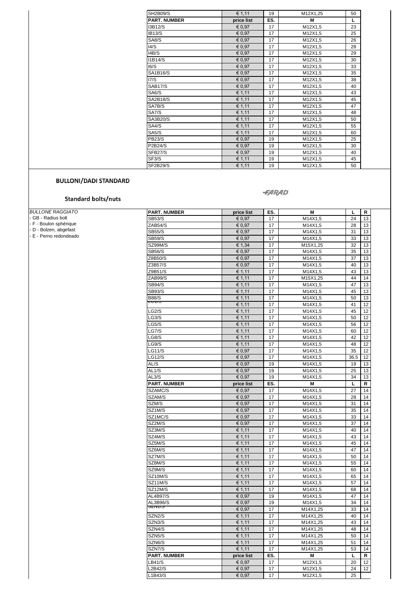| <b>SH2B09/S</b>     | € 1,11     | 19  | M12X1,25 | 50 |
|---------------------|------------|-----|----------|----|
| <b>PART. NUMBER</b> | price list | ES. | M        | Г  |
| I3B12/S             | € 0,97     | 17  | M12X1,5  | 23 |
| <b>IB13/S</b>       | € 0.97     | 17  | M12X1,5  | 25 |
| SA8/S               | € 0,97     | 17  | M12X1,5  | 26 |
| 14/S                | € 0.97     | 17  | M12X1,5  | 28 |
| I4B/S               | € 0,97     | 17  | M12X1,5  | 29 |
| <b>I1B14/S</b>      | € 0,97     | 17  | M12X1,5  | 30 |
| 16/S                | € 0,97     | 17  | M12X1,5  | 33 |
| <b>SA1B16/S</b>     | € 0.97     | 17  | M12X1,5  | 35 |
| 17/S                | € 0,97     | 17  | M12X1,5  | 38 |
| SAB17/S             | € 0,97     | 17  | M12X1,5  | 40 |
| SA6/S               | € 1,11     | 17  | M12X1,5  | 43 |
| <b>SA2B18/S</b>     | € 1,11     | 17  | M12X1,5  | 45 |
| SA7B/S              | € 1,11     | 17  | M12X1,5  | 47 |
| SA7/S               | € 1,11     | 17  | M12X1,5  | 48 |
| SA3B20/S            | € 1,11     | 17  | M12X1,5  | 50 |
| SA4/S               | € 1,11     | 17  | M12X1,5  | 55 |
| SA5/S               | € 1,11     | 17  | M12X1,5  | 60 |
| <b>PB23/S</b>       | € 0,97     | 19  | M12X1,5  | 25 |
| P2B24/S             | € 0.97     | 19  | M12X1,5  | 30 |
| SFB27/S             | € 0,97     | 19  | M12X1,5  | 40 |
| SF3/S               | € 1,11     | 19  | M12X1,5  | 45 |
| <b>SF2B29/S</b>     | € 1,11     | 19  | M12X1,5  | 50 |

#### **FARAD**

**Standard bolts/nuts** 

*BULLONE RAGGIATO*

|  | - GB - Radius bolt |  |  |  |
|--|--------------------|--|--|--|
|  |                    |  |  |  |

- F - Boulon sphérique

- D - Bolzen, abgefast

- E - Perno redondeado

| <b>PART. NUMBER</b> | price list                           | ES.             | M        | L    | R  |
|---------------------|--------------------------------------|-----------------|----------|------|----|
| <b>SB53/S</b>       | € 0.97                               | 17              | M14X1,5  | 24   | 13 |
| ZAB54/S             | € 0,97                               | 17              | M14X1,5  | 28   | 13 |
| <b>SB55/S</b>       | € 0,97                               | 17              | M14X1,5  | 31   | 13 |
| <b>SB59/S</b>       | € 0,97                               | 17              | M14X1,5  | 33   | 13 |
| SZ99M/S             | € 1,34                               | 17              | M15X1,25 | 32   | 13 |
| <b>SB56/S</b>       | € 0,97                               | 17              | M14X1,5  | 35   | 13 |
| Z8B50/S             | € 0,97                               | 17              | M14X1,5  | 37   | 13 |
| Z3B57/S             | € 0,97                               | 17              | M14X1,5  | 40   | 13 |
| Z9B51/S             | € 1,11                               | 17              | M14X1,5  | 43   | 13 |
| ZAB99/S             | € 1,11                               | 17              | M15X1,25 | 44   | 14 |
| <b>SB94/S</b>       | € 1,11                               | 17              | M14X1,5  | 47   | 13 |
| <b>SB93/S</b>       | € 1.11                               | 17              | M14X1,5  | 45   | 13 |
| <b>B88/S</b>        | € 1,11                               | 17              | M14X1,5  | 50   | 13 |
| טווסם               | € 1,11                               | 17              | M14X1,5  | 41   | 12 |
| LG2/S               | € 1,11                               | 17              | M14X1,5  | 45   | 12 |
| LG3/S               | € 1,11                               | 17              | M14X1,5  | 50   | 12 |
| LG5/S               | € 1,11                               | 17              | M14X1,5  | 56   | 12 |
| LG7/S               | € 1,11                               | 17              | M14X1,5  | 60   | 12 |
| LG8/S               | € 1,11                               | 17              | M14X1,5  | 42   | 12 |
| LG9/S               | € 1,11                               | 17              | M14X1,5  | 48   | 12 |
| <b>LG11/S</b>       | € 0,97                               | 17              | M14X1,5  | 35   | 12 |
| LG12/S              | € 0,97                               | 17              | M14X1,5  | 36,5 | 12 |
| AL/S                | € 0,97                               | 19              | M14X1,5  | 19   | 13 |
| AL1/S               | € 0,97                               | 19              | M14X1,5  | 25   | 13 |
| AL3/S               | € 0.97                               | 19              | M14X1,5  | 34   | 13 |
| <b>PART. NUMBER</b> | price list                           | ES.             | М        | L    | R  |
| SZAMC/S             | € 0,97                               | 17              | M14X1,5  | 27   | 14 |
| SZAM/S              | € 0,97                               | 17              | M14X1,5  | 28   | 14 |
| SZM/S               | € 0,97                               | 17              | M14X1,5  | 31   | 14 |
| SZ1M/S              | € 0.97                               | 17              | M14X1,5  | 35   | 14 |
| SZ1MC/S             | € 0,97                               | 17              | M14X1,5  | 33   | 14 |
| SZ2M/S              | € 0,97                               | 17              | M14X1,5  | 37   | 14 |
| SZ3M/S              | € 1,11                               | 17              | M14X1,5  | 40   | 14 |
| SZ4M/S              | € 1,11                               | 17              | M14X1,5  | 43   | 14 |
| SZ5M/S              | € 1,11                               | 17              | M14X1,5  | 45   | 14 |
| SZ6M/S              | € 1,11                               | 17              | M14X1,5  | 47   | 14 |
| SZ7M/S              | € 1,11                               | 17              | M14X1,5  | 50   | 14 |
| SZ8M/S              | € 1,11                               | 17              | M14X1,5  | 55   | 14 |
| SZ9M/S              | € 1,11                               | 17              | M14X1,5  | 60   | 14 |
| SZ10M/S             | € 1,11                               | 17              | M14X1,5  | 65   | 14 |
| SZ11M/S             | € 1,11                               | 17              | M14X1,5  | 57   | 14 |
| SZ12M/S             | € 1,11                               | 17              | M14X1,5  | 68   | 14 |
| <b>AL4B97/S</b>     | € 0,97                               | 19              | M14X1,5  | 47   | 14 |
| AL3B96/S            | € 0,97                               | 19              | M14X1,5  | 34   | 14 |
| ວ∠⊓⊽⊺/ບ             | € 0,97                               | 17              | M14X1,25 | 33   | 14 |
| SZN2/S              | € 1,11                               | 17              | M14X1,25 | 40   | 14 |
| SZN3/S              | € 1,11                               | $\overline{17}$ | M14X1,25 | 43   | 14 |
| SZN4/S              | € 1,11                               | 17              | M14X1,25 | 48   | 14 |
| SZN <sub>5</sub> /S | € 1,11                               | 17              | M14X1,25 | 50   | 14 |
| SZN6/S              | € 1,11                               | 17              | M14X1,25 | 51   | 14 |
| SZN7/S              | € 1,11                               | 17              | M14X1,25 | 53   | 14 |
| <b>PART. NUMBER</b> | price list                           | ES.             | М        | L    | R  |
| LB41/S              |                                      |                 | M12X1,5  | 20   | 12 |
|                     | € 0,97                               | 17              |          |      |    |
| L2B42/S             | € 0,97<br>$\overline{\epsilon}$ 0,97 | 17              | M12X1,5  | 24   | 12 |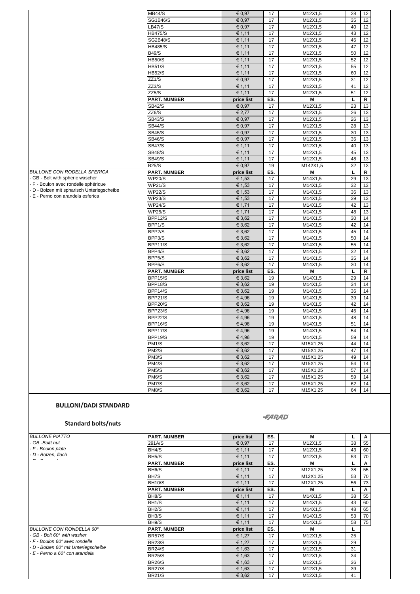|                                                                                    | <b>MB44/S</b>             | € 0,97          | 17       | M12X1,5            | 28       | 12       |
|------------------------------------------------------------------------------------|---------------------------|-----------------|----------|--------------------|----------|----------|
|                                                                                    | SG1B46/S                  | € 0,97          | 17       | M12X1,5            | 35       | 12       |
|                                                                                    | LB47/S                    | € 0,97          | 17       | M12X1,5            | 40       | 12       |
|                                                                                    | <b>HB475/S</b>            | € 1,11          | 17       | M12X1,5            | 43       | 12       |
|                                                                                    | <b>SG2B48/S</b>           | € 1,11          | 17       | M12X1,5            | 45       | 12       |
|                                                                                    | <b>HB485/S</b>            | € 1,11          | 17       | M12X1,5            | 47       | 12       |
|                                                                                    | <b>B49/S</b>              | € 1,11          | 17       | M12X1,5            | 50       | 12       |
|                                                                                    | <b>HB50/S</b>             | € 1,11          | 17       | M12X1,5            | 52       | 12       |
|                                                                                    | <b>HB51/S</b>             | € 1,11          | 17       | M12X1,5            | 55       | 12       |
|                                                                                    | <b>HB52/S</b>             | € 1,11          | 17       | M12X1,5            | 60       | 12       |
|                                                                                    | ZZ1/S                     | € 0,97          | 17       | M12X1,5            | 31       | 12       |
|                                                                                    | ZZ3/S                     | € 1,11          | 17       | M12X1,5            | 41       | 12       |
|                                                                                    | ZZ5/S                     | € 1,11          | 17       | M12X1,5            | 51       | 12       |
|                                                                                    | <b>PART. NUMBER</b>       | price list      | ES.      | M                  | L        | R        |
|                                                                                    | <b>SB42/S</b>             | € 0,97          | 17       | M12X1,5            | 23       | 13       |
|                                                                                    | ZZ6/S                     | € 2,77          | 17       | M12X1,5            | 26       | 13       |
|                                                                                    | <b>SB43/S</b>             | € 0.97          | 17       | M12X1,5            | 26       | 13       |
|                                                                                    | <b>SB44/S</b>             | € 0.97          | 17       | M12X1,5            | 28       | 13       |
|                                                                                    | <b>SB45/S</b>             | € 0,97          | 17       | M12X1,5            | 30       | 13       |
|                                                                                    | <b>SB46/S</b>             | € 0,97          | 17       | M12X1,5            | 35       | 13       |
|                                                                                    | <b>SB47/S</b>             | € 1,11          | 17       | M12X1,5            | 40       | 13       |
|                                                                                    | <b>SB48/S</b>             | € 1,11          | 17       | M12X1,5            | 45       | 13       |
|                                                                                    | <b>SB49/S</b>             | € 1,11          | 17       | M12X1,5            | 48       | 13       |
|                                                                                    | <b>B25/S</b>              | € 0,97          | 19       | M142X1,5           | 32       | 13       |
| <b>BULLONE CON RODELLA SFERICA</b>                                                 | <b>PART. NUMBER</b>       | price list      | ES.      | M                  | L        | R        |
| - GB - Bolt with spheric wascher                                                   | <b>WP20/S</b>             | € 1,53          | 17       | M14X1,5            | 29       | 13       |
| - F - Boulon avec rondelle sphérique<br>- D - Bolzen mit spharisch Unterlegscheibe | <b>WP21/S</b>             | € 1,53          | 17       | M14X1,5            | 32       | 13       |
| E - Perno con arandela esferica                                                    | <b>WP22/S</b>             | € 1,53          | 17       | M14X1,5            | 36       | 13       |
|                                                                                    | <b>WP23/S</b>             | € 1,53          | 17       | M14X1,5            | 39       | 13       |
|                                                                                    | <b>WP24/S</b>             | € 1,71          | 17       | M14X1,5            | 42       | 13       |
|                                                                                    | <b>WP25/S</b>             | € 1,71          | 17       | M14X1,5            | 48       | 13       |
|                                                                                    | <b>BPP12/S</b>            | € 3,62          | 17       | M14X1,5            | 30       | 14       |
|                                                                                    | BPP1/S                    | € 3,62          | 17       | M14X1,5            | 42       | 14       |
|                                                                                    | BPP2/S                    | € 3,62          | 17       | M14X1,5            | 45       | 14       |
|                                                                                    | BPP3/S                    | € 3,62          | 17       | M14X1,5            | 50       | 14       |
|                                                                                    | BPP11/S                   | € 3,62          | 17       | M14X1,5            | 55       | 14       |
|                                                                                    | BPP4/S                    | € 3,62          | 17       | M14X1,5            | 32       | 14       |
|                                                                                    | BPP5/S                    | € 3,62          | 17       | M14X1,5            | 35       | 14       |
|                                                                                    | BPP6/S                    | € 3,62          | 17       | M14X1,5            | 30       | 14       |
|                                                                                    | <b>PART. NUMBER</b>       | price list      | ES.      | M                  | L        | R        |
|                                                                                    | BPP15/S                   | € 3,62          | 19       | M14X1,5            | 29       | 14       |
|                                                                                    | BPP18/S                   | € 3,62          | 19       | M14X1,5            | 34       | 14       |
|                                                                                    | BPP14/S                   | € 3,62          | 19       | M14X1,5            | 36       | 14       |
|                                                                                    | <b>BPP21/S</b>            | €4,96           | 19<br>19 | M14X1,5            | 39       | 14<br>14 |
|                                                                                    | <b>BPP20/S</b><br>BPP23/S | € 3,62<br>€4,96 | 19       | M14X1,5<br>M14X1,5 | 42<br>45 | 14       |
|                                                                                    | <b>BPP22/S</b>            |                 | 19       | M14X1,5            | 48       | 14       |
|                                                                                    | BPP16/S                   | €4,96<br>€4,96  | 19       | M14X1,5            | 51       | 14       |
|                                                                                    | BPP17/S                   | €4,96           | 19       | M14X1,5            | 54       | 14       |
|                                                                                    | BPP19/S                   | €4,96           | 19       | M14X1,5            | 59       | 14       |
|                                                                                    | PM <sub>1/S</sub>         | € 3,62          | 17       | M15X1,25           | 44       | 14       |
|                                                                                    | <b>PM2/S</b>              | € 3,62          | 17       | M15X1,25           | 47       | 14       |
|                                                                                    |                           |                 | 17       |                    |          |          |
|                                                                                    | PM3/S                     | € 3,62          |          | M15X1,25           | 49       | 14       |
|                                                                                    | PM4/S                     | € 3,62          | 17       | M15X1,25           | 54       | 14       |
|                                                                                    | PM5/S                     | € 3,62          | 17       | M15X1,25           | 57       | 14       |
|                                                                                    | PM6/S                     | € 3,62          | 17       | M15X1,25           | 59       | 14       |
|                                                                                    | PM7/S                     | € 3,62          | 17       | M15X1,25           | 62       | 14       |
|                                                                                    | PM8/S                     | € 3,62          | 17       | M15X1,25           | 64       | 14       |

#### **-FARAD**

#### **Standard bolts/nuts**

| <b>BULLONE PIATTO</b>                                                | <b>PART. NUMBER</b> | price list | ES. | м        |    | A            |
|----------------------------------------------------------------------|---------------------|------------|-----|----------|----|--------------|
| GB -Boltt nut                                                        | 291A/S              | € 0,97     | 17  | M12X1,5  | 38 | 55           |
| - F - Boulon plate                                                   | BH4/S               | € 1,11     | 17  | M12X1,5  | 43 | 60           |
| D - Bolzen, flach                                                    | BH <sub>5</sub> /S  | € 1,11     | 17  | M12X1,5  | 53 | 70           |
|                                                                      | <b>PART. NUMBER</b> | price list | ES. | м        |    | $\mathbf{A}$ |
|                                                                      | BH <sub>6</sub> /S  | € 1,11     | 17  | M12X1,25 | 38 | 55           |
|                                                                      | BH7S                | € 1,11     | 17  | M12X1,25 | 53 | 70           |
|                                                                      | <b>BH10/S</b>       | € 1,11     | 17  | M12X1,25 | 56 | 73           |
|                                                                      | <b>PART. NUMBER</b> | price list | ES. | м        |    | A            |
|                                                                      | BH8/S               | € 1,11     | 17  | M14X1,5  | 38 | 55           |
|                                                                      | BH <sub>1/S</sub>   | € 1,11     | 17  | M14X1,5  | 43 | 60           |
|                                                                      | BH <sub>2</sub> /S  | € 1,11     | 17  | M14X1,5  | 48 | 65           |
|                                                                      | BH <sub>3</sub> /S  | € 1,11     | 17  | M14X1,5  | 53 | 70           |
|                                                                      | BH9/S               | € 1,11     | 17  | M14X1,5  | 58 | 75           |
| BULLONE CON RONDELLA 60°                                             | <b>PART. NUMBER</b> | price list | ES. | M        |    |              |
| GB - Bolt 60° with washer                                            | <b>BR57/S</b>       | € 1,27     | 17  | M12X1,5  | 25 |              |
| - F - Boulon 60° avec rondelle                                       | <b>BR23/S</b>       | € 1,27     | 17  | M12X1,5  | 29 |              |
| D - Bolzen 60° mit Unterlegscheibe<br>· E - Perno a 60° con arandela | <b>BR24/S</b>       | € 1,63     | 17  | M12X1,5  | 31 |              |
|                                                                      | <b>BR25/S</b>       | € 1,63     | 17  | M12X1,5  | 34 |              |
|                                                                      | <b>BR26/S</b>       | € 1,63     | 17  | M12X1,5  | 36 |              |
|                                                                      | <b>BR27/S</b>       | € 1,63     | 17  | M12X1,5  | 39 |              |
|                                                                      | <b>BR21/S</b>       | € 3,62     | 17  | M12X1,5  | 41 |              |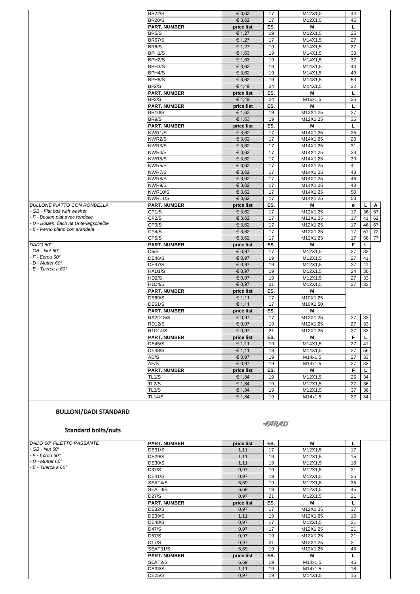|                                         | <b>BR22/S</b>       | € 3,62           | 17       | M12X1,5      | 44 |          |    |
|-----------------------------------------|---------------------|------------------|----------|--------------|----|----------|----|
|                                         | <b>BR20/S</b>       | € 3,62           | 17       | M12X1,5      | 46 |          |    |
|                                         | <b>PART. NUMBER</b> | price list       | ES.      | Μ            | L  |          |    |
|                                         | BR5/S               | € 1,27           | 19       | M12X1,5      | 25 |          |    |
|                                         | <b>BR67/S</b>       | € 1,27           | 17       | M14X1,5      | 27 |          |    |
|                                         | BR6/S               | € 1,27           | 19       | M14X1,5      | 27 |          |    |
|                                         | BPH1/S              | € 1,63           | 19       | M14X1,5      | 33 |          |    |
|                                         | BPH <sub>2</sub> /S | € 1,63           | 19       | M14X1,5      | 37 |          |    |
|                                         | BPH3/S              | € 3,62           | 19       | M14X1,5      | 43 |          |    |
|                                         | BPH4/S              | € 3,62           | 19       | M14X1,5      | 49 |          |    |
|                                         | BPH5/S              | € 3,62           | 19       | M14X1,5      | 53 |          |    |
|                                         | BF <sub>2</sub> /S  | €4,49            | 24       | M14X1,5      | 32 |          |    |
|                                         | <b>PART. NUMBER</b> | price list       | ES.      | М            | L  |          |    |
|                                         | BF3/S               | €4,49            | 24       | M16x1,5      | 35 |          |    |
|                                         | <b>PART. NUMBER</b> | price list       | ES.      | М            | L  |          |    |
|                                         | <b>BR10/S</b>       | € 1,63           | 19       | M12X1,25     | 27 |          |    |
|                                         | BR9/S               | € 1,63           | 19       | M12X1,25     | 35 |          |    |
|                                         | <b>PART. NUMBER</b> | price list       | ES.      | М            | L  |          |    |
|                                         | NWR1/S              | € 3,62           | 17       | M14X1,25     | 25 |          |    |
|                                         | NWR2/S              | € 3,62           | 17       | M14X1,25     | 28 |          |    |
|                                         | NWR3/S              | € 3,62           | 17       | M14X1,25     | 31 |          |    |
|                                         | NWR4/S              | € 3,62           | 17       | M14X1,25     | 33 |          |    |
|                                         | NWR5/S              | € 3,62           | 17       | M14X1,25     | 39 |          |    |
|                                         | NWR6/S              | € 3,62           | 17       | M14X1,25     | 41 |          |    |
|                                         | NWR7/S              | € 3,62           | 17       | M14X1,25     | 43 |          |    |
|                                         | NWR8/S              | € 3.62           | 17       | M14X1,25     | 46 |          |    |
|                                         | NWR9/S              | € 3,62           | 17       | M14X1,25     | 48 |          |    |
|                                         | NWR10/S             | € 3,62           | 17       | M14X1,25     | 50 |          |    |
|                                         | NWR11/S             | € 3,62           | 17       | M14X1,25     | 53 |          |    |
| <b>BULLONE PIATTO CON RONDELLA</b>      | <b>PART. NUMBER</b> | price list       | ES.      | Μ            | ø  | L.       | A  |
| - GB - Flat bolt with washer            | CP1/S               | € 3,62           | 17       | M12X1,25     | 17 | 36       | 57 |
| - F - Boulon plat avec rondelle         | CP <sub>2</sub> /S  | € 3,62           | 17       | M12X1,25     | 17 | 41       | 62 |
| - D - Bolzen, flach nit Unterlegscheibe | CP3/S               | € 3,62           | 17       | M12X1,25     | 17 | 46       | 67 |
| - E - Perno plano con arandela          | CP4/S               | € 3,62           | 17       | M12X1,25     | 17 | 51       | 72 |
|                                         | CP5/S               | € 3,62           | 17       | M12X1,25     | 17 | 56       | 77 |
| DADO 60°                                | <b>PART. NUMBER</b> | price list       | ES.      | Μ            | F  | L        |    |
| - GB - Nut 60°                          | D6/S                | € 0,97           | 17       | M12X1,5      | 27 | 33       |    |
| - F - Ecrou 60°                         | <b>DE46/S</b>       | € 0,97           | 19       | M12X1,5      | 27 | 41       |    |
| $- D - Mutter 60^\circ$                 | <b>DE47/S</b>       | € 0,97           | 19       | M12X1,5      | 27 | 41       |    |
| - E - Tuerca a 60°                      |                     |                  |          |              | 24 |          |    |
|                                         | HAD1/S<br>HD2/S     | € 0,97<br>€ 0,97 | 19<br>19 | M12X1,5      | 27 | 30<br>33 |    |
|                                         | H1D4/S              | € 0,97           | 21       | M12X1,5      |    |          |    |
|                                         |                     |                  | ES.      | M12X1,5<br>M | 27 | 33       |    |
|                                         | <b>PART. NUMBER</b> | price list       |          | M10X1,25     |    |          |    |
|                                         | DE60/S              | € 1,11           | 17       |              |    |          |    |
|                                         | <b>DE61/S</b>       | € 1,11           | 17       | M10X1,50     |    |          |    |
|                                         | <b>PART. NUMBER</b> | price list       | ES.      | М            |    |          |    |
|                                         | <b>RA2D15/S</b>     | € 0,97           | 17       | M12X1,25     | 27 | 33       |    |
|                                         | <b>RD12/S</b>       | € 0,97           | 19       | M12X1,25     | 27 | 33       |    |
|                                         | R1D14/S             | € 0,97           | 21       | M12X1,25     | 27 | 33       |    |
|                                         | <b>PART. NUMBER</b> | price list       | ES.      | M            | F. | L.       |    |
|                                         | <b>DE45/S</b>       | € 1,11           | 19       | M14X1,5      | 27 | 41       |    |
|                                         | <b>DE48/S</b>       | € 1,11           | 19       | M14X1,5      | 27 | 56       |    |
|                                         | AD/S                | € 0,97           | 19       | M14x1,5      | 27 | 33       |    |
|                                         | AE/S                | € 0,97           | 19       | M14x1,5      | 27 | 33       |    |
|                                         | <b>PART. NUMBER</b> | price list       | ES.      | M            | F. | L.       |    |
|                                         | TL1/S               | € 1,84           | 19       | M12X1,5      | 25 | 34       |    |
|                                         | TL2/S               | € 1,84           | 19       | M12X1,5      | 27 | 36       |    |
|                                         | TL3/S               | € 1,84           | 19       | M12X1,5      | 37 | 36       |    |
|                                         | <b>TL14/S</b>       | € 1,84           | 19       | M14x1,5      | 27 | 34       |    |

#### **Standard bolts/nuts**

| DADO 60° FILETTO PASSANTE | <b>PART. NUMBER</b> | price list | ES. | м        | L  |
|---------------------------|---------------------|------------|-----|----------|----|
| - GB - Nut 60°            | <b>DE31/S</b>       | 1,11       | 17  | M12X1,5  | 17 |
| - F - Ecrou 60°           | <b>DE29/S</b>       | 1,11       | 19  | M12X1,5  | 15 |
| - D - Mutter 60°          | <b>DE30/S</b>       | 1,11       | 19  | M12X1,5  | 18 |
| - E - Tuerca a 60°        | D37/S               | 0,97       | 19  | M12X1,5  | 21 |
|                           | <b>DE41/S</b>       | 0,97       | 19  | M12X1,5  | 25 |
|                           | SEAT4/S             | 6,69       | 19  | M12X1,5  | 35 |
|                           | SEAT3/S             | 6,69       | 19  | M12X1,5  | 45 |
|                           | D27/S               | 0,97       | 21  | M12X1,5  | 21 |
|                           | <b>PART. NUMBER</b> | price list | ES. | м        | L  |
|                           | <b>DE32/S</b>       | 0,97       | 17  | M12X1,25 | 17 |
|                           | <b>DE39/S</b>       | 1,11       | 19  | M12X1,25 | 15 |
|                           | <b>DE40/S</b>       | 0,97       | 17  | M12X1,5  | 21 |
|                           | D47/S               | 0,97       | 17  | M12X1,25 | 21 |
|                           | D57/S               | 0,97       | 19  | M12X1,25 | 21 |
|                           | D17/S               | 0,97       | 21  | M12X1,25 | 21 |
|                           | SEAT31/S            | 6,69       | 19  | M12X1,25 | 45 |
|                           | <b>PART. NUMBER</b> | price list | ES. | М        | L  |
|                           | SEAT2/S             | 6,69       | 19  | M14x1,5  | 45 |
|                           | <b>DE33/S</b>       | 1,11       | 19  | M14x1,5  | 18 |
|                           | <b>DE25/S</b>       | 0,97       | 19  | M14X1,5  | 15 |

**-FARAD**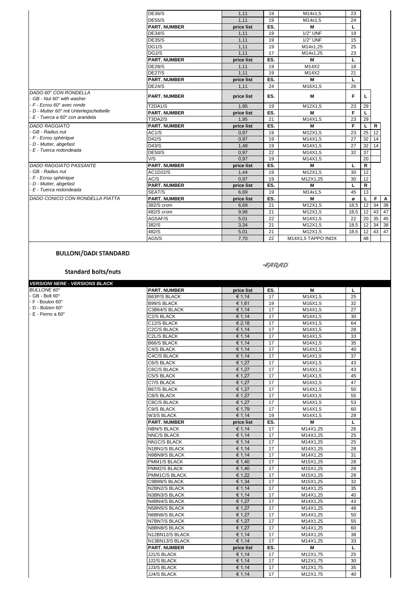|                                                   | <b>DE36/S</b>       | 1,11       | 19  | M14x1,5            | 23   |              |    |              |
|---------------------------------------------------|---------------------|------------|-----|--------------------|------|--------------|----|--------------|
|                                                   | <b>DE55/S</b>       | 1,11       | 19  | M14x1,5            | 24   |              |    |              |
|                                                   | <b>PART. NUMBER</b> | price list | ES. | M                  | L    |              |    |              |
|                                                   | <b>DE34/S</b>       | 1.11       | 19  | 1/2" UNF           | 19   |              |    |              |
|                                                   | <b>DE35/S</b>       | 1,11       | 19  | 1/2" UNF           | 15   |              |    |              |
|                                                   | DG1/S               | 1,11       | 19  | M14x1.25           | 25   |              |    |              |
|                                                   | DG <sub>2</sub> /S  | 1,11       | 17  | M14x1.25           | 23   |              |    |              |
|                                                   | <b>PART. NUMBER</b> | price list | ES. | M                  | L    |              |    |              |
|                                                   | <b>DE28/S</b>       | 1,11       | 19  | M14X2              | 18   |              |    |              |
|                                                   | <b>DE27/S</b>       | 1,11       | 19  | M14X2              | 21   |              |    |              |
|                                                   | <b>PART. NUMBER</b> | price list | ES. | M                  | L    |              |    |              |
|                                                   | <b>DE24/S</b>       | 1,11       | 24  | M16X1,5            | 26   |              |    |              |
| DADO 60° CON RONDELLA<br>GB - Nut 60° with washer | <b>PART. NUMBER</b> | price list | ES. | M                  | F    | L            |    |              |
| - F - Ecrou 60° avec ronde                        | T2DA1/S             | 1.95       | 19  | M12X1.5            | 23   | 29           |    |              |
| D - Mutter 60° mit Unterlegscheibelle             | <b>PART. NUMBER</b> | price list | ES. | M                  | F.   | L            |    |              |
| - E - Tuerca a 60° con arandela                   | <b>T3DA2/S</b>      | 1,95       | 21  | M14X1,5            | 23   | 29           |    |              |
| <b>DADO RAGGIATO</b>                              | <b>PART. NUMBER</b> | price list | ES. | M                  | F.   | L            | R  |              |
| GB - Radius nut                                   | AC1/S               | 0.97       | 19  | M12X1,5            | 23   | 25           | 12 |              |
| - F - Ecrou sphérique                             | D42/S               | 0.97       | 19  | M14X1,5            | 27   | 32           | 14 |              |
| D - Mutter, abgefast                              | D43/S               | 1,48       | 19  | M14X1,5            | 27   | 32           | 14 |              |
| E - Tuerca redondeada                             | <b>DE50/S</b>       | 0.97       | 22  | M14X1,5            | 32   | 37           |    |              |
|                                                   | V/S                 | 0.97       | 19  | M14X1,5            |      | 20           |    |              |
| DADO RAGGIATO PASSANTE                            | <b>PART. NUMBER</b> | price list | ES. | M                  | L    | $\mathsf{R}$ |    |              |
| GB - Radius nut                                   | AC1D22/S            | 1,44       | 19  | M12X1,5            | 30   | 12           |    |              |
| - F - Ecrou sphérique                             | AC/S                | 0.97       | 19  | M12X1.25           | 30   | 12           |    |              |
| D - Mutter, abgefast                              | <b>PART. NUMBER</b> | price list | ES. | M                  |      | R            |    |              |
| - E - Tuerca redondeada                           | SEAT/S              | 6.69       | 19  | M14x1,5            | 45   | 13           |    |              |
| DADO CONICO CON RONDELLA PIATTA                   | <b>PART. NUMBER</b> | price list | ES. | M                  | ø    | L            | F  | $\mathbf{A}$ |
|                                                   | 382/S crom          | 6.69       | 21  | M12X1.5            | 18.5 | 12           | 34 | 38           |
|                                                   | 482/S crom          | 9.98       | 21  | M12X1.5            | 18.5 | 12           | 43 | 47           |
|                                                   | AG5AF/S             | 5,01       | 22  | M14X1,5            | 22   | 20           | 35 | 45           |
|                                                   | 382/S               | 3,34       | 21  | M12X1,5            | 18,5 | 12           | 34 | 38           |
|                                                   | 482/S               | 5,01       | 21  | M12X1,5            | 18,5 | 12           | 43 | 47           |
|                                                   | AG5/S               | 7,70       | 22  | M14X1.5 TAPPO INOX |      | 48           |    |              |

#### **-FARAD**

Standard bolts/nuts

| <b>VERSIONI NERE - VERSIONS BLACK</b> |                     |            |     |          |    |
|---------------------------------------|---------------------|------------|-----|----------|----|
| <b>BULLONE 60°</b>                    | <b>PART. NUMBER</b> | price list | ES. | м        | L  |
| - GB - Bolt 60°                       | B63P/S BLACK        | € 1,14     | 17  | M14X1,5  | 25 |
| - F - Boulon 60°                      | <b>B99/S BLACK</b>  | € 1,61     | 19  | M16X1,5  | 32 |
| D - Bolzen 60°                        | C3B64/S BLACK       | € 1,14     | 17  | M14X1,5  | 27 |
| E - Perno a 60°                       | C2/S BLACK          | € 1,14     | 17  | M14X1,5  | 30 |
|                                       | C12/S BLACK         | € 2,18     | 17  | M14X1,5  | 64 |
|                                       | C2C/S BLACK         | € 1,14     | 17  | M14X1,5  | 28 |
|                                       | C2L/S BLACK         | € 1,14     | 17  | M14X1,5  | 33 |
|                                       | B66/S BLACK         | € 1,14     | 17  | M14X1,5  | 35 |
|                                       | C4/S BLACK          | € 1,14     | 17  | M14X1,5  | 40 |
|                                       | C4C/S BLACK         | € 1,14     | 17  | M14X1,5  | 37 |
|                                       | C6/S BLACK          | € 1,27     | 17  | M14X1,5  | 43 |
|                                       | C6C/S BLACK         | € 1,27     | 17  | M14X1,5  | 43 |
|                                       | C5/S BLACK          | € 1,27     | 17  | M14X1,5  | 45 |
|                                       | C7/S BLACK          | € 1,27     | 17  | M14X1,5  | 47 |
|                                       | B67/S BLACK         | € 1,27     | 17  | M14X1,5  | 50 |
|                                       | C8/S BLACK          | € 1,27     | 17  | M14X1,5  | 55 |
|                                       | C8C/S BLACK         | € 1,27     | 17  | M14X1,5  | 53 |
|                                       | C9/S BLACK          | € 1,79     | 17  | M14X1,5  | 60 |
|                                       | W3/S BLACK          | € 1,14     | 19  | M14X1,5  | 28 |
|                                       | <b>PART. NUMBER</b> | price list | ES. | М        | L  |
|                                       | <b>NBN/S BLACK</b>  | € 1,14     | 17  | M14X1,25 | 26 |
|                                       | <b>NNC/S BLACK</b>  | € 1,14     | 17  | M14X1,25 | 25 |
|                                       | <b>NN1C/S BLACK</b> | € 1,14     | 17  | M14X1,25 | 25 |
|                                       | N1BN1/S BLACK       | € 1,14     | 17  | M14X1,25 | 28 |
|                                       | N9BN9/S BLACK       | € 1,14     | 17  | M14X1,25 | 31 |
|                                       | PMM1/S BLACK        | € 1,40     | 17  | M15X1,25 | 28 |
|                                       | PMM2/S BLACK        | € 1,40     | 17  | M15X1,25 | 28 |
|                                       | PMM1C/S BLACK       | € 1,22     | 17  | M15X1,25 | 28 |
|                                       | C9B99/S BLACK       | € 1,34     | 17  | M15X1,25 | 32 |
|                                       | N2BN2/S BLACK       | € 1,14     | 17  | M14X1,25 | 35 |
|                                       | N3BN3/S BLACK       | € 1,14     | 17  | M14X1,25 | 40 |
|                                       | N4BN4/S BLACK       | € 1,27     | 17  | M14X1,25 | 43 |
|                                       | N5BN5/S BLACK       | € 1,27     | 17  | M14X1,25 | 48 |
|                                       | N6BN6/S BLACK       | € 1,27     | 17  | M14X1,25 | 50 |
|                                       | N7BN7/S BLACK       | € 1,27     | 17  | M14X1,25 | 55 |
|                                       | N8BN8/S BLACK       | € 1,27     | 17  | M14X1,25 | 60 |
|                                       | N12BN12/S BLACK     | € 1,14     | 17  | M14X1,25 | 38 |
|                                       | N13BN13/S BLACK     | € 1,14     | 17  | M14X1,25 | 33 |
|                                       | <b>PART. NUMBER</b> | price list | ES. | м        | L  |
|                                       | <b>JJ1/S BLACK</b>  | € 1,14     | 17  | M12X1,75 | 25 |
|                                       | <b>JJ2/S BLACK</b>  | € 1,14     | 17  | M12X1,75 | 30 |
|                                       | <b>JJ3/S BLACK</b>  | € 1,14     | 17  | M12X1,75 | 35 |
|                                       | <b>JJ4/S BLACK</b>  | € 1,14     | 17  | M12X1,75 | 40 |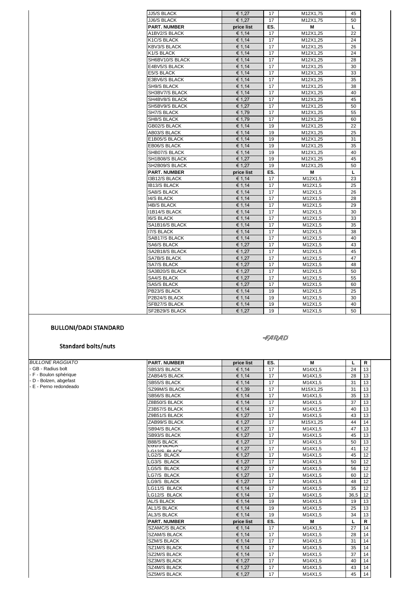| <b>JJ5/S BLACK</b>   | € 1,27     | 17  | M12X1,75 | 45 |
|----------------------|------------|-----|----------|----|
| <b>JJ6/S BLACK</b>   | € 1.27     | 17  | M12X1.75 | 50 |
| <b>PART. NUMBER</b>  | price list | ES. | М        | L  |
| <b>A1BV2/S BLACK</b> | € 1,14     | 17  | M12X1,25 | 22 |
| K1C/S BLACK          | € 1,14     | 17  | M12X1,25 | 24 |
| <b>KBV3/S BLACK</b>  | € 1,14     | 17  | M12X1,25 | 26 |
| K1/S BLACK           | € 1,14     | 17  | M12X1,25 | 24 |
| SH6BV10/S BLACK      | € 1,14     | 17  | M12X1,25 | 28 |
| E4BV5/S BLACK        | € 1,14     | 17  | M12X1,25 | 30 |
| E5/S BLACK           | € 1,14     | 17  | M12X1,25 | 33 |
| E3BV6/S BLACK        | € 1,14     | 17  | M12X1,25 | 35 |
| SH9/S BLACK          | € 1,14     | 17  | M12X1,25 | 38 |
| SH3BV7/S BLACK       | € 1,14     | 17  | M12X1,25 | 40 |
| SH4BV8/S BLACK       | € 1,27     | 17  | M12X1,25 | 45 |
| SH5BV9/S BLACK       | € 1,27     | 17  | M12X1,25 | 50 |
| SH7/S BLACK          | € 1,79     | 17  | M12X1,25 | 55 |
| SH8/S BLACK          | € 1,79     | 17  | M12X1,25 | 60 |
| GB02/S BLACK         | € 1,14     | 19  | M12X1,25 | 22 |
| AB03/S BLACK         | € 1,14     | 19  | M12X1,25 | 25 |
| E1B05/S BLACK        | € 1,14     | 19  | M12X1,25 | 31 |
| <b>EB06/S BLACK</b>  | € 1,14     | 19  | M12X1.25 | 35 |
| SHB07/S BLACK        | € 1,14     | 19  | M12X1,25 | 40 |
| SH1B08/S BLACK       | € 1,27     | 19  | M12X1.25 | 45 |
| SH2B09/S BLACK       | € 1,27     | 19  | M12X1,25 | 50 |
| <b>PART. NUMBER</b>  | price list | ES. | M        | L  |
| I3B12/S BLACK        | € 1,14     | 17  | M12X1,5  | 23 |
| <b>IB13/S BLACK</b>  | € 1,14     | 17  | M12X1,5  | 25 |
| <b>SA8/S BLACK</b>   | € 1,14     | 17  | M12X1,5  | 26 |
| <b>I4/S BLACK</b>    | € 1,14     | 17  | M12X1,5  | 28 |
| <b>I4B/S BLACK</b>   | € 1,14     | 17  | M12X1,5  | 29 |
| <b>I1B14/S BLACK</b> | € 1,14     | 17  | M12X1,5  | 30 |
| <b>I6/S BLACK</b>    | € 1,14     | 17  | M12X1,5  | 33 |
| SA1B16/S BLACK       | € 1,14     | 17  | M12X1,5  | 35 |
| <b>17/S BLACK</b>    | € 1,14     | 17  | M12X1.5  | 38 |
| SAB17/S BLACK        | € 1,14     | 17  | M12X1,5  | 40 |
| SA6/S BLACK          | € 1,27     | 17  | M12X1,5  | 43 |
| SA2B18/S BLACK       | € 1,27     | 17  | M12X1,5  | 45 |
| SA7B/S BLACK         | € 1,27     | 17  | M12X1,5  | 47 |
| SA7/S BLACK          | € 1,27     | 17  | M12X1,5  | 48 |
| SA3B20/S BLACK       | € 1,27     | 17  | M12X1,5  | 50 |
| <b>SA4/S BLACK</b>   | € 1,27     | 17  | M12X1,5  | 55 |
| SA5/S BLACK          | € 1,27     | 17  | M12X1,5  | 60 |
| PB23/S BLACK         | € 1,14     | 19  | M12X1,5  | 25 |
| P2B24/S BLACK        | € 1,14     | 19  | M12X1,5  | 30 |
| SFB27/S BLACK        | € 1,14     | 19  | M12X1,5  | 40 |
| SF2B29/S BLACK       | € 1,27     | 19  | M12X1,5  | 50 |

#### **-FARAD**

#### **Standard bolts/nuts**

| <b>BULLONE RAGGIATO</b> | <b>PART. NUMBER</b>           | price list | ES. | м        | L    | $\mathsf{R}$ |
|-------------------------|-------------------------------|------------|-----|----------|------|--------------|
| GB - Radius bolt        | SB53/S BLACK                  | € 1.14     | 17  | M14X1,5  | 24   | 13           |
| - F - Boulon sphérique  | ZAB54/S BLACK                 | € 1,14     | 17  | M14X1,5  | 28   | 13           |
| - D - Bolzen, abgefast  | <b>SB55/S BLACK</b>           | € 1,14     | 17  | M14X1,5  | 31   | 13           |
| E - Perno redondeado    | SZ99M/S BLACK                 | € 1.39     | 17  | M15X1,25 | 31   | 13           |
|                         | SB56/S BLACK                  | € 1.14     | 17  | M14X1,5  | 35   | 13           |
|                         | Z8B50/S BLACK                 | € 1.14     | 17  | M14X1.5  | 37   | 13           |
|                         | Z3B57/S BLACK                 | € 1,14     | 17  | M14X1,5  | 40   | 13           |
|                         | Z9B51/S BLACK                 | € 1.27     | 17  | M14X1,5  | 43   | 13           |
|                         | ZAB99/S BLACK                 | € 1,27     | 17  | M15X1,25 | 44   | 14           |
|                         | <b>SB94/S BLACK</b>           | € 1.27     | 17  | M14X1,5  | 47   | 13           |
|                         | SB93/S BLACK                  | € 1.27     | 17  | M14X1.5  | 45   | 13           |
|                         | <b>B88/S BLACK</b>            | € 1.27     | 17  | M14X1,5  | 50   | 13           |
|                         | LUTIO DLAUN<br>$0.0190$ DLACK | € 1,27     | 17  | M14X1,5  | 41   | 12           |
|                         | LG2/S BLACK                   | € 1,27     | 17  | M14X1,5  | 45   | 12           |
|                         | LG3/S BLACK                   | € 1,27     | 17  | M14X1,5  | 50   | 12           |
|                         | LG5/S BLACK                   | € 1,27     | 17  | M14X1,5  | 56   | 12           |
|                         | LG7/S BLACK                   | € 1,27     | 17  | M14X1,5  | 60   | 12           |
|                         | LG9/S BLACK                   | € 1,27     | 17  | M14X1,5  | 48   | 12           |
|                         | LG11/S BLACK                  | € 1,14     | 17  | M14X1,5  | 35   | 12           |
|                         | LG12/S BLACK                  | € 1,14     | 17  | M14X1,5  | 36,5 | 12           |
|                         | <b>AL/S BLACK</b>             | € 1,14     | 19  | M14X1,5  | 19   | 13           |
|                         | AL1/S BLACK                   | € 1,14     | 19  | M14X1,5  | 25   | 13           |
|                         | <b>AL3/S BLACK</b>            | € 1,14     | 19  | M14X1,5  | 34   | 13           |
|                         | <b>PART. NUMBER</b>           | price list | ES. | M        | L    | $\mathsf{R}$ |
|                         | <b>SZAMC/S BLACK</b>          | € 1.14     | 17  | M14X1,5  | 27   | 14           |
|                         | <b>SZAM/S BLACK</b>           | € 1,14     | 17  | M14X1,5  | 28   | 14           |
|                         | <b>SZM/S BLACK</b>            | € 1,14     | 17  | M14X1,5  | 31   | 14           |
|                         | <b>SZ1M/S BLACK</b>           | € 1,14     | 17  | M14X1,5  | 35   | 14           |
|                         | <b>SZ2M/S BLACK</b>           | € 1.14     | 17  | M14X1,5  | 37   | 14           |
|                         | SZ3M/S BLACK                  | € 1,27     | 17  | M14X1,5  | 40   | 14           |
|                         | <b>SZ4M/S BLACK</b>           | € 1,27     | 17  | M14X1,5  | 43   | 14           |
|                         | SZ5M/S BLACK                  | € 1,27     | 17  | M14X1,5  | 45   | 14           |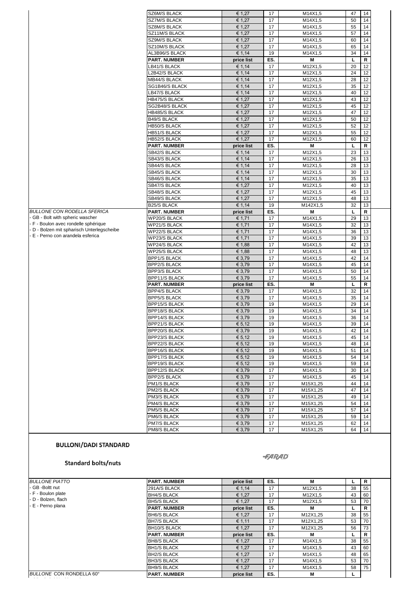| SZ6M/S BLACK<br>SZ7M/S BLACK<br>SZ8M/S BLACK<br>SZ11M/S BLACK<br>SZ9M/S BLACK<br>SZ10M/S BLACK<br>AL3B96/S BLACK<br><b>PART. NUMBER</b><br>LB41/S BLACK<br>L2B42/S BLACK<br><b>MB44/S BLACK</b><br>SG1B46/S BLACK<br>LB47/S BLACK<br>HB475/S BLACK<br>SG2B48/S BLACK<br>HB485/S BLACK<br><b>B49/S BLACK</b><br>HB50/S BLACK<br>HB51/S BLACK<br>HB52/S BLACK<br><b>PART. NUMBER</b><br>SB42/S BLACK<br>SB43/S BLACK<br>SB44/S BLACK<br>SB45/S BLACK<br>SB46/S BLACK<br>SB47/S BLACK<br>SB48/S BLACK<br>SB49/S BLACK<br><b>B25/S BLACK</b><br><b>PART. NUMBER</b><br>WP20/S BLACK<br>WP21/S BLACK | € 1,27<br>€ 1,27<br>€ 1,27<br>€ 1,27<br>€ 1,27<br>€ 1,27<br>€ 1,14<br>price list<br>€ 1,14<br>€ 1,14<br>€ 1,14<br>€ 1,14<br>€ 1,14<br>€ 1,27<br>€ 1,27<br>€ 1,27<br>€ 1,27<br>€ 1,27<br>€ 1,27<br>€ 1,27<br>price list<br>€ 1.14<br>€ 1,14<br>€ 1,14<br>€ 1,14<br>€ 1,14<br>€ 1,27<br>€ 1,27<br>€ 1,27<br>€ 1,14<br>price list                                | 17<br>17<br>17<br>17<br>17<br>17<br>19<br>ES.<br>17<br>17<br>17<br>17<br>17<br>17<br>17<br>17<br>17<br>17<br>17<br>17<br>ES.<br>17<br>17<br>17<br>17<br>17<br>17<br>17<br>17         | M14X1,5<br>M14X1,5<br>M14X1.5<br>M14X1,5<br>M14X1,5<br>M14X1,5<br>M14X1,5<br>M<br>M12X1,5<br>M12X1,5<br>M12X1,5<br>M12X1,5<br>M12X1,5<br>M12X1,5<br>M12X1,5<br>M12X1,5<br>M12X1,5<br>M12X1,5<br>M12X1,5<br>M12X1,5<br>M<br>M12X1,5<br>M12X1,5<br>M12X1,5<br>M12X1,5<br>M12X1,5<br>M12X1,5<br>M12X1,5<br>M12X1,5 | 47<br>50<br>55<br>57<br>60<br>65<br>34<br>L<br>20<br>24<br>28<br>35<br>40<br>43<br>45<br>47<br>50<br>52<br>55<br>60<br>L<br>23<br>26<br>28<br>30<br>35<br>40<br>45                                                       | 14<br>14<br>14<br>14<br>14<br>14<br>14<br>R<br>12<br>12<br>12<br>12<br>12<br>12<br>12<br>12<br>12<br>12<br>12<br>12<br>R<br>13<br>13<br>13<br>13<br>13<br>13<br>13 |
|-------------------------------------------------------------------------------------------------------------------------------------------------------------------------------------------------------------------------------------------------------------------------------------------------------------------------------------------------------------------------------------------------------------------------------------------------------------------------------------------------------------------------------------------------------------------------------------------------|---------------------------------------------------------------------------------------------------------------------------------------------------------------------------------------------------------------------------------------------------------------------------------------------------------------------------------------------------------------|--------------------------------------------------------------------------------------------------------------------------------------------------------------------------------------|-----------------------------------------------------------------------------------------------------------------------------------------------------------------------------------------------------------------------------------------------------------------------------------------------------------------|--------------------------------------------------------------------------------------------------------------------------------------------------------------------------------------------------------------------------|--------------------------------------------------------------------------------------------------------------------------------------------------------------------|
|                                                                                                                                                                                                                                                                                                                                                                                                                                                                                                                                                                                                 |                                                                                                                                                                                                                                                                                                                                                               |                                                                                                                                                                                      |                                                                                                                                                                                                                                                                                                                 |                                                                                                                                                                                                                          |                                                                                                                                                                    |
|                                                                                                                                                                                                                                                                                                                                                                                                                                                                                                                                                                                                 |                                                                                                                                                                                                                                                                                                                                                               |                                                                                                                                                                                      |                                                                                                                                                                                                                                                                                                                 |                                                                                                                                                                                                                          |                                                                                                                                                                    |
|                                                                                                                                                                                                                                                                                                                                                                                                                                                                                                                                                                                                 |                                                                                                                                                                                                                                                                                                                                                               |                                                                                                                                                                                      |                                                                                                                                                                                                                                                                                                                 |                                                                                                                                                                                                                          |                                                                                                                                                                    |
|                                                                                                                                                                                                                                                                                                                                                                                                                                                                                                                                                                                                 |                                                                                                                                                                                                                                                                                                                                                               |                                                                                                                                                                                      |                                                                                                                                                                                                                                                                                                                 |                                                                                                                                                                                                                          |                                                                                                                                                                    |
|                                                                                                                                                                                                                                                                                                                                                                                                                                                                                                                                                                                                 |                                                                                                                                                                                                                                                                                                                                                               |                                                                                                                                                                                      |                                                                                                                                                                                                                                                                                                                 |                                                                                                                                                                                                                          |                                                                                                                                                                    |
|                                                                                                                                                                                                                                                                                                                                                                                                                                                                                                                                                                                                 |                                                                                                                                                                                                                                                                                                                                                               |                                                                                                                                                                                      |                                                                                                                                                                                                                                                                                                                 |                                                                                                                                                                                                                          |                                                                                                                                                                    |
|                                                                                                                                                                                                                                                                                                                                                                                                                                                                                                                                                                                                 |                                                                                                                                                                                                                                                                                                                                                               |                                                                                                                                                                                      |                                                                                                                                                                                                                                                                                                                 |                                                                                                                                                                                                                          |                                                                                                                                                                    |
|                                                                                                                                                                                                                                                                                                                                                                                                                                                                                                                                                                                                 |                                                                                                                                                                                                                                                                                                                                                               |                                                                                                                                                                                      |                                                                                                                                                                                                                                                                                                                 |                                                                                                                                                                                                                          |                                                                                                                                                                    |
|                                                                                                                                                                                                                                                                                                                                                                                                                                                                                                                                                                                                 |                                                                                                                                                                                                                                                                                                                                                               |                                                                                                                                                                                      |                                                                                                                                                                                                                                                                                                                 |                                                                                                                                                                                                                          |                                                                                                                                                                    |
|                                                                                                                                                                                                                                                                                                                                                                                                                                                                                                                                                                                                 |                                                                                                                                                                                                                                                                                                                                                               |                                                                                                                                                                                      |                                                                                                                                                                                                                                                                                                                 |                                                                                                                                                                                                                          |                                                                                                                                                                    |
|                                                                                                                                                                                                                                                                                                                                                                                                                                                                                                                                                                                                 |                                                                                                                                                                                                                                                                                                                                                               |                                                                                                                                                                                      |                                                                                                                                                                                                                                                                                                                 |                                                                                                                                                                                                                          |                                                                                                                                                                    |
|                                                                                                                                                                                                                                                                                                                                                                                                                                                                                                                                                                                                 |                                                                                                                                                                                                                                                                                                                                                               |                                                                                                                                                                                      |                                                                                                                                                                                                                                                                                                                 |                                                                                                                                                                                                                          |                                                                                                                                                                    |
|                                                                                                                                                                                                                                                                                                                                                                                                                                                                                                                                                                                                 |                                                                                                                                                                                                                                                                                                                                                               |                                                                                                                                                                                      |                                                                                                                                                                                                                                                                                                                 |                                                                                                                                                                                                                          |                                                                                                                                                                    |
|                                                                                                                                                                                                                                                                                                                                                                                                                                                                                                                                                                                                 |                                                                                                                                                                                                                                                                                                                                                               |                                                                                                                                                                                      |                                                                                                                                                                                                                                                                                                                 |                                                                                                                                                                                                                          |                                                                                                                                                                    |
|                                                                                                                                                                                                                                                                                                                                                                                                                                                                                                                                                                                                 |                                                                                                                                                                                                                                                                                                                                                               |                                                                                                                                                                                      |                                                                                                                                                                                                                                                                                                                 |                                                                                                                                                                                                                          |                                                                                                                                                                    |
|                                                                                                                                                                                                                                                                                                                                                                                                                                                                                                                                                                                                 |                                                                                                                                                                                                                                                                                                                                                               |                                                                                                                                                                                      |                                                                                                                                                                                                                                                                                                                 |                                                                                                                                                                                                                          |                                                                                                                                                                    |
|                                                                                                                                                                                                                                                                                                                                                                                                                                                                                                                                                                                                 |                                                                                                                                                                                                                                                                                                                                                               |                                                                                                                                                                                      |                                                                                                                                                                                                                                                                                                                 |                                                                                                                                                                                                                          |                                                                                                                                                                    |
|                                                                                                                                                                                                                                                                                                                                                                                                                                                                                                                                                                                                 |                                                                                                                                                                                                                                                                                                                                                               |                                                                                                                                                                                      |                                                                                                                                                                                                                                                                                                                 |                                                                                                                                                                                                                          |                                                                                                                                                                    |
|                                                                                                                                                                                                                                                                                                                                                                                                                                                                                                                                                                                                 |                                                                                                                                                                                                                                                                                                                                                               |                                                                                                                                                                                      |                                                                                                                                                                                                                                                                                                                 |                                                                                                                                                                                                                          |                                                                                                                                                                    |
|                                                                                                                                                                                                                                                                                                                                                                                                                                                                                                                                                                                                 |                                                                                                                                                                                                                                                                                                                                                               |                                                                                                                                                                                      |                                                                                                                                                                                                                                                                                                                 |                                                                                                                                                                                                                          |                                                                                                                                                                    |
|                                                                                                                                                                                                                                                                                                                                                                                                                                                                                                                                                                                                 |                                                                                                                                                                                                                                                                                                                                                               |                                                                                                                                                                                      |                                                                                                                                                                                                                                                                                                                 |                                                                                                                                                                                                                          |                                                                                                                                                                    |
|                                                                                                                                                                                                                                                                                                                                                                                                                                                                                                                                                                                                 |                                                                                                                                                                                                                                                                                                                                                               |                                                                                                                                                                                      |                                                                                                                                                                                                                                                                                                                 |                                                                                                                                                                                                                          |                                                                                                                                                                    |
|                                                                                                                                                                                                                                                                                                                                                                                                                                                                                                                                                                                                 |                                                                                                                                                                                                                                                                                                                                                               |                                                                                                                                                                                      |                                                                                                                                                                                                                                                                                                                 |                                                                                                                                                                                                                          |                                                                                                                                                                    |
|                                                                                                                                                                                                                                                                                                                                                                                                                                                                                                                                                                                                 |                                                                                                                                                                                                                                                                                                                                                               |                                                                                                                                                                                      |                                                                                                                                                                                                                                                                                                                 |                                                                                                                                                                                                                          |                                                                                                                                                                    |
|                                                                                                                                                                                                                                                                                                                                                                                                                                                                                                                                                                                                 |                                                                                                                                                                                                                                                                                                                                                               |                                                                                                                                                                                      |                                                                                                                                                                                                                                                                                                                 |                                                                                                                                                                                                                          |                                                                                                                                                                    |
|                                                                                                                                                                                                                                                                                                                                                                                                                                                                                                                                                                                                 |                                                                                                                                                                                                                                                                                                                                                               |                                                                                                                                                                                      |                                                                                                                                                                                                                                                                                                                 |                                                                                                                                                                                                                          |                                                                                                                                                                    |
|                                                                                                                                                                                                                                                                                                                                                                                                                                                                                                                                                                                                 |                                                                                                                                                                                                                                                                                                                                                               |                                                                                                                                                                                      |                                                                                                                                                                                                                                                                                                                 |                                                                                                                                                                                                                          |                                                                                                                                                                    |
|                                                                                                                                                                                                                                                                                                                                                                                                                                                                                                                                                                                                 |                                                                                                                                                                                                                                                                                                                                                               |                                                                                                                                                                                      |                                                                                                                                                                                                                                                                                                                 |                                                                                                                                                                                                                          |                                                                                                                                                                    |
|                                                                                                                                                                                                                                                                                                                                                                                                                                                                                                                                                                                                 |                                                                                                                                                                                                                                                                                                                                                               |                                                                                                                                                                                      |                                                                                                                                                                                                                                                                                                                 |                                                                                                                                                                                                                          |                                                                                                                                                                    |
|                                                                                                                                                                                                                                                                                                                                                                                                                                                                                                                                                                                                 |                                                                                                                                                                                                                                                                                                                                                               |                                                                                                                                                                                      |                                                                                                                                                                                                                                                                                                                 | 48                                                                                                                                                                                                                       | 13                                                                                                                                                                 |
|                                                                                                                                                                                                                                                                                                                                                                                                                                                                                                                                                                                                 |                                                                                                                                                                                                                                                                                                                                                               | 19                                                                                                                                                                                   | M142X1,5                                                                                                                                                                                                                                                                                                        | 32                                                                                                                                                                                                                       | 13                                                                                                                                                                 |
|                                                                                                                                                                                                                                                                                                                                                                                                                                                                                                                                                                                                 |                                                                                                                                                                                                                                                                                                                                                               | ES.                                                                                                                                                                                  | м                                                                                                                                                                                                                                                                                                               | L                                                                                                                                                                                                                        | R                                                                                                                                                                  |
|                                                                                                                                                                                                                                                                                                                                                                                                                                                                                                                                                                                                 | € 1,71                                                                                                                                                                                                                                                                                                                                                        | 17                                                                                                                                                                                   | M14X1,5                                                                                                                                                                                                                                                                                                         | 29                                                                                                                                                                                                                       | 13                                                                                                                                                                 |
|                                                                                                                                                                                                                                                                                                                                                                                                                                                                                                                                                                                                 | € 1,71                                                                                                                                                                                                                                                                                                                                                        | 17                                                                                                                                                                                   | M14X1,5                                                                                                                                                                                                                                                                                                         | 32                                                                                                                                                                                                                       | 13                                                                                                                                                                 |
| <b>WP22/S BLACK</b>                                                                                                                                                                                                                                                                                                                                                                                                                                                                                                                                                                             | € 1,71                                                                                                                                                                                                                                                                                                                                                        | 17                                                                                                                                                                                   | M14X1,5                                                                                                                                                                                                                                                                                                         | 36                                                                                                                                                                                                                       | 13                                                                                                                                                                 |
| <b>WP23/S BLACK</b>                                                                                                                                                                                                                                                                                                                                                                                                                                                                                                                                                                             | € 1,71                                                                                                                                                                                                                                                                                                                                                        | 17                                                                                                                                                                                   | M14X1,5                                                                                                                                                                                                                                                                                                         | 39                                                                                                                                                                                                                       | 13                                                                                                                                                                 |
| WP24/S BLACK                                                                                                                                                                                                                                                                                                                                                                                                                                                                                                                                                                                    | € 1,88                                                                                                                                                                                                                                                                                                                                                        | 17                                                                                                                                                                                   | M14X1,5                                                                                                                                                                                                                                                                                                         | 42                                                                                                                                                                                                                       | 13                                                                                                                                                                 |
|                                                                                                                                                                                                                                                                                                                                                                                                                                                                                                                                                                                                 |                                                                                                                                                                                                                                                                                                                                                               |                                                                                                                                                                                      |                                                                                                                                                                                                                                                                                                                 |                                                                                                                                                                                                                          | 13                                                                                                                                                                 |
|                                                                                                                                                                                                                                                                                                                                                                                                                                                                                                                                                                                                 |                                                                                                                                                                                                                                                                                                                                                               |                                                                                                                                                                                      |                                                                                                                                                                                                                                                                                                                 |                                                                                                                                                                                                                          | 14                                                                                                                                                                 |
|                                                                                                                                                                                                                                                                                                                                                                                                                                                                                                                                                                                                 |                                                                                                                                                                                                                                                                                                                                                               |                                                                                                                                                                                      |                                                                                                                                                                                                                                                                                                                 |                                                                                                                                                                                                                          | 14                                                                                                                                                                 |
|                                                                                                                                                                                                                                                                                                                                                                                                                                                                                                                                                                                                 |                                                                                                                                                                                                                                                                                                                                                               |                                                                                                                                                                                      |                                                                                                                                                                                                                                                                                                                 |                                                                                                                                                                                                                          | 14                                                                                                                                                                 |
|                                                                                                                                                                                                                                                                                                                                                                                                                                                                                                                                                                                                 |                                                                                                                                                                                                                                                                                                                                                               |                                                                                                                                                                                      |                                                                                                                                                                                                                                                                                                                 |                                                                                                                                                                                                                          | 14                                                                                                                                                                 |
|                                                                                                                                                                                                                                                                                                                                                                                                                                                                                                                                                                                                 |                                                                                                                                                                                                                                                                                                                                                               |                                                                                                                                                                                      |                                                                                                                                                                                                                                                                                                                 |                                                                                                                                                                                                                          | R                                                                                                                                                                  |
|                                                                                                                                                                                                                                                                                                                                                                                                                                                                                                                                                                                                 |                                                                                                                                                                                                                                                                                                                                                               |                                                                                                                                                                                      |                                                                                                                                                                                                                                                                                                                 |                                                                                                                                                                                                                          |                                                                                                                                                                    |
|                                                                                                                                                                                                                                                                                                                                                                                                                                                                                                                                                                                                 |                                                                                                                                                                                                                                                                                                                                                               |                                                                                                                                                                                      |                                                                                                                                                                                                                                                                                                                 |                                                                                                                                                                                                                          | 14                                                                                                                                                                 |
|                                                                                                                                                                                                                                                                                                                                                                                                                                                                                                                                                                                                 |                                                                                                                                                                                                                                                                                                                                                               |                                                                                                                                                                                      |                                                                                                                                                                                                                                                                                                                 |                                                                                                                                                                                                                          | 14                                                                                                                                                                 |
|                                                                                                                                                                                                                                                                                                                                                                                                                                                                                                                                                                                                 |                                                                                                                                                                                                                                                                                                                                                               |                                                                                                                                                                                      |                                                                                                                                                                                                                                                                                                                 |                                                                                                                                                                                                                          | 14                                                                                                                                                                 |
| <b>BPP18/S BLACK</b>                                                                                                                                                                                                                                                                                                                                                                                                                                                                                                                                                                            | € 3,79                                                                                                                                                                                                                                                                                                                                                        | 19                                                                                                                                                                                   | M14X1,5                                                                                                                                                                                                                                                                                                         | 34                                                                                                                                                                                                                       | 14                                                                                                                                                                 |
| <b>BPP14/S BLACK</b>                                                                                                                                                                                                                                                                                                                                                                                                                                                                                                                                                                            | € 3,79                                                                                                                                                                                                                                                                                                                                                        | 19                                                                                                                                                                                   | M14X1,5                                                                                                                                                                                                                                                                                                         | 36                                                                                                                                                                                                                       | 14                                                                                                                                                                 |
| BPP21/S BLACK                                                                                                                                                                                                                                                                                                                                                                                                                                                                                                                                                                                   | € $5,12$                                                                                                                                                                                                                                                                                                                                                      | 19                                                                                                                                                                                   | M14X1,5                                                                                                                                                                                                                                                                                                         | $39\,$                                                                                                                                                                                                                   | 14                                                                                                                                                                 |
| BPP20/S BLACK                                                                                                                                                                                                                                                                                                                                                                                                                                                                                                                                                                                   | € 3,79                                                                                                                                                                                                                                                                                                                                                        | 19                                                                                                                                                                                   | M14X1,5                                                                                                                                                                                                                                                                                                         | 42                                                                                                                                                                                                                       | 14                                                                                                                                                                 |
| BPP23/S BLACK                                                                                                                                                                                                                                                                                                                                                                                                                                                                                                                                                                                   | € 5,12                                                                                                                                                                                                                                                                                                                                                        | 19                                                                                                                                                                                   | M14X1,5                                                                                                                                                                                                                                                                                                         | 45                                                                                                                                                                                                                       | 14                                                                                                                                                                 |
| BPP22/S BLACK                                                                                                                                                                                                                                                                                                                                                                                                                                                                                                                                                                                   | € $5,12$                                                                                                                                                                                                                                                                                                                                                      | 19                                                                                                                                                                                   | M14X1,5                                                                                                                                                                                                                                                                                                         | 48                                                                                                                                                                                                                       | 14                                                                                                                                                                 |
|                                                                                                                                                                                                                                                                                                                                                                                                                                                                                                                                                                                                 |                                                                                                                                                                                                                                                                                                                                                               |                                                                                                                                                                                      |                                                                                                                                                                                                                                                                                                                 | 51                                                                                                                                                                                                                       | 14                                                                                                                                                                 |
|                                                                                                                                                                                                                                                                                                                                                                                                                                                                                                                                                                                                 |                                                                                                                                                                                                                                                                                                                                                               |                                                                                                                                                                                      |                                                                                                                                                                                                                                                                                                                 |                                                                                                                                                                                                                          | 14                                                                                                                                                                 |
|                                                                                                                                                                                                                                                                                                                                                                                                                                                                                                                                                                                                 |                                                                                                                                                                                                                                                                                                                                                               |                                                                                                                                                                                      |                                                                                                                                                                                                                                                                                                                 |                                                                                                                                                                                                                          | 14                                                                                                                                                                 |
|                                                                                                                                                                                                                                                                                                                                                                                                                                                                                                                                                                                                 |                                                                                                                                                                                                                                                                                                                                                               |                                                                                                                                                                                      |                                                                                                                                                                                                                                                                                                                 |                                                                                                                                                                                                                          | 14                                                                                                                                                                 |
|                                                                                                                                                                                                                                                                                                                                                                                                                                                                                                                                                                                                 |                                                                                                                                                                                                                                                                                                                                                               |                                                                                                                                                                                      |                                                                                                                                                                                                                                                                                                                 |                                                                                                                                                                                                                          | 14                                                                                                                                                                 |
|                                                                                                                                                                                                                                                                                                                                                                                                                                                                                                                                                                                                 |                                                                                                                                                                                                                                                                                                                                                               |                                                                                                                                                                                      |                                                                                                                                                                                                                                                                                                                 |                                                                                                                                                                                                                          |                                                                                                                                                                    |
|                                                                                                                                                                                                                                                                                                                                                                                                                                                                                                                                                                                                 |                                                                                                                                                                                                                                                                                                                                                               |                                                                                                                                                                                      |                                                                                                                                                                                                                                                                                                                 |                                                                                                                                                                                                                          | 14                                                                                                                                                                 |
|                                                                                                                                                                                                                                                                                                                                                                                                                                                                                                                                                                                                 |                                                                                                                                                                                                                                                                                                                                                               |                                                                                                                                                                                      |                                                                                                                                                                                                                                                                                                                 |                                                                                                                                                                                                                          | 14                                                                                                                                                                 |
|                                                                                                                                                                                                                                                                                                                                                                                                                                                                                                                                                                                                 |                                                                                                                                                                                                                                                                                                                                                               |                                                                                                                                                                                      |                                                                                                                                                                                                                                                                                                                 |                                                                                                                                                                                                                          | 14                                                                                                                                                                 |
|                                                                                                                                                                                                                                                                                                                                                                                                                                                                                                                                                                                                 |                                                                                                                                                                                                                                                                                                                                                               |                                                                                                                                                                                      |                                                                                                                                                                                                                                                                                                                 |                                                                                                                                                                                                                          | 14                                                                                                                                                                 |
| PM5/S BLACK                                                                                                                                                                                                                                                                                                                                                                                                                                                                                                                                                                                     | € 3,79                                                                                                                                                                                                                                                                                                                                                        | 17                                                                                                                                                                                   | M15X1,25                                                                                                                                                                                                                                                                                                        | 57                                                                                                                                                                                                                       | 14                                                                                                                                                                 |
| PM6/S BLACK                                                                                                                                                                                                                                                                                                                                                                                                                                                                                                                                                                                     | € 3,79                                                                                                                                                                                                                                                                                                                                                        | 17                                                                                                                                                                                   | M15X1,25                                                                                                                                                                                                                                                                                                        | 59                                                                                                                                                                                                                       | 14                                                                                                                                                                 |
| PM7/S BLACK                                                                                                                                                                                                                                                                                                                                                                                                                                                                                                                                                                                     | € 3,79                                                                                                                                                                                                                                                                                                                                                        | 17                                                                                                                                                                                   | M15X1,25                                                                                                                                                                                                                                                                                                        | 62                                                                                                                                                                                                                       | 14                                                                                                                                                                 |
| PM8/S BLACK                                                                                                                                                                                                                                                                                                                                                                                                                                                                                                                                                                                     | € 3,79                                                                                                                                                                                                                                                                                                                                                        | 17                                                                                                                                                                                   | M15X1,25                                                                                                                                                                                                                                                                                                        | 64                                                                                                                                                                                                                       | 14                                                                                                                                                                 |
|                                                                                                                                                                                                                                                                                                                                                                                                                                                                                                                                                                                                 | WP25/S BLACK<br><b>BPP1/S BLACK</b><br><b>BPP2/S BLACK</b><br><b>BPP3/S BLACK</b><br>BPP11/S BLACK<br><b>PART. NUMBER</b><br><b>BPP4/S BLACK</b><br><b>BPP5/S BLACK</b><br><b>BPP15/S BLACK</b><br>BPP16/S BLACK<br><b>BPP17/S BLACK</b><br>BPP19/S BLACK<br>BPP12/S BLACK<br><b>BPP2/S BLACK</b><br>PM1/S BLACK<br>PM2/S BLACK<br>PM3/S BLACK<br>PM4/S BLACK | € 1,88<br>€ 3,79<br>€ 3,79<br>€ 3,79<br>€ 3,79<br>price list<br>€ 3,79<br>€ 3,79<br>€ 3,79<br>€ 5,12<br>€ 5,12<br>€ 5,12<br>€ 3,79<br>€ 3,79<br>€ 3,79<br>€ 3,79<br>€ 3,79<br>€ 3,79 | 17<br>17<br>17<br>17<br>17<br>ES.<br>17<br>17<br>19<br>19<br>19<br>19<br>17<br>17<br>17<br>17<br>17<br>17                                                                                                                                                                                                       | M14X1,5<br>M14X1,5<br>M14X1,5<br>M14X1,5<br>M14X1,5<br>М<br>M14X1,5<br>M14X1,5<br>M14X1,5<br>M14X1,5<br>M14X1,5<br>M14X1,5<br>M14X1,5<br>M14X1,5<br>M15X1,25<br>M15X1,25<br>M15X1,25<br>M15X1,25<br><i><b>-FARAD</b></i> | 48<br>42<br>45<br>50<br>55<br>L<br>32<br>35<br>29<br>54<br>59<br>30<br>45<br>44<br>47<br>49<br>54                                                                  |

| <b>BULLONE PIATTO</b><br>- GB -Boltt nut<br>- F - Boulon plate<br>- D - Bolzen, flach<br>- E - Perno plana | <b>PART. NUMBER</b> | price list | ES. | м        | ┗  | R  |
|------------------------------------------------------------------------------------------------------------|---------------------|------------|-----|----------|----|----|
|                                                                                                            | 291A/S BLACK        | € 1,14     | 17  | M12X1,5  | 38 | 55 |
|                                                                                                            | <b>BH4/S BLACK</b>  | € 1.27     | 17  | M12X1,5  | 43 | 60 |
|                                                                                                            | <b>BH5/S BLACK</b>  | € 1,27     | 17  | M12X1,5  | 53 | 70 |
|                                                                                                            | <b>PART. NUMBER</b> | price list | ES. | М        | ь. | R  |
|                                                                                                            | <b>BH6/S BLACK</b>  | € 1,27     | 17  | M12X1,25 | 38 | 55 |
|                                                                                                            | <b>BH7/S BLACK</b>  | € 1,11     | 17  | M12X1,25 | 53 | 70 |
|                                                                                                            | BH10/S BLACK        | € 1,27     | 17  | M12X1,25 | 56 | 73 |
|                                                                                                            | <b>PART. NUMBER</b> | price list | ES. | м        | L. | R  |
|                                                                                                            | <b>BH8/S BLACK</b>  | € 1,27     | 17  | M14X1,5  | 38 | 55 |
|                                                                                                            | <b>BH1/S BLACK</b>  | € 1,27     | 17  | M14X1.5  | 43 | 60 |
|                                                                                                            | <b>BH2/S BLACK</b>  | € 1,27     | 17  | M14X1,5  | 48 | 65 |
|                                                                                                            | <b>BH3/S BLACK</b>  | € 1,27     | 17  | M14X1,5  | 53 | 70 |
|                                                                                                            | <b>BH9/S BLACK</b>  | € 1,27     | 17  | M14X1,5  | 58 | 75 |
| BULLONE CON RONDELLA 60°                                                                                   | <b>PART. NUMBER</b> | price list | ES. | М        |    |    |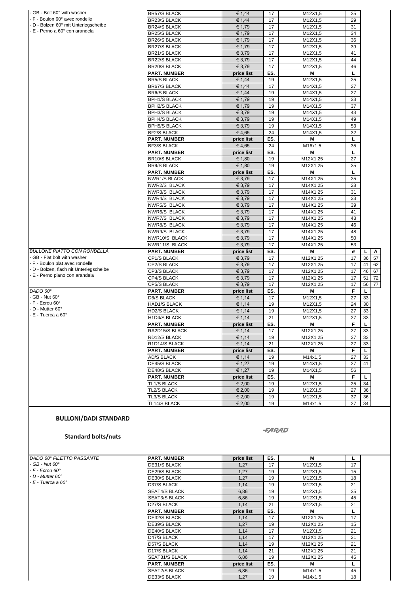| - GB - Bolt 60° with washer<br>- F - Boulon 60° avec rondelle                                                                                                                                 | <b>BR57/S BLACK</b><br><b>BR23/S BLACK</b> | € 1,44<br>€ 1.44     | 17<br>17             | M12X1,5<br>M12X1,5   | 25<br>29 |                |
|-----------------------------------------------------------------------------------------------------------------------------------------------------------------------------------------------|--------------------------------------------|----------------------|----------------------|----------------------|----------|----------------|
| D - Bolzen 60° mit Unterlegscheibe                                                                                                                                                            | <b>BR24/S BLACK</b>                        | € 1,79               | 17                   | M12X1,5              | 31       |                |
| - E - Perno a 60° con arandela                                                                                                                                                                | <b>BR25/S BLACK</b>                        | € 1,79               | 17                   | M12X1,5              | 34       |                |
|                                                                                                                                                                                               | <b>BR26/S BLACK</b>                        | € 1.79               | 17                   | M12X1,5              | 36       |                |
|                                                                                                                                                                                               | <b>BR27/S BLACK</b>                        | € 1,79               | 17                   | M12X1,5              | 39       |                |
|                                                                                                                                                                                               | <b>BR21/S BLACK</b>                        | € 3,79               | 17                   | M12X1,5              | 41       |                |
|                                                                                                                                                                                               | <b>BR22/S BLACK</b>                        | € 3,79               | 17                   | M12X1,5              | 44       |                |
|                                                                                                                                                                                               | <b>BR20/S BLACK</b>                        | € 3,79               | 17                   | M12X1,5              | 46       |                |
|                                                                                                                                                                                               | <b>PART. NUMBER</b>                        | price list           | ES.                  | М                    | L        |                |
|                                                                                                                                                                                               | <b>BR5/S BLACK</b>                         | € 1,44               | 19                   | M12X1,5              | 25       |                |
|                                                                                                                                                                                               | <b>BR67/S BLACK</b>                        | € 1,44               | 17                   | M14X1,5              | 27       |                |
|                                                                                                                                                                                               | <b>BR6/S BLACK</b>                         | € 1,44               | 19                   | M14X1,5              | 27       |                |
|                                                                                                                                                                                               | <b>BPH1/S BLACK</b>                        | € 1,79               | 19                   | M14X1,5              | 33       |                |
|                                                                                                                                                                                               | <b>BPH2/S BLACK</b>                        | € 1,79               | 19                   | M14X1,5              | 37       |                |
|                                                                                                                                                                                               | <b>BPH3/S BLACK</b>                        | € 3,79               | 19                   | M14X1,5              | 43       |                |
|                                                                                                                                                                                               | <b>BPH4/S BLACK</b>                        | € 3,79               | 19                   | M14X1,5              | 49       |                |
|                                                                                                                                                                                               | <b>BPH5/S BLACK</b>                        | € 3,79               | 19                   | M14X1,5              | 53       |                |
|                                                                                                                                                                                               | <b>BF2/S BLACK</b>                         | €4,65                | 24                   | M14X1,5              | 32       |                |
|                                                                                                                                                                                               | <b>PART. NUMBER</b>                        | price list           | ES.                  | М                    | L        |                |
|                                                                                                                                                                                               | <b>BF3/S BLACK</b>                         | €4,65                | 24                   | M16x1,5              | 35       |                |
|                                                                                                                                                                                               | <b>PART. NUMBER</b>                        | price list           | ES.                  | М                    | L        |                |
|                                                                                                                                                                                               | <b>BR10/S BLACK</b>                        | € 1,80               | 19                   | M12X1,25             | 27       |                |
|                                                                                                                                                                                               | <b>BR9/S BLACK</b>                         | € 1,80               | 19                   | M12X1,25             | 35       |                |
|                                                                                                                                                                                               | <b>PART. NUMBER</b>                        | price list           | ES.                  | M                    | L        |                |
|                                                                                                                                                                                               | <b>NWR1/S BLACK</b>                        | € 3,79               | 17                   | M14X1,25             | 25       |                |
|                                                                                                                                                                                               | NWR2/S BLACK                               | € 3,79               | 17                   | M14X1,25             | 28       |                |
|                                                                                                                                                                                               | NWR3/S BLACK                               | € 3,79               | 17                   | M14X1,25             | 31       |                |
|                                                                                                                                                                                               | NWR4/S BLACK                               | € 3,79               | 17                   | M14X1,25             | 33       |                |
|                                                                                                                                                                                               | NWR5/S BLACK                               | € 3.79               | 17                   | M14X1,25             | 39       |                |
|                                                                                                                                                                                               | NWR6/S BLACK                               | € 3,79               | 17                   | M14X1,25             | 41       |                |
|                                                                                                                                                                                               | NWR7/S BLACK                               | € 3,79               | 17                   | M14X1,25             | 43       |                |
|                                                                                                                                                                                               | NWR8/S BLACK                               | € 3,79               | 17                   | M14X1,25             | 46       |                |
|                                                                                                                                                                                               | NWR9/S BLACK                               | € 3,79               | 17                   | M14X1,25             | 48       |                |
|                                                                                                                                                                                               | NWR10/S BLACK                              | € 3,79               | 17                   | M14X1,25             | 50       |                |
|                                                                                                                                                                                               | NWR11/S BLACK                              | € 3,79               | 17                   | M14X1,25             | 53       |                |
|                                                                                                                                                                                               | <b>PART. NUMBER</b>                        | price list           | ES.                  | M                    | ø        | L<br>Α         |
|                                                                                                                                                                                               | CP1/S BLACK                                | € 3,79               | 17                   | M12X1,25             | 17       | 57<br>36       |
|                                                                                                                                                                                               | CP2/S BLACK                                | € 3,79               | 17                   | M12X1,25             | 17       | 41<br>62       |
| - D - Bolzen, flach nit Unterlegscheibe                                                                                                                                                       | CP3/S BLACK                                | € 3,79               | 17                   | M12X1,25             | 17       | 46<br>67       |
| E - Perno plano con arandela                                                                                                                                                                  | CP4/S BLACK                                | € 3,79               | 17                   | M12X1,25             | 17       | 51<br>72       |
|                                                                                                                                                                                               | CP5/S BLACK                                | € 3,79               | 17                   | M12X1,25             | 17       | 56<br>77       |
|                                                                                                                                                                                               | <b>PART. NUMBER</b>                        | price list           | ES.                  | М                    | F        | L              |
|                                                                                                                                                                                               | D6/S BLACK                                 | € 1,14               | 17                   | M12X1,5              | 27       | 33             |
| - F - Ecrou 60°                                                                                                                                                                               | HAD1/S BLACK                               | € 1,14               | 19                   | M12X1,5              | 24       | 30             |
| D - Mutter 60°                                                                                                                                                                                | <b>HD2/S BLACK</b>                         | € 1,14               | 19                   | M12X1,5              | 27       | 33             |
| - E - Tuerca a 60°                                                                                                                                                                            | H1D4/S BLACK                               | € 1.14               | 21                   | M12X1,5              | 27       | 33             |
|                                                                                                                                                                                               | <b>PART. NUMBER</b>                        | price list           | ES.                  | М                    | F        | L              |
|                                                                                                                                                                                               | RA2D15/S BLACK                             | € 1,14               | 17                   | M12X1,25             | 27       | 33             |
|                                                                                                                                                                                               | RD12/S BLACK                               | € 1,14               | 19                   | M12X1,25             | 27       | 33             |
|                                                                                                                                                                                               | R1D14/S BLACK                              | € 1,14               | 21                   | M12X1,25             | 27       | 33             |
|                                                                                                                                                                                               | <b>PART. NUMBER</b>                        | price list           | ES.                  | М                    | F        | $\overline{L}$ |
|                                                                                                                                                                                               | <b>AD/S BLACK</b>                          | € 1,14               | 19                   | M14x1,5              | 27       | 33             |
|                                                                                                                                                                                               | DE45/S BLACK                               | € 1,27               | 19                   | M14X1,5              | 27       | 41             |
|                                                                                                                                                                                               | <b>DE48/S BLACK</b>                        | € 1,27               | 19                   | M14X1,5              | 56       |                |
|                                                                                                                                                                                               |                                            |                      |                      |                      | F        |                |
| <b>BULLONE PIATTO CON RONDELLA</b><br>GB - Flat bolt with washer<br>- F - Boulon plat avec rondelle<br>DADO 60°<br>GB - Nut 60°<br><b>BULLONI/DADI STANDARD</b><br><b>Standard bolts/nuts</b> | <b>PART. NUMBER</b><br><b>TL1/S BLACK</b>  | price list<br>€ 2,00 | ES.<br>19            | М<br>M12X1,5         | 25       | L<br>34        |
|                                                                                                                                                                                               | <b>TL2/S BLACK</b>                         | € 2,00               | 19                   | M12X1,5              | 27       | 36             |
|                                                                                                                                                                                               | <b>TL3/S BLACK</b>                         | € 2,00               | 19                   | M12X1,5              | 37       | 36             |
|                                                                                                                                                                                               | TL14/S BLACK                               | € 2,00               | 19                   | M14x1,5              | 27       | 34             |
|                                                                                                                                                                                               |                                            |                      | <i><b>-FARAD</b></i> |                      |          |                |
|                                                                                                                                                                                               |                                            |                      | ES.                  | М                    | L        |                |
|                                                                                                                                                                                               | <b>PART. NUMBER</b>                        |                      |                      |                      |          |                |
|                                                                                                                                                                                               | DE31/S BLACK                               | price list<br>1,27   | 17                   | M12X1,5              | 17       |                |
|                                                                                                                                                                                               | DE29/S BLACK                               | 1,27                 | 19                   | M12X1,5              | 15       |                |
|                                                                                                                                                                                               |                                            |                      | 19                   |                      |          |                |
|                                                                                                                                                                                               | DE30/S BLACK                               | 1,27<br>1,14         | 19                   | M12X1,5<br>M12X1,5   | 18<br>21 |                |
|                                                                                                                                                                                               | D37/S BLACK<br>SEAT4/S BLACK               | 6,86                 | 19                   | M12X1,5              | 35       |                |
|                                                                                                                                                                                               |                                            |                      | 19                   |                      | 45       |                |
|                                                                                                                                                                                               | <b>SEAT3/S BLACK</b>                       | 6,86                 |                      | M12X1,5              |          |                |
|                                                                                                                                                                                               | D27/S BLACK                                | 1,14                 | 21                   | M12X1,5              | 21       |                |
|                                                                                                                                                                                               | <b>PART. NUMBER</b>                        | price list           | ES.                  | М                    | L        |                |
|                                                                                                                                                                                               | DE32/S BLACK                               | 1,14                 | 17                   | M12X1,25             | 17       |                |
|                                                                                                                                                                                               | DE39/S BLACK                               | 1,27                 | 19<br>17             | M12X1,25             | 15<br>21 |                |
|                                                                                                                                                                                               | <b>DE40/S BLACK</b>                        | 1,14                 |                      | M12X1,5              |          |                |
|                                                                                                                                                                                               | D47/S BLACK                                | 1,14                 | 17                   | M12X1,25             | 21       |                |
|                                                                                                                                                                                               | D57/S BLACK                                | 1,14                 | 19                   | M12X1,25             | 21       |                |
| DADO 60° FILETTO PASSANTE<br>- GB - Nut 60°<br>- F - Ecrou 60°<br>D - Mutter 60°<br>· E - Tuerca a 60°                                                                                        | D17/S BLACK<br>SEAT31/S BLACK              | 1,14<br>6,86         | 21<br>19             | M12X1,25<br>M12X1,25 | 21<br>45 |                |

<sup>1</sup><br>
45<br>
18

SEAT2/S BLACK 6,86 19 M14x1,5 45 DE33/S BLACK 1,27 19 M14x1,5 18